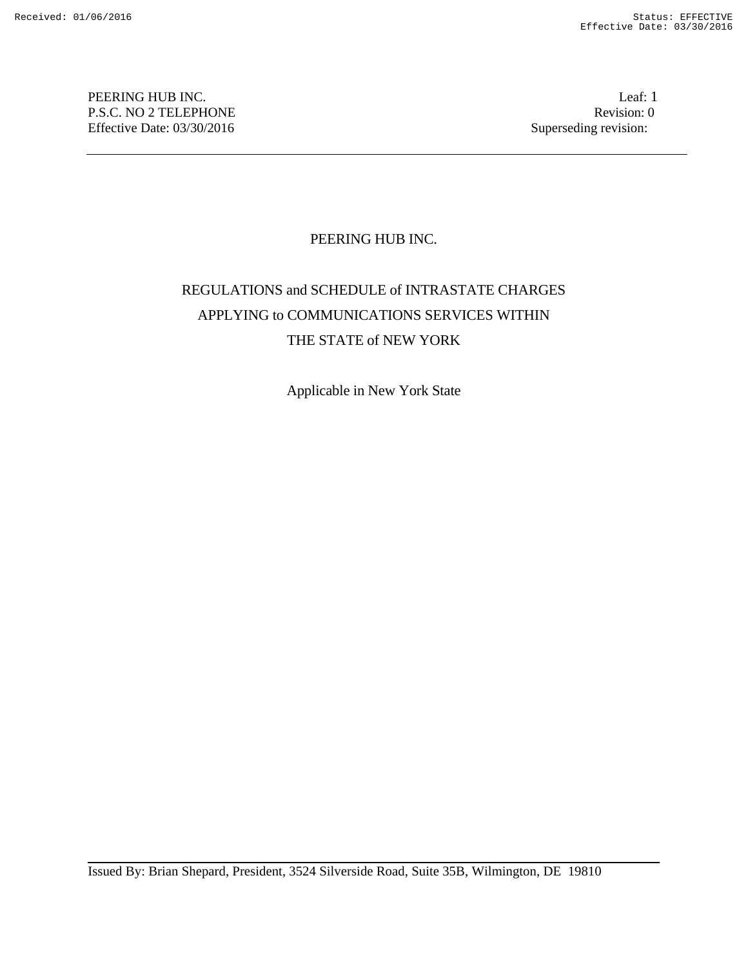PEERING HUB INC. Leaf: 1 P.S.C. NO 2 TELEPHONE Revision: 0 Effective Date: 03/30/2016 Superseding revision:

# PEERING HUB INC.

# REGULATIONS and SCHEDULE of INTRASTATE CHARGES APPLYING to COMMUNICATIONS SERVICES WITHIN THE STATE of NEW YORK

Applicable in New York State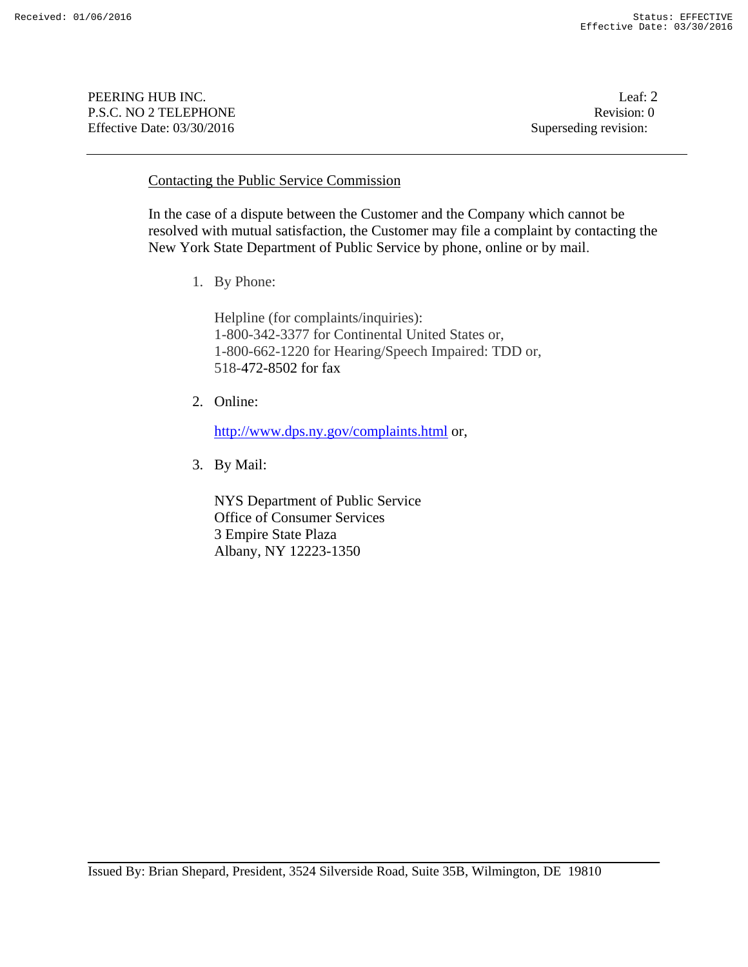PEERING HUB INC. Leaf: 2 P.S.C. NO 2 TELEPHONE Revision: 0 Effective Date: 03/30/2016 Superseding revision:

## Contacting the Public Service Commission

In the case of a dispute between the Customer and the Company which cannot be resolved with mutual satisfaction, the Customer may file a complaint by contacting the New York State Department of Public Service by phone, online or by mail.

1. By Phone:

Helpline (for complaints/inquiries): 1-800-342-3377 for Continental United States or, 1-800-662-1220 for Hearing/Speech Impaired: TDD or, 518-472-8502 for fax

2. Online:

http://www.dps.ny.gov/complaints.html or,

3. By Mail:

NYS Department of Public Service Office of Consumer Services 3 Empire State Plaza Albany, NY 12223-1350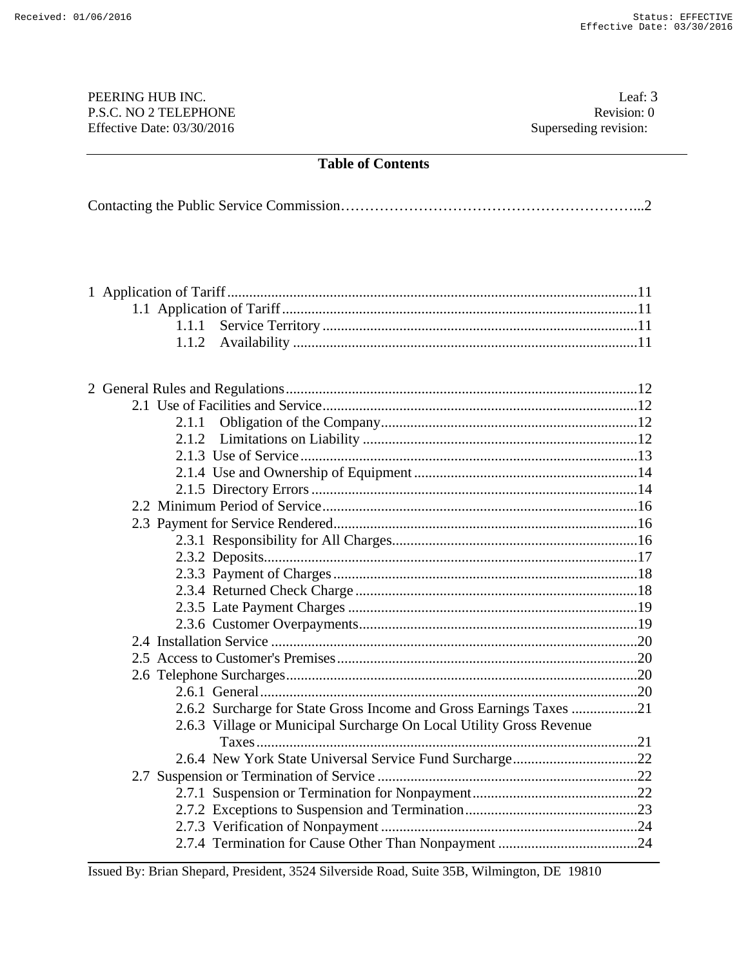## PEERING HUB INC. Leaf: 3 P.S.C. NO 2 TELEPHONE Revision: 0<br>
Effective Date: 03/30/2016 Superseding revision: 0 Effective Date:  $03/30/2016$

|--|--|

| 1.1.1 |                                                                     |  |
|-------|---------------------------------------------------------------------|--|
| 1.1.2 |                                                                     |  |
|       |                                                                     |  |
|       |                                                                     |  |
|       |                                                                     |  |
|       |                                                                     |  |
| 2.1.1 |                                                                     |  |
| 2.1.2 |                                                                     |  |
|       |                                                                     |  |
|       |                                                                     |  |
|       |                                                                     |  |
|       |                                                                     |  |
|       |                                                                     |  |
|       |                                                                     |  |
|       |                                                                     |  |
|       |                                                                     |  |
|       |                                                                     |  |
|       |                                                                     |  |
|       |                                                                     |  |
|       |                                                                     |  |
|       |                                                                     |  |
|       |                                                                     |  |
|       |                                                                     |  |
|       | 2.6.2 Surcharge for State Gross Income and Gross Earnings Taxes 21  |  |
|       | 2.6.3 Village or Municipal Surcharge On Local Utility Gross Revenue |  |
|       |                                                                     |  |
|       |                                                                     |  |
|       |                                                                     |  |
|       |                                                                     |  |
|       |                                                                     |  |
|       |                                                                     |  |
|       |                                                                     |  |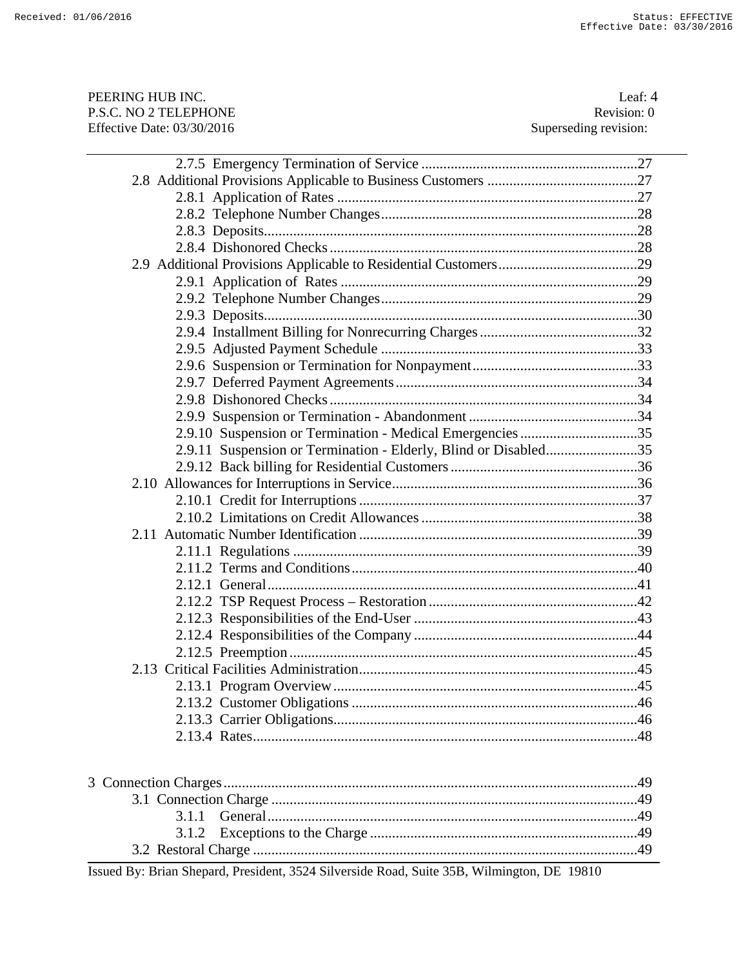| PEERING HUB INC.                                                | Leaf: 4               |
|-----------------------------------------------------------------|-----------------------|
| P.S.C. NO 2 TELEPHONE                                           | Revision: 0           |
| Effective Date: 03/30/2016                                      | Superseding revision: |
|                                                                 |                       |
|                                                                 |                       |
|                                                                 |                       |
|                                                                 |                       |
|                                                                 |                       |
|                                                                 |                       |
|                                                                 |                       |
|                                                                 |                       |
|                                                                 |                       |
|                                                                 |                       |
|                                                                 |                       |
|                                                                 |                       |
|                                                                 |                       |
|                                                                 |                       |
|                                                                 |                       |
|                                                                 |                       |
| 2.9.10 Suspension or Termination - Medical Emergencies 35       |                       |
| 2.9.11 Suspension or Termination - Elderly, Blind or Disabled35 |                       |
|                                                                 |                       |
|                                                                 |                       |
|                                                                 |                       |
|                                                                 |                       |
|                                                                 |                       |
|                                                                 |                       |
|                                                                 |                       |
|                                                                 |                       |
|                                                                 |                       |
|                                                                 |                       |
|                                                                 |                       |
|                                                                 |                       |
|                                                                 |                       |
|                                                                 |                       |
|                                                                 |                       |
|                                                                 |                       |
|                                                                 |                       |
|                                                                 |                       |
| Connection Charges                                              | 10                    |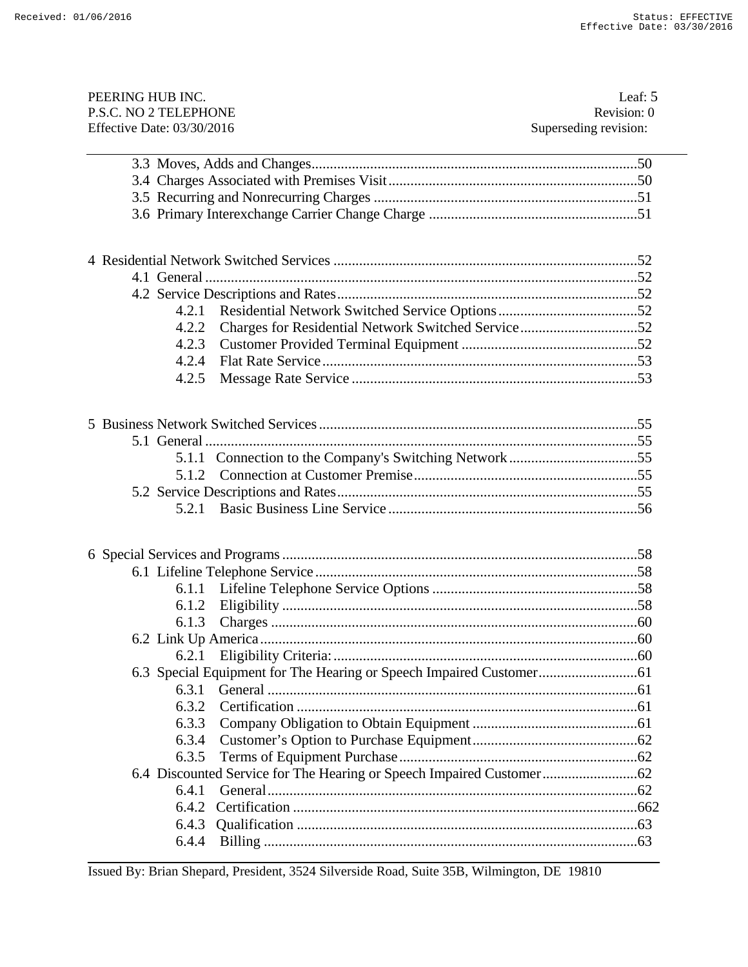| PEERING HUB INC.           | Leaf: 5               |
|----------------------------|-----------------------|
| P.S.C. NO 2 TELEPHONE      | Revision: 0           |
| Effective Date: 03/30/2016 | Superseding revision: |
|                            |                       |
|                            |                       |
|                            |                       |
|                            |                       |
|                            |                       |
|                            |                       |
|                            |                       |
|                            |                       |
|                            |                       |
| 4.2.1                      |                       |
| 4.2.2                      |                       |
| 4.2.3                      |                       |
| 4.2.4                      |                       |
| 4.2.5                      |                       |
|                            |                       |
|                            |                       |
|                            |                       |
|                            |                       |
|                            |                       |
|                            |                       |
|                            |                       |
|                            |                       |
|                            |                       |
|                            |                       |
|                            |                       |
| 6.1.1                      |                       |
| 6.1.2                      |                       |
| 6.1.3                      |                       |
|                            |                       |
| 6.2.1                      |                       |
|                            |                       |
| 6.3.1                      |                       |
| 6.3.2                      |                       |
| 6.3.3                      |                       |
| 6.3.4                      |                       |
| 6.3.5                      |                       |
|                            |                       |
| 6.4.1                      |                       |
| 6.4.2                      |                       |
| 6.4.3                      |                       |
| 6.4.4                      |                       |
|                            |                       |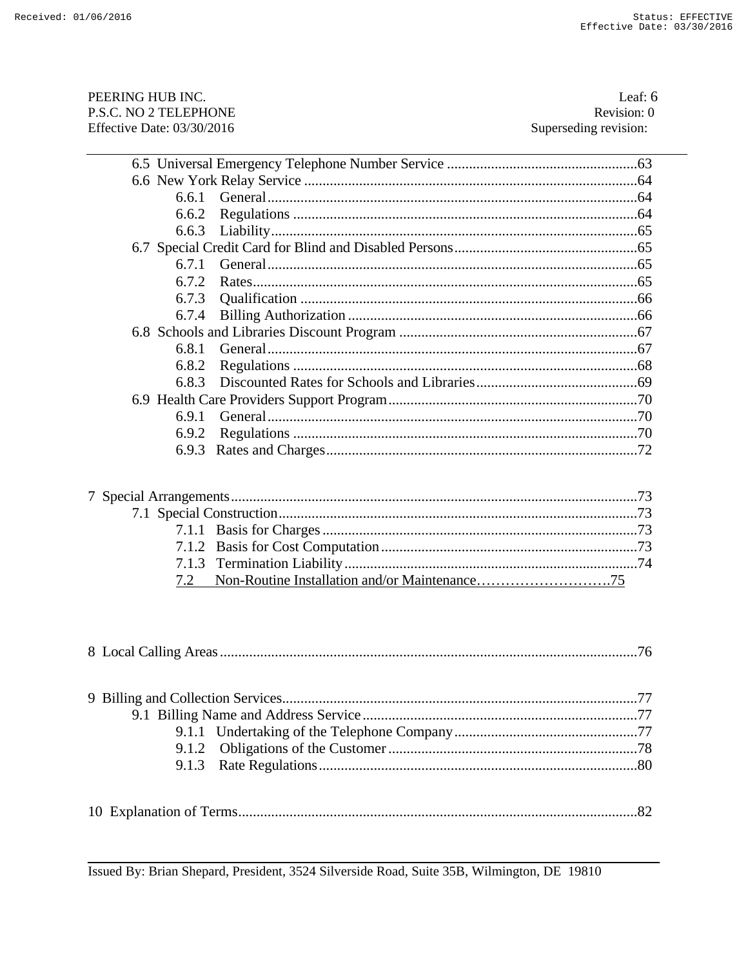| PEERING HUB INC.             | Leaf: $6$             |
|------------------------------|-----------------------|
| P.S.C. NO 2 TELEPHONE        | Revision: 0           |
| Effective Date: $03/30/2016$ | Superseding revision: |

| 6.6.2 |     |
|-------|-----|
| 6.6.3 |     |
|       |     |
| 671   |     |
| 6.7.2 |     |
| 6.7.3 |     |
| 6.7.4 |     |
|       |     |
| 6.8.1 |     |
| 6.8.2 |     |
| 6.8.3 |     |
|       |     |
| 6.9.1 |     |
| 6.9.2 | .70 |
|       |     |
|       |     |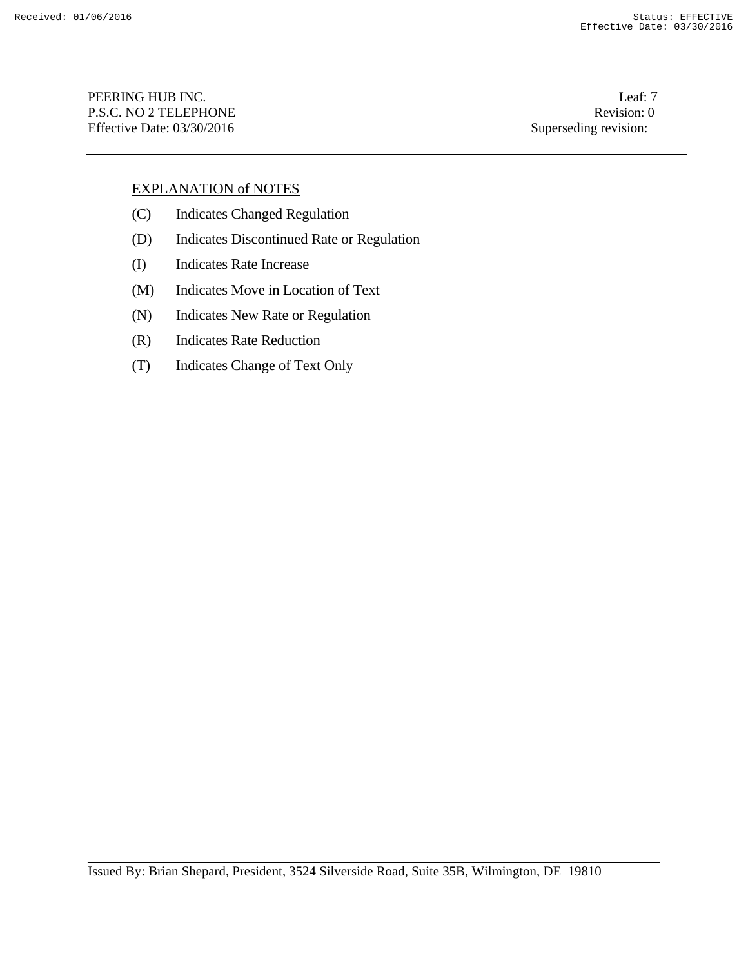PEERING HUB INC. Leaf: 7 P.S.C. NO 2 TELEPHONE Revision: 0 Effective Date: 03/30/2016 Superseding revision:

## EXPLANATION of NOTES

- (C) Indicates Changed Regulation
- (D) Indicates Discontinued Rate or Regulation
- (I) Indicates Rate Increase
- (M) Indicates Move in Location of Text
- (N) Indicates New Rate or Regulation
- (R) Indicates Rate Reduction
- (T) Indicates Change of Text Only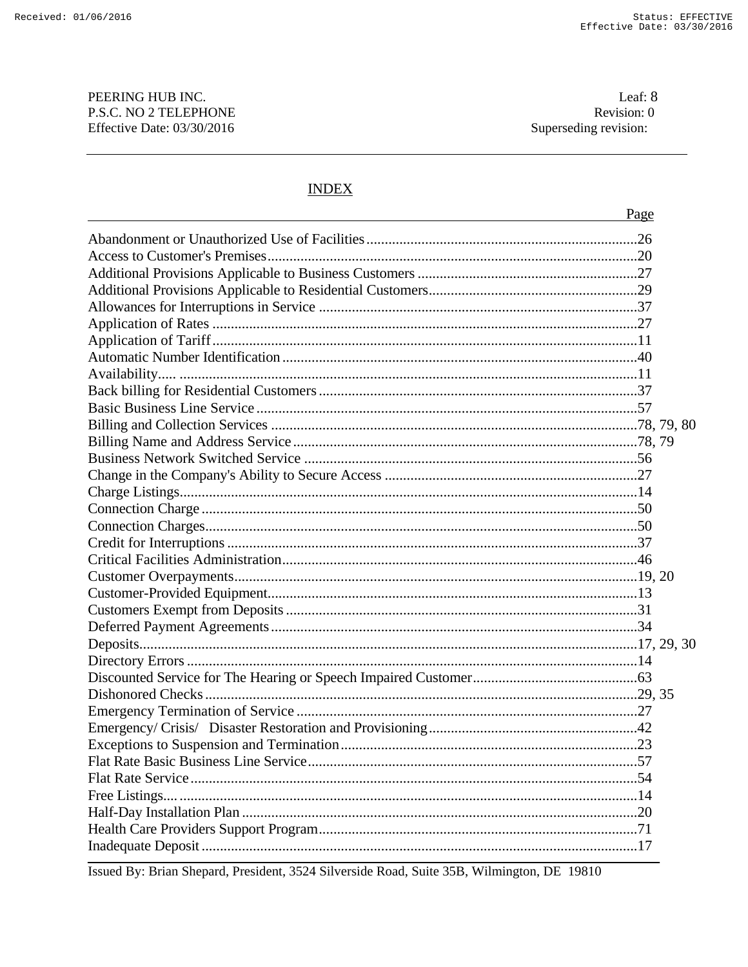#### PEERING HUB INC. P.S.C. NO 2 TELEPHONE Effective Date: 03/30/2016

# **INDEX**

| Page |  |
|------|--|
|      |  |
|      |  |
|      |  |
|      |  |
|      |  |
|      |  |
|      |  |
|      |  |
|      |  |
|      |  |
|      |  |
|      |  |
|      |  |
|      |  |
|      |  |
|      |  |
|      |  |
|      |  |
|      |  |
|      |  |
|      |  |
|      |  |
|      |  |
|      |  |
|      |  |
|      |  |
|      |  |
|      |  |
|      |  |
|      |  |
|      |  |
|      |  |
|      |  |
|      |  |
|      |  |
|      |  |
|      |  |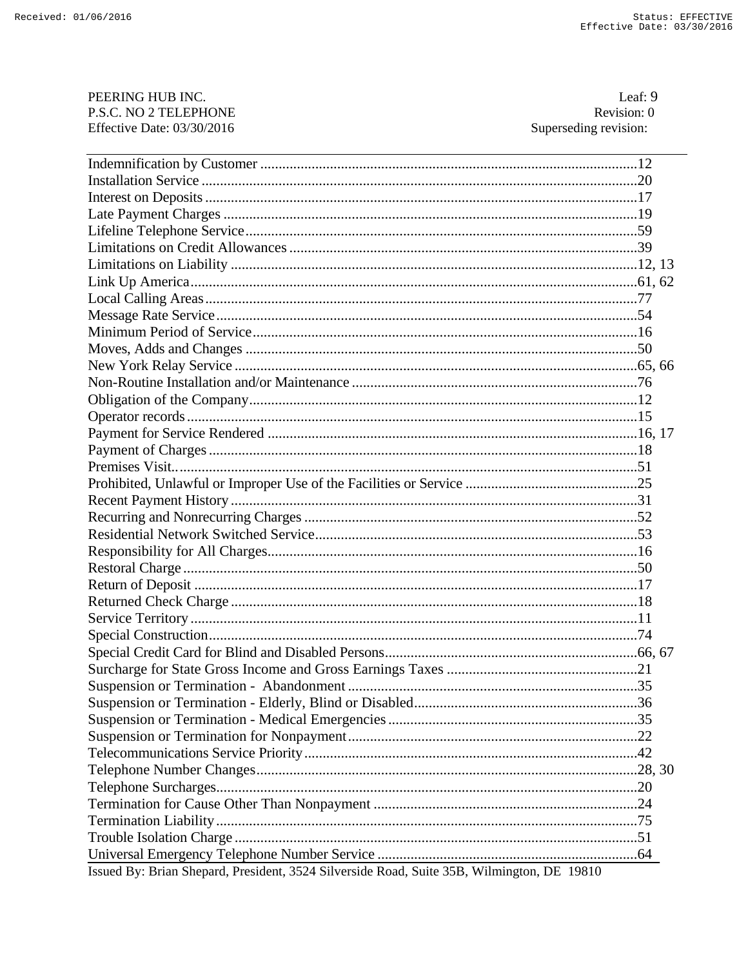| PEERING HUB INC.                                                                           | Leaf: 9               |
|--------------------------------------------------------------------------------------------|-----------------------|
| P.S.C. NO 2 TELEPHONE                                                                      | Revision: 0           |
| Effective Date: 03/30/2016                                                                 | Superseding revision: |
|                                                                                            |                       |
|                                                                                            |                       |
|                                                                                            |                       |
|                                                                                            |                       |
|                                                                                            |                       |
|                                                                                            |                       |
|                                                                                            |                       |
|                                                                                            |                       |
|                                                                                            |                       |
|                                                                                            |                       |
|                                                                                            |                       |
|                                                                                            |                       |
|                                                                                            |                       |
|                                                                                            |                       |
|                                                                                            |                       |
|                                                                                            |                       |
|                                                                                            |                       |
|                                                                                            |                       |
|                                                                                            |                       |
|                                                                                            |                       |
|                                                                                            |                       |
|                                                                                            |                       |
|                                                                                            |                       |
|                                                                                            |                       |
|                                                                                            |                       |
|                                                                                            |                       |
|                                                                                            |                       |
|                                                                                            |                       |
|                                                                                            |                       |
|                                                                                            |                       |
|                                                                                            |                       |
|                                                                                            |                       |
|                                                                                            |                       |
|                                                                                            |                       |
|                                                                                            |                       |
|                                                                                            |                       |
|                                                                                            |                       |
|                                                                                            |                       |
|                                                                                            |                       |
|                                                                                            |                       |
|                                                                                            |                       |
|                                                                                            |                       |
|                                                                                            |                       |
|                                                                                            |                       |
| Issued By: Brian Shepard, President, 3524 Silverside Road, Suite 35B, Wilmington, DE 19810 |                       |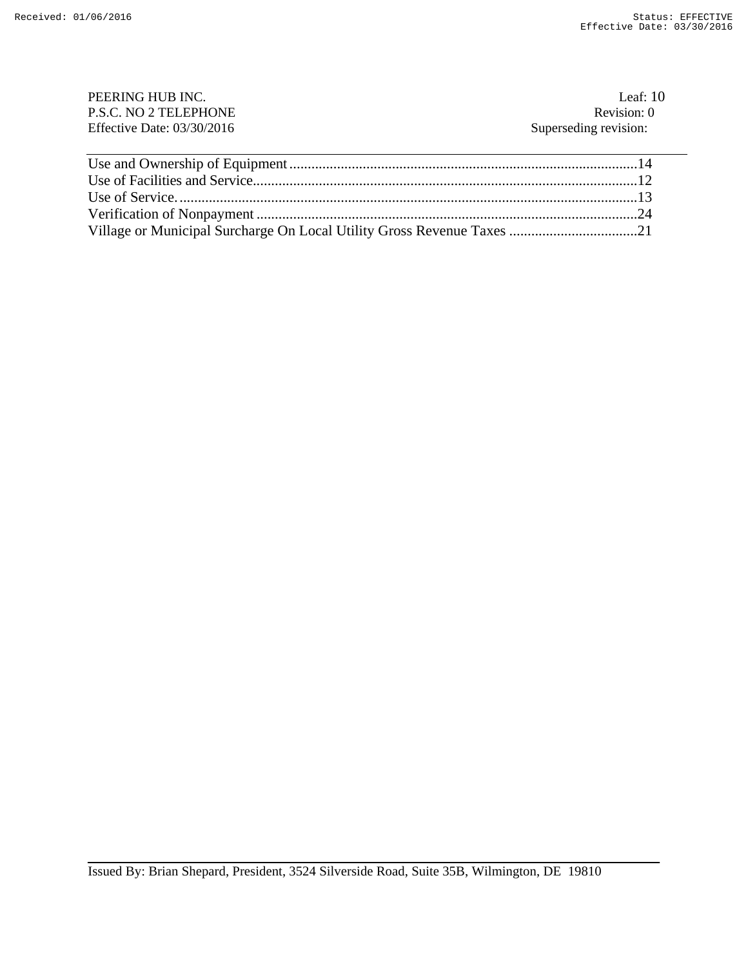| PEERING HUB INC.             | Leaf: $10$            |
|------------------------------|-----------------------|
| P.S.C. NO 2 TELEPHONE        | Revision: 0           |
| Effective Date: $03/30/2016$ | Superseding revision: |
|                              |                       |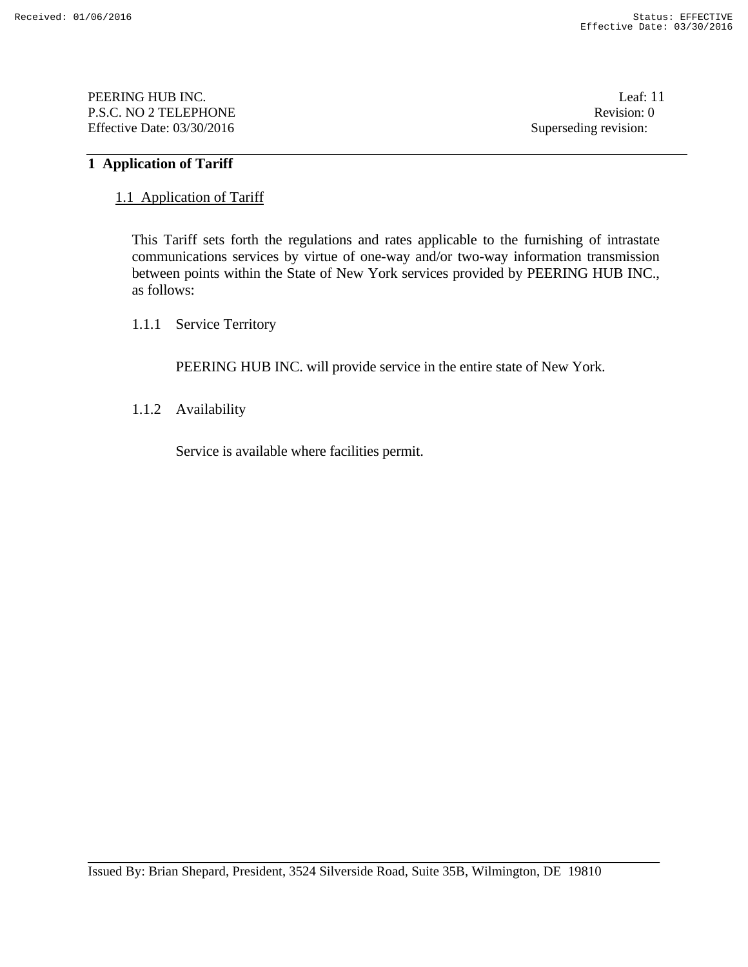PEERING HUB INC. Leaf: 11 P.S.C. NO 2 TELEPHONE Revision: 0 Effective Date: 03/30/2016 Superseding revision:

#### **1 Application of Tariff**

#### 1.1 Application of Tariff

 This Tariff sets forth the regulations and rates applicable to the furnishing of intrastate communications services by virtue of one-way and/or two-way information transmission between points within the State of New York services provided by PEERING HUB INC., as follows:

# 1.1.1 Service Territory

PEERING HUB INC. will provide service in the entire state of New York.

1.1.2 Availability

Service is available where facilities permit.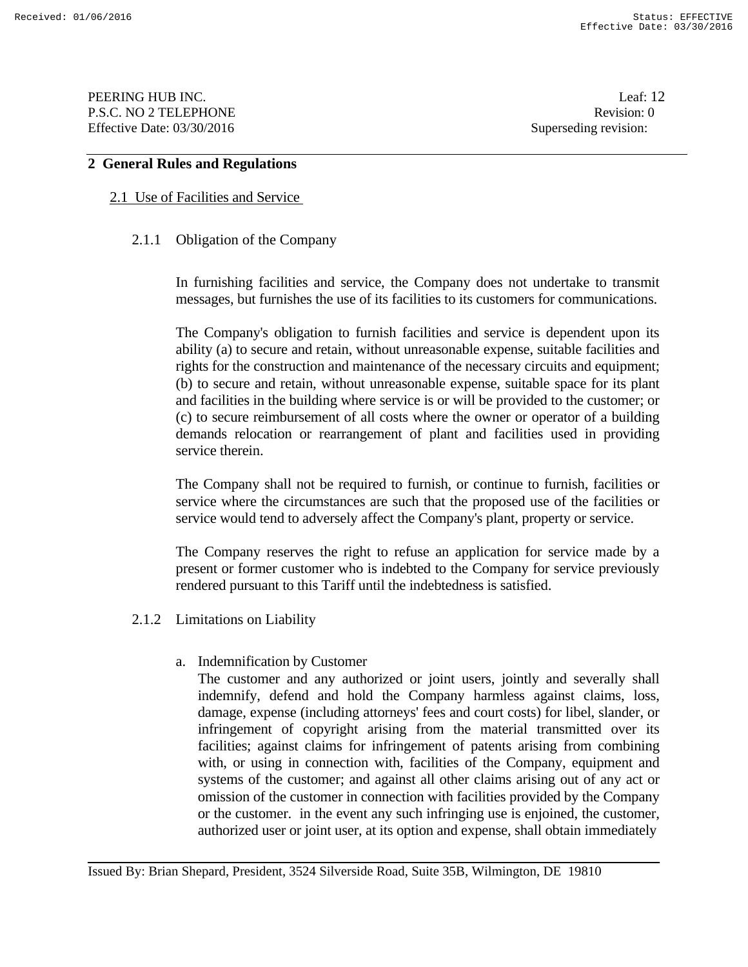PEERING HUB INC. Leaf: 12 P.S.C. NO 2 TELEPHONE Revision: 0 Effective Date: 03/30/2016 Superseding revision:

# **2 General Rules and Regulations**

## 2.1 Use of Facilities and Service

#### 2.1.1 Obligation of the Company

 In furnishing facilities and service, the Company does not undertake to transmit messages, but furnishes the use of its facilities to its customers for communications.

 The Company's obligation to furnish facilities and service is dependent upon its ability (a) to secure and retain, without unreasonable expense, suitable facilities and rights for the construction and maintenance of the necessary circuits and equipment; (b) to secure and retain, without unreasonable expense, suitable space for its plant and facilities in the building where service is or will be provided to the customer; or (c) to secure reimbursement of all costs where the owner or operator of a building demands relocation or rearrangement of plant and facilities used in providing service therein.

The Company shall not be required to furnish, or continue to furnish, facilities or service where the circumstances are such that the proposed use of the facilities or service would tend to adversely affect the Company's plant, property or service.

 The Company reserves the right to refuse an application for service made by a present or former customer who is indebted to the Company for service previously rendered pursuant to this Tariff until the indebtedness is satisfied.

- 2.1.2 Limitations on Liability
	- a. Indemnification by Customer

 The customer and any authorized or joint users, jointly and severally shall indemnify, defend and hold the Company harmless against claims, loss, damage, expense (including attorneys' fees and court costs) for libel, slander, or infringement of copyright arising from the material transmitted over its facilities; against claims for infringement of patents arising from combining with, or using in connection with, facilities of the Company, equipment and systems of the customer; and against all other claims arising out of any act or omission of the customer in connection with facilities provided by the Company or the customer. in the event any such infringing use is enjoined, the customer, authorized user or joint user, at its option and expense, shall obtain immediately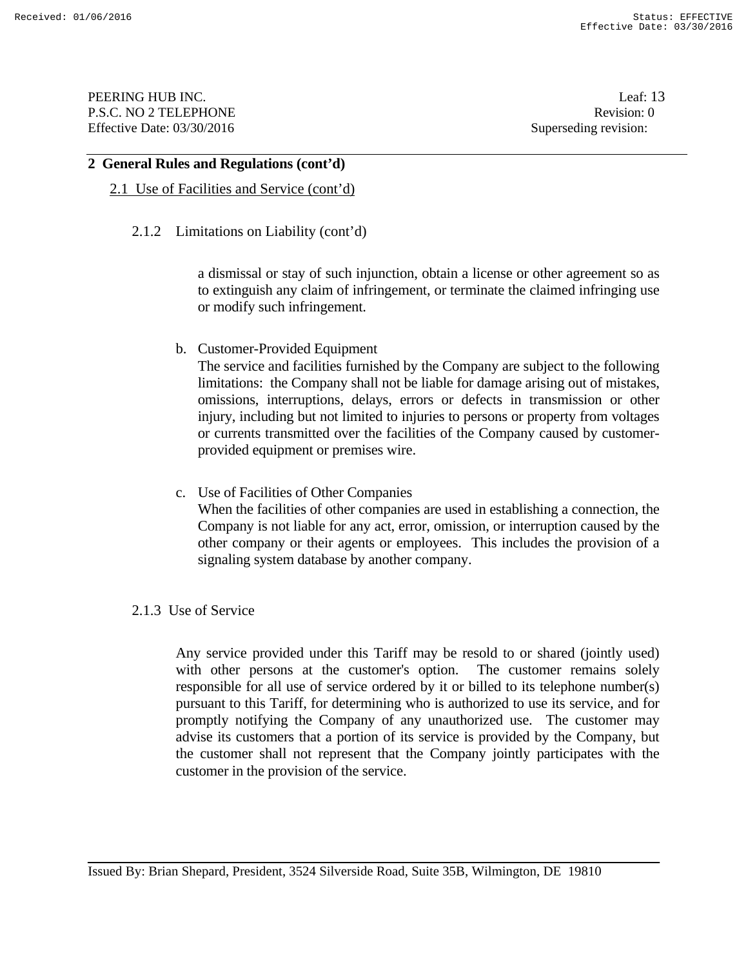PEERING HUB INC. Leaf: 13 P.S.C. NO 2 TELEPHONE Revision: 0 Effective Date: 03/30/2016 Superseding revision:

#### **2 General Rules and Regulations (cont'd)**

#### 2.1 Use of Facilities and Service (cont'd)

#### 2.1.2 Limitations on Liability (cont'd)

a dismissal or stay of such injunction, obtain a license or other agreement so as to extinguish any claim of infringement, or terminate the claimed infringing use or modify such infringement.

b. Customer-Provided Equipment

 The service and facilities furnished by the Company are subject to the following limitations: the Company shall not be liable for damage arising out of mistakes, omissions, interruptions, delays, errors or defects in transmission or other injury, including but not limited to injuries to persons or property from voltages or currents transmitted over the facilities of the Company caused by customerprovided equipment or premises wire.

c. Use of Facilities of Other Companies When the facilities of other companies are used in establishing a connection, the Company is not liable for any act, error, omission, or interruption caused by the other company or their agents or employees. This includes the provision of a signaling system database by another company.

## 2.1.3 Use of Service

 Any service provided under this Tariff may be resold to or shared (jointly used) with other persons at the customer's option. The customer remains solely responsible for all use of service ordered by it or billed to its telephone number(s) pursuant to this Tariff, for determining who is authorized to use its service, and for promptly notifying the Company of any unauthorized use. The customer may advise its customers that a portion of its service is provided by the Company, but the customer shall not represent that the Company jointly participates with the customer in the provision of the service.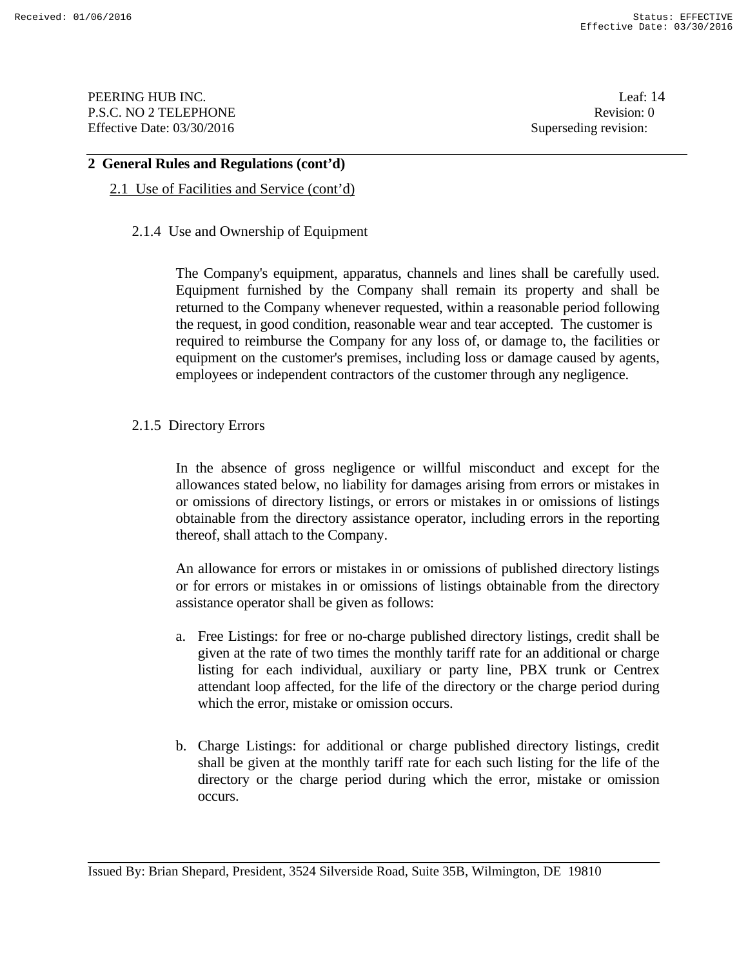PEERING HUB INC. Leaf: 14 P.S.C. NO 2 TELEPHONE Revision: 0 Effective Date: 03/30/2016 Superseding revision:

#### **2 General Rules and Regulations (cont'd)**

## 2.1 Use of Facilities and Service (cont'd)

#### 2.1.4 Use and Ownership of Equipment

 The Company's equipment, apparatus, channels and lines shall be carefully used. Equipment furnished by the Company shall remain its property and shall be returned to the Company whenever requested, within a reasonable period following the request, in good condition, reasonable wear and tear accepted. The customer is required to reimburse the Company for any loss of, or damage to, the facilities or equipment on the customer's premises, including loss or damage caused by agents, employees or independent contractors of the customer through any negligence.

#### 2.1.5 Directory Errors

 In the absence of gross negligence or willful misconduct and except for the allowances stated below, no liability for damages arising from errors or mistakes in or omissions of directory listings, or errors or mistakes in or omissions of listings obtainable from the directory assistance operator, including errors in the reporting thereof, shall attach to the Company.

 An allowance for errors or mistakes in or omissions of published directory listings or for errors or mistakes in or omissions of listings obtainable from the directory assistance operator shall be given as follows:

- a. Free Listings: for free or no-charge published directory listings, credit shall be given at the rate of two times the monthly tariff rate for an additional or charge listing for each individual, auxiliary or party line, PBX trunk or Centrex attendant loop affected, for the life of the directory or the charge period during which the error, mistake or omission occurs.
- b. Charge Listings: for additional or charge published directory listings, credit shall be given at the monthly tariff rate for each such listing for the life of the directory or the charge period during which the error, mistake or omission occurs.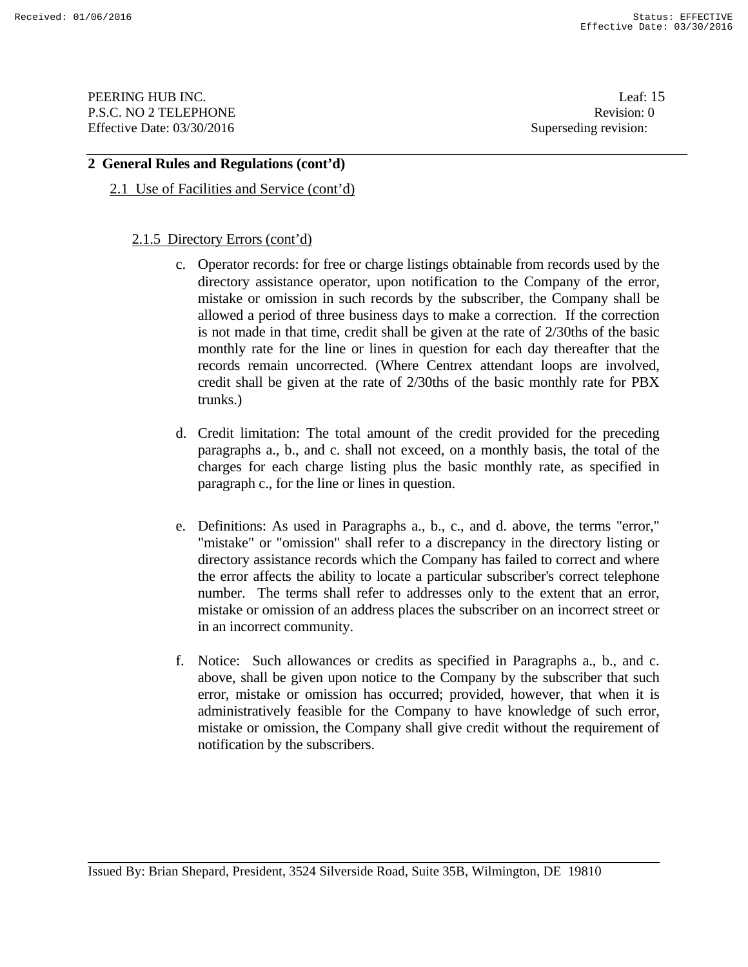**PEERING HUB INC.** Leaf: 15 P.S.C. NO 2 TELEPHONE Revision: 0 Effective Date: 03/30/2016 Superseding revision:

## **2 General Rules and Regulations (cont'd)**

2.1 Use of Facilities and Service (cont'd)

#### 2.1.5 Directory Errors (cont'd)

- c. Operator records: for free or charge listings obtainable from records used by the directory assistance operator, upon notification to the Company of the error, mistake or omission in such records by the subscriber, the Company shall be allowed a period of three business days to make a correction. If the correction is not made in that time, credit shall be given at the rate of 2/30ths of the basic monthly rate for the line or lines in question for each day thereafter that the records remain uncorrected. (Where Centrex attendant loops are involved, credit shall be given at the rate of 2/30ths of the basic monthly rate for PBX trunks.)
- d. Credit limitation: The total amount of the credit provided for the preceding paragraphs a., b., and c. shall not exceed, on a monthly basis, the total of the charges for each charge listing plus the basic monthly rate, as specified in paragraph c., for the line or lines in question.
- e. Definitions: As used in Paragraphs a., b., c., and d. above, the terms "error," "mistake" or "omission" shall refer to a discrepancy in the directory listing or directory assistance records which the Company has failed to correct and where the error affects the ability to locate a particular subscriber's correct telephone number. The terms shall refer to addresses only to the extent that an error, mistake or omission of an address places the subscriber on an incorrect street or in an incorrect community.
- f. Notice: Such allowances or credits as specified in Paragraphs a., b., and c. above, shall be given upon notice to the Company by the subscriber that such error, mistake or omission has occurred; provided, however, that when it is administratively feasible for the Company to have knowledge of such error, mistake or omission, the Company shall give credit without the requirement of notification by the subscribers.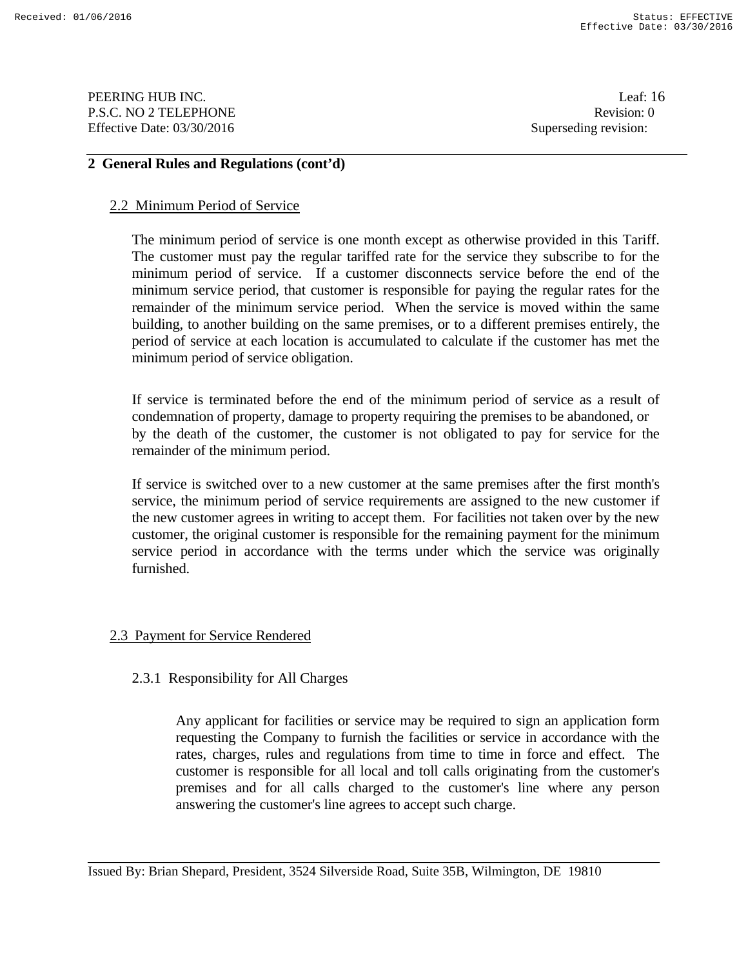PEERING HUB INC. Leaf: 16 P.S.C. NO 2 TELEPHONE Revision: 0 Effective Date: 03/30/2016 Superseding revision:

## **2 General Rules and Regulations (cont'd)**

#### 2.2 Minimum Period of Service

 The minimum period of service is one month except as otherwise provided in this Tariff. The customer must pay the regular tariffed rate for the service they subscribe to for the minimum period of service. If a customer disconnects service before the end of the minimum service period, that customer is responsible for paying the regular rates for the remainder of the minimum service period. When the service is moved within the same building, to another building on the same premises, or to a different premises entirely, the period of service at each location is accumulated to calculate if the customer has met the minimum period of service obligation.

 If service is terminated before the end of the minimum period of service as a result of condemnation of property, damage to property requiring the premises to be abandoned, or by the death of the customer, the customer is not obligated to pay for service for the remainder of the minimum period.

 If service is switched over to a new customer at the same premises after the first month's service, the minimum period of service requirements are assigned to the new customer if the new customer agrees in writing to accept them. For facilities not taken over by the new customer, the original customer is responsible for the remaining payment for the minimum service period in accordance with the terms under which the service was originally furnished.

## 2.3 Payment for Service Rendered

## 2.3.1 Responsibility for All Charges

Any applicant for facilities or service may be required to sign an application form requesting the Company to furnish the facilities or service in accordance with the rates, charges, rules and regulations from time to time in force and effect. The customer is responsible for all local and toll calls originating from the customer's premises and for all calls charged to the customer's line where any person answering the customer's line agrees to accept such charge.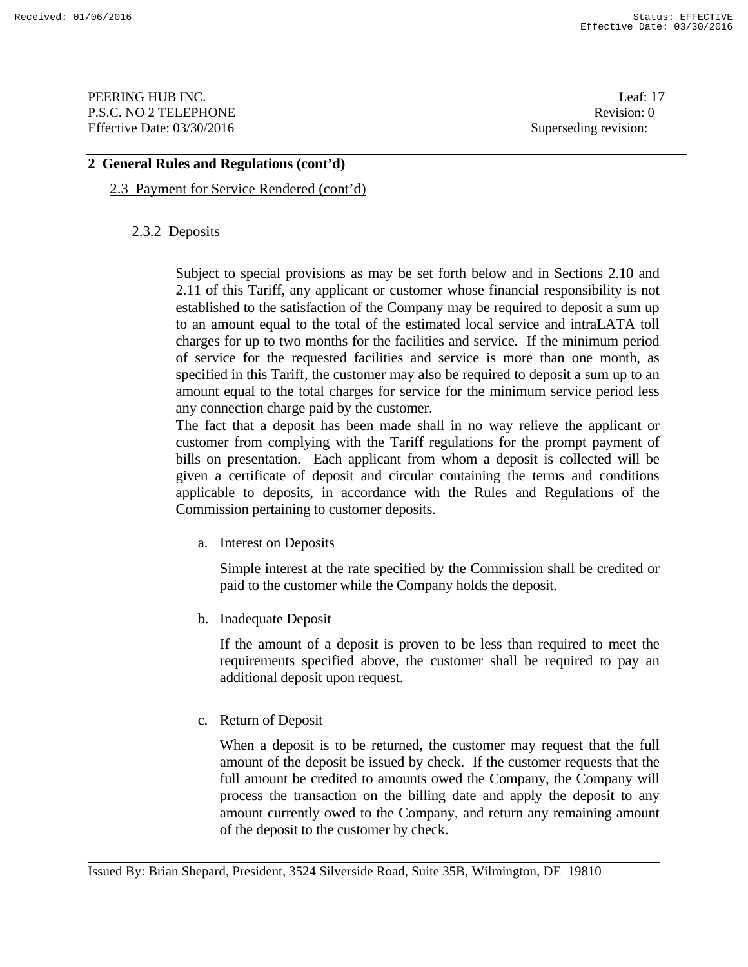PEERING HUB INC. Leaf: 17 P.S.C. NO 2 TELEPHONE Revision: 0 Effective Date: 03/30/2016 Superseding revision:

#### **2 General Rules and Regulations (cont'd)**

## 2.3 Payment for Service Rendered (cont'd)

## 2.3.2 Deposits

Subject to special provisions as may be set forth below and in Sections 2.10 and 2.11 of this Tariff, any applicant or customer whose financial responsibility is not established to the satisfaction of the Company may be required to deposit a sum up to an amount equal to the total of the estimated local service and intraLATA toll charges for up to two months for the facilities and service. If the minimum period of service for the requested facilities and service is more than one month, as specified in this Tariff, the customer may also be required to deposit a sum up to an amount equal to the total charges for service for the minimum service period less any connection charge paid by the customer.

 The fact that a deposit has been made shall in no way relieve the applicant or customer from complying with the Tariff regulations for the prompt payment of bills on presentation. Each applicant from whom a deposit is collected will be given a certificate of deposit and circular containing the terms and conditions applicable to deposits, in accordance with the Rules and Regulations of the Commission pertaining to customer deposits.

a. Interest on Deposits

 Simple interest at the rate specified by the Commission shall be credited or paid to the customer while the Company holds the deposit.

b. Inadequate Deposit

If the amount of a deposit is proven to be less than required to meet the requirements specified above, the customer shall be required to pay an additional deposit upon request.

c. Return of Deposit

 When a deposit is to be returned, the customer may request that the full amount of the deposit be issued by check. If the customer requests that the full amount be credited to amounts owed the Company, the Company will process the transaction on the billing date and apply the deposit to any amount currently owed to the Company, and return any remaining amount of the deposit to the customer by check.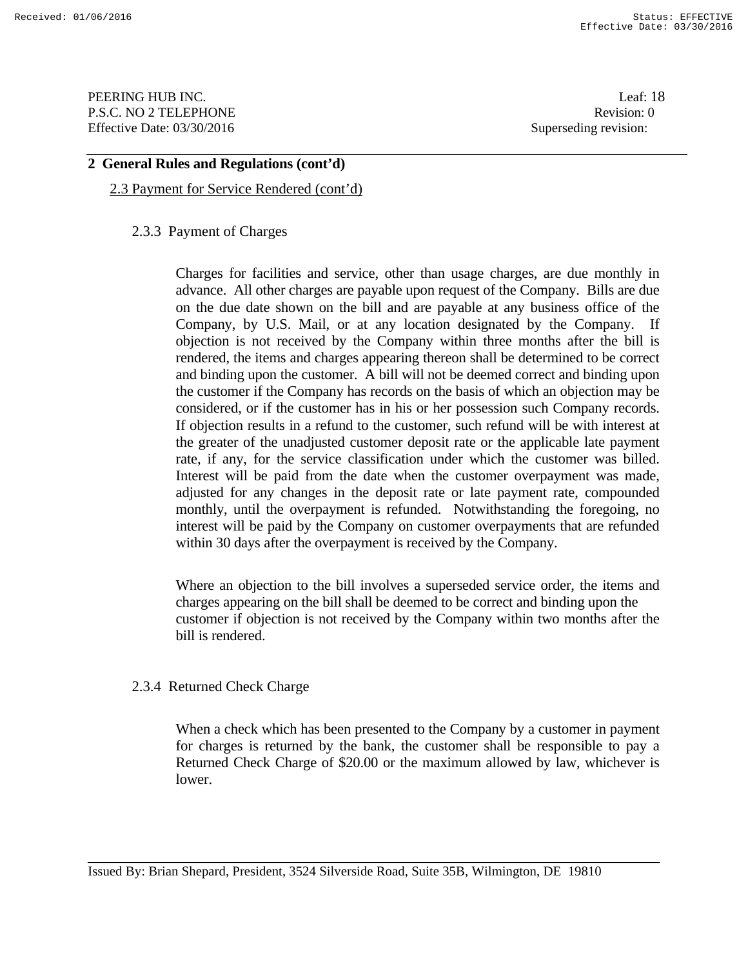PEERING HUB INC. Leaf: 18 P.S.C. NO 2 TELEPHONE Revision: 0 Effective Date: 03/30/2016 Superseding revision:

#### **2 General Rules and Regulations (cont'd)**

#### 2.3 Payment for Service Rendered (cont'd)

#### 2.3.3 Payment of Charges

Charges for facilities and service, other than usage charges, are due monthly in advance. All other charges are payable upon request of the Company. Bills are due on the due date shown on the bill and are payable at any business office of the Company, by U.S. Mail, or at any location designated by the Company. If objection is not received by the Company within three months after the bill is rendered, the items and charges appearing thereon shall be determined to be correct and binding upon the customer. A bill will not be deemed correct and binding upon the customer if the Company has records on the basis of which an objection may be considered, or if the customer has in his or her possession such Company records. If objection results in a refund to the customer, such refund will be with interest at the greater of the unadjusted customer deposit rate or the applicable late payment rate, if any, for the service classification under which the customer was billed. Interest will be paid from the date when the customer overpayment was made, adjusted for any changes in the deposit rate or late payment rate, compounded monthly, until the overpayment is refunded. Notwithstanding the foregoing, no interest will be paid by the Company on customer overpayments that are refunded within 30 days after the overpayment is received by the Company.

Where an objection to the bill involves a superseded service order, the items and charges appearing on the bill shall be deemed to be correct and binding upon the customer if objection is not received by the Company within two months after the bill is rendered.

## 2.3.4 Returned Check Charge

When a check which has been presented to the Company by a customer in payment for charges is returned by the bank, the customer shall be responsible to pay a Returned Check Charge of \$20.00 or the maximum allowed by law, whichever is lower.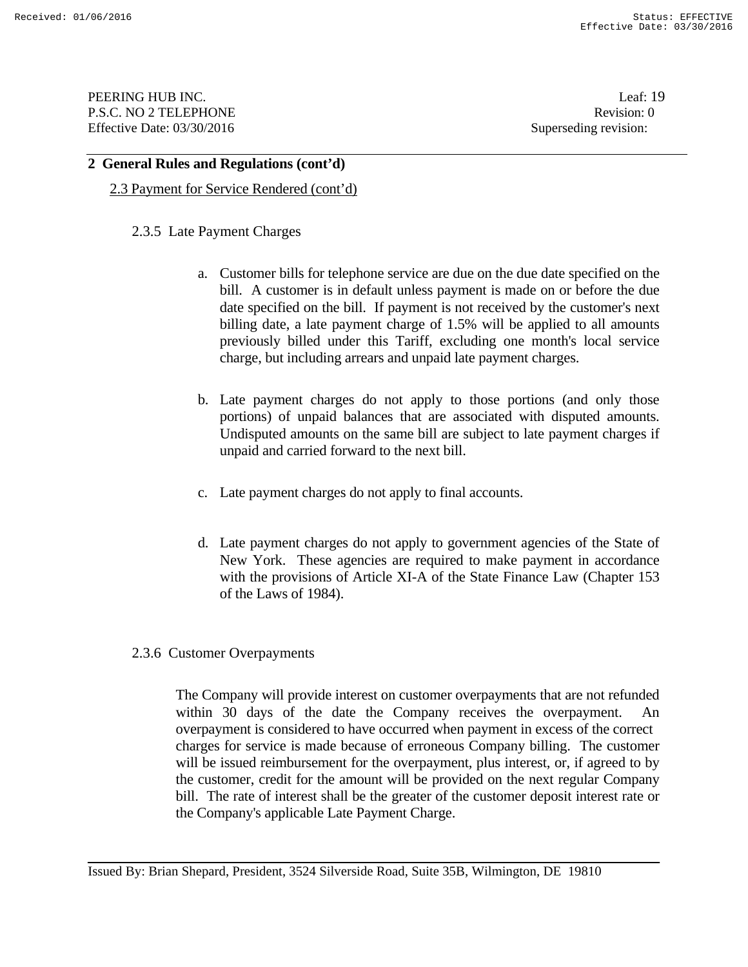PEERING HUB INC. Leaf: 19 P.S.C. NO 2 TELEPHONE Revision: 0 Effective Date: 03/30/2016 Superseding revision:

#### **2 General Rules and Regulations (cont'd)**

2.3 Payment for Service Rendered (cont'd)

#### 2.3.5 Late Payment Charges

- a. Customer bills for telephone service are due on the due date specified on the bill. A customer is in default unless payment is made on or before the due date specified on the bill. If payment is not received by the customer's next billing date, a late payment charge of 1.5% will be applied to all amounts previously billed under this Tariff, excluding one month's local service charge, but including arrears and unpaid late payment charges.
- b. Late payment charges do not apply to those portions (and only those portions) of unpaid balances that are associated with disputed amounts. Undisputed amounts on the same bill are subject to late payment charges if unpaid and carried forward to the next bill.
- c. Late payment charges do not apply to final accounts.
- d. Late payment charges do not apply to government agencies of the State of New York. These agencies are required to make payment in accordance with the provisions of Article XI-A of the State Finance Law (Chapter 153 of the Laws of 1984).

#### 2.3.6 Customer Overpayments

The Company will provide interest on customer overpayments that are not refunded within 30 days of the date the Company receives the overpayment. overpayment is considered to have occurred when payment in excess of the correct charges for service is made because of erroneous Company billing. The customer will be issued reimbursement for the overpayment, plus interest, or, if agreed to by the customer, credit for the amount will be provided on the next regular Company bill. The rate of interest shall be the greater of the customer deposit interest rate or the Company's applicable Late Payment Charge.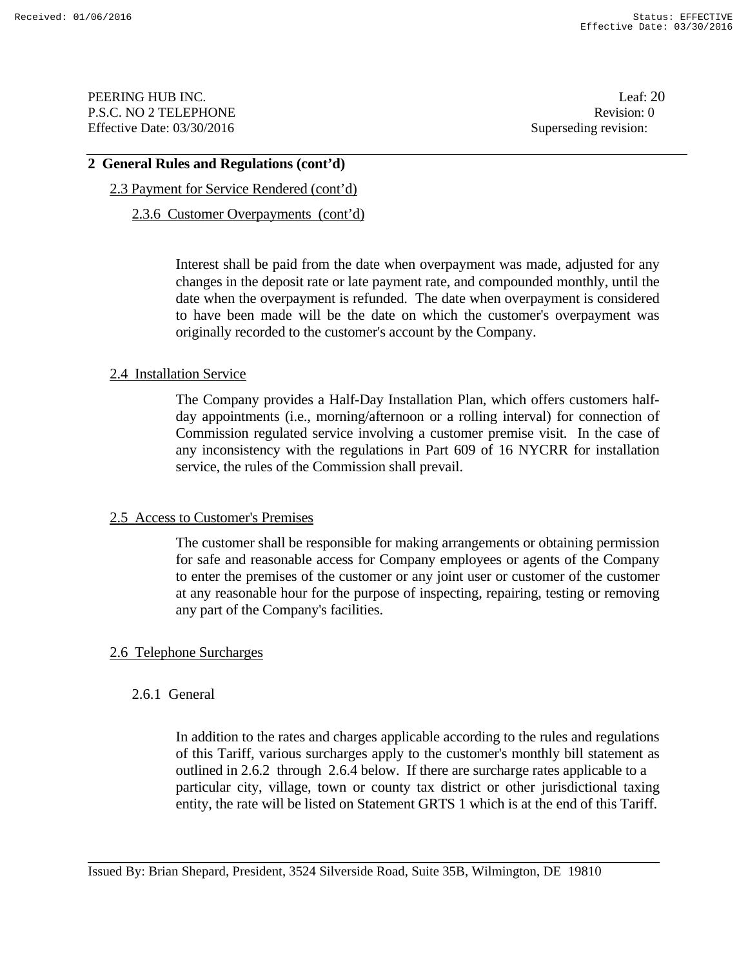PEERING HUB INC. Leaf: 20 P.S.C. NO 2 TELEPHONE Revision: 0 Effective Date: 03/30/2016 Superseding revision:

#### **2 General Rules and Regulations (cont'd)**

## 2.3 Payment for Service Rendered (cont'd)

#### 2.3.6 Customer Overpayments (cont'd)

Interest shall be paid from the date when overpayment was made, adjusted for any changes in the deposit rate or late payment rate, and compounded monthly, until the date when the overpayment is refunded. The date when overpayment is considered to have been made will be the date on which the customer's overpayment was originally recorded to the customer's account by the Company.

#### 2.4 Installation Service

The Company provides a Half-Day Installation Plan, which offers customers halfday appointments (i.e., morning/afternoon or a rolling interval) for connection of Commission regulated service involving a customer premise visit. In the case of any inconsistency with the regulations in Part 609 of 16 NYCRR for installation service, the rules of the Commission shall prevail.

#### 2.5 Access to Customer's Premises

The customer shall be responsible for making arrangements or obtaining permission for safe and reasonable access for Company employees or agents of the Company to enter the premises of the customer or any joint user or customer of the customer at any reasonable hour for the purpose of inspecting, repairing, testing or removing any part of the Company's facilities.

## 2.6 Telephone Surcharges

## 2.6.1 General

In addition to the rates and charges applicable according to the rules and regulations of this Tariff, various surcharges apply to the customer's monthly bill statement as outlined in 2.6.2 through 2.6.4 below. If there are surcharge rates applicable to a particular city, village, town or county tax district or other jurisdictional taxing entity, the rate will be listed on Statement GRTS 1 which is at the end of this Tariff.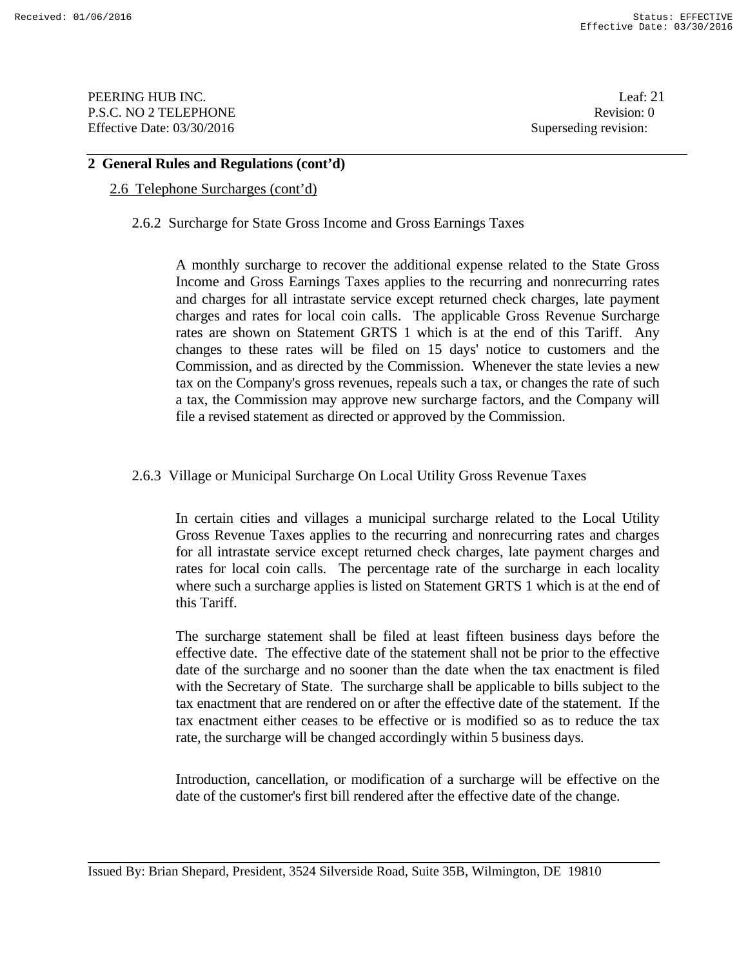PEERING HUB INC. Leaf: 21 P.S.C. NO 2 TELEPHONE Revision: 0 Effective Date: 03/30/2016 Superseding revision:

## **2 General Rules and Regulations (cont'd)**

## 2.6 Telephone Surcharges (cont'd)

#### 2.6.2 Surcharge for State Gross Income and Gross Earnings Taxes

A monthly surcharge to recover the additional expense related to the State Gross Income and Gross Earnings Taxes applies to the recurring and nonrecurring rates and charges for all intrastate service except returned check charges, late payment charges and rates for local coin calls. The applicable Gross Revenue Surcharge rates are shown on Statement GRTS 1 which is at the end of this Tariff. Any changes to these rates will be filed on 15 days' notice to customers and the Commission, and as directed by the Commission. Whenever the state levies a new tax on the Company's gross revenues, repeals such a tax, or changes the rate of such a tax, the Commission may approve new surcharge factors, and the Company will file a revised statement as directed or approved by the Commission.

#### 2.6.3 Village or Municipal Surcharge On Local Utility Gross Revenue Taxes

In certain cities and villages a municipal surcharge related to the Local Utility Gross Revenue Taxes applies to the recurring and nonrecurring rates and charges for all intrastate service except returned check charges, late payment charges and rates for local coin calls. The percentage rate of the surcharge in each locality where such a surcharge applies is listed on Statement GRTS 1 which is at the end of this Tariff.

The surcharge statement shall be filed at least fifteen business days before the effective date. The effective date of the statement shall not be prior to the effective date of the surcharge and no sooner than the date when the tax enactment is filed with the Secretary of State. The surcharge shall be applicable to bills subject to the tax enactment that are rendered on or after the effective date of the statement. If the tax enactment either ceases to be effective or is modified so as to reduce the tax rate, the surcharge will be changed accordingly within 5 business days.

Introduction, cancellation, or modification of a surcharge will be effective on the date of the customer's first bill rendered after the effective date of the change.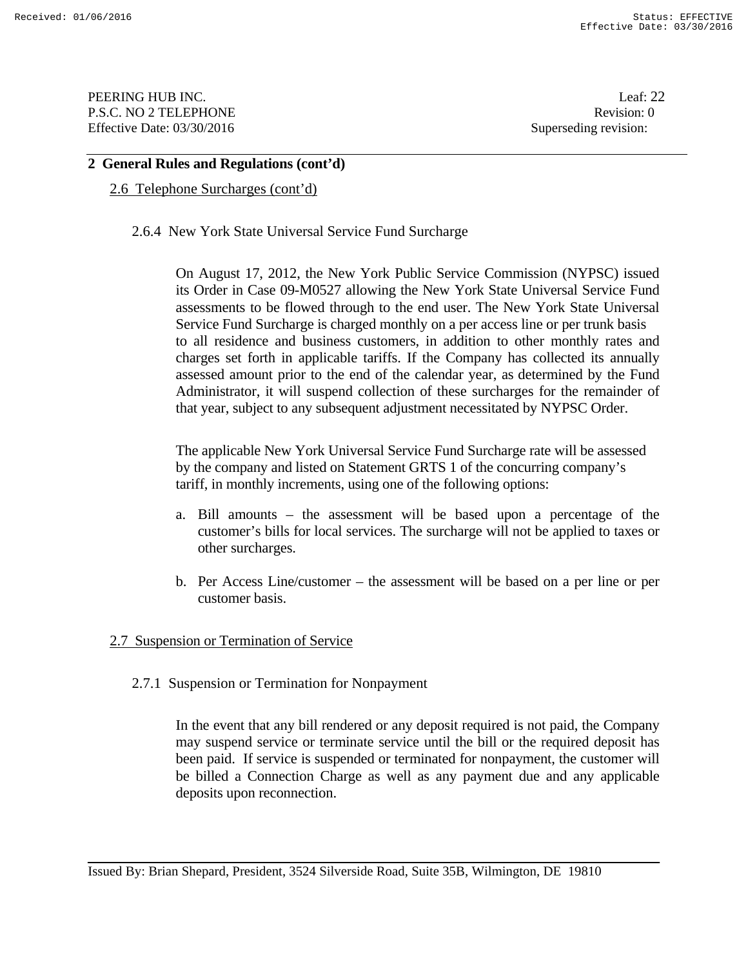PEERING HUB INC. Leaf: 22 P.S.C. NO 2 TELEPHONE Revision: 0 Effective Date: 03/30/2016 Superseding revision:

#### **2 General Rules and Regulations (cont'd)**

## 2.6 Telephone Surcharges (cont'd)

2.6.4 New York State Universal Service Fund Surcharge

On August 17, 2012, the New York Public Service Commission (NYPSC) issued its Order in Case 09-M0527 allowing the New York State Universal Service Fund assessments to be flowed through to the end user. The New York State Universal Service Fund Surcharge is charged monthly on a per access line or per trunk basis to all residence and business customers, in addition to other monthly rates and charges set forth in applicable tariffs. If the Company has collected its annually assessed amount prior to the end of the calendar year, as determined by the Fund Administrator, it will suspend collection of these surcharges for the remainder of that year, subject to any subsequent adjustment necessitated by NYPSC Order.

The applicable New York Universal Service Fund Surcharge rate will be assessed by the company and listed on Statement GRTS 1 of the concurring company's tariff, in monthly increments, using one of the following options:

- a. Bill amounts the assessment will be based upon a percentage of the customer's bills for local services. The surcharge will not be applied to taxes or other surcharges.
- b. Per Access Line/customer the assessment will be based on a per line or per customer basis.

#### 2.7 Suspension or Termination of Service

#### 2.7.1 Suspension or Termination for Nonpayment

In the event that any bill rendered or any deposit required is not paid, the Company may suspend service or terminate service until the bill or the required deposit has been paid. If service is suspended or terminated for nonpayment, the customer will be billed a Connection Charge as well as any payment due and any applicable deposits upon reconnection.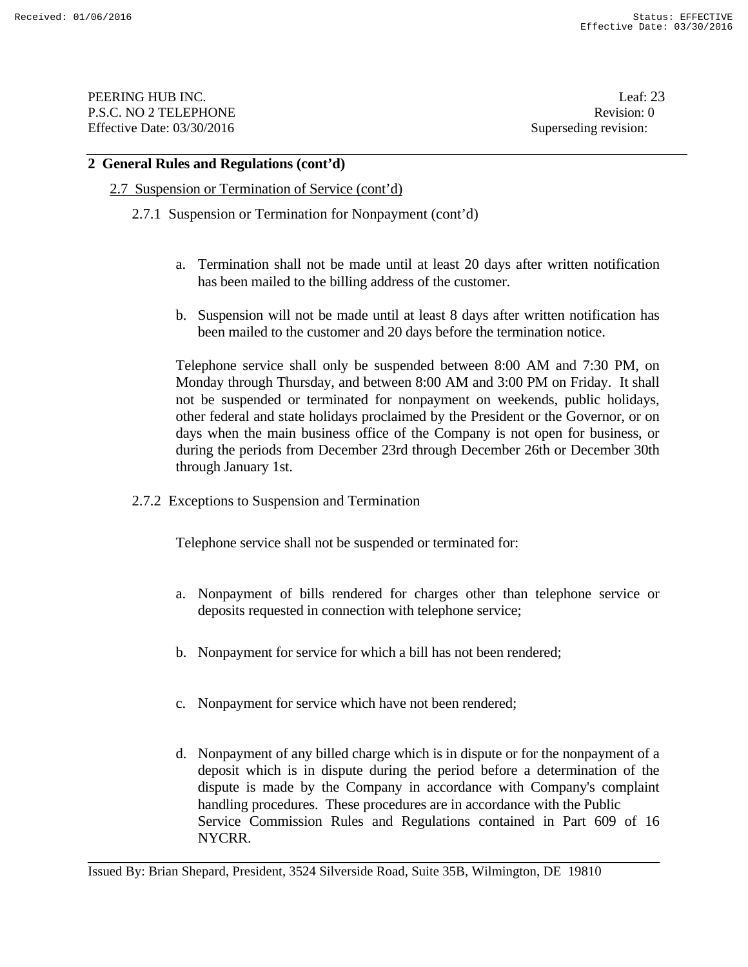PEERING HUB INC. Leaf: 23 P.S.C. NO 2 TELEPHONE Revision: 0 Effective Date: 03/30/2016 Superseding revision:

#### **2 General Rules and Regulations (cont'd)**

#### 2.7 Suspension or Termination of Service (cont'd)

- 2.7.1 Suspension or Termination for Nonpayment (cont'd)
	- a. Termination shall not be made until at least 20 days after written notification has been mailed to the billing address of the customer.
	- b. Suspension will not be made until at least 8 days after written notification has been mailed to the customer and 20 days before the termination notice.

Telephone service shall only be suspended between 8:00 AM and 7:30 PM, on Monday through Thursday, and between 8:00 AM and 3:00 PM on Friday. It shall not be suspended or terminated for nonpayment on weekends, public holidays, other federal and state holidays proclaimed by the President or the Governor, or on days when the main business office of the Company is not open for business, or during the periods from December 23rd through December 26th or December 30th through January 1st.

2.7.2 Exceptions to Suspension and Termination

Telephone service shall not be suspended or terminated for:

- a. Nonpayment of bills rendered for charges other than telephone service or deposits requested in connection with telephone service;
- b. Nonpayment for service for which a bill has not been rendered;
- c. Nonpayment for service which have not been rendered;
- d. Nonpayment of any billed charge which is in dispute or for the nonpayment of a deposit which is in dispute during the period before a determination of the dispute is made by the Company in accordance with Company's complaint handling procedures. These procedures are in accordance with the Public Service Commission Rules and Regulations contained in Part 609 of 16 NYCRR.

Issued By: Brian Shepard, President, 3524 Silverside Road, Suite 35B, Wilmington, DE 19810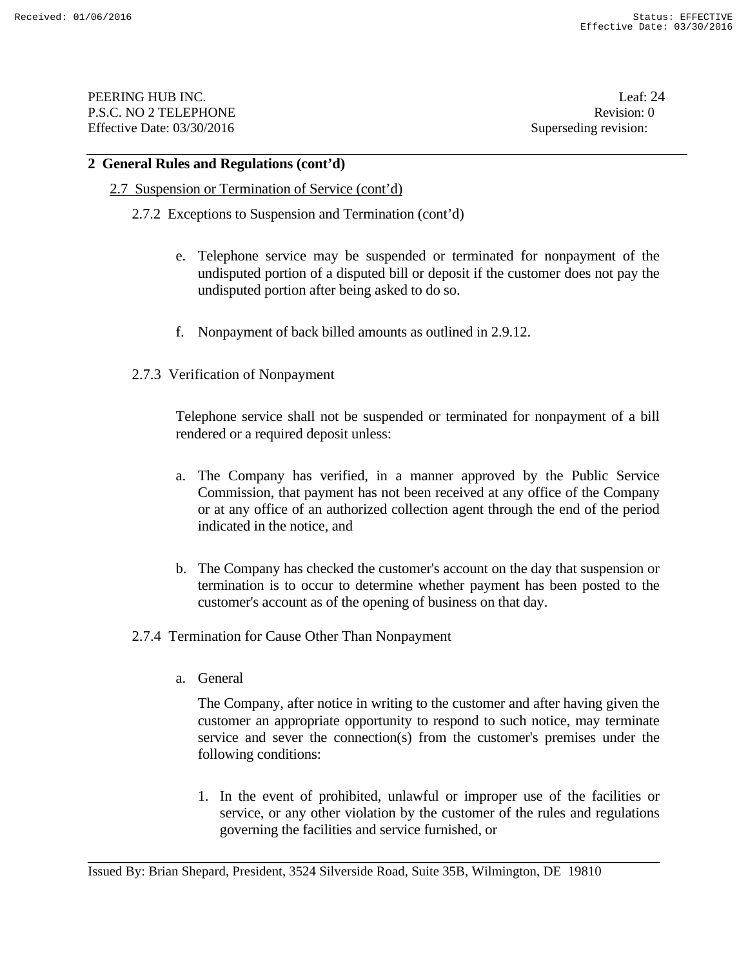PEERING HUB INC. Leaf: 24 P.S.C. NO 2 TELEPHONE Revision: 0 Effective Date: 03/30/2016 Superseding revision:

#### **2 General Rules and Regulations (cont'd)**

#### 2.7 Suspension or Termination of Service (cont'd)

- 2.7.2 Exceptions to Suspension and Termination (cont'd)
	- e. Telephone service may be suspended or terminated for nonpayment of the undisputed portion of a disputed bill or deposit if the customer does not pay the undisputed portion after being asked to do so.
	- f. Nonpayment of back billed amounts as outlined in 2.9.12.
- 2.7.3 Verification of Nonpayment

 Telephone service shall not be suspended or terminated for nonpayment of a bill rendered or a required deposit unless:

- a. The Company has verified, in a manner approved by the Public Service Commission, that payment has not been received at any office of the Company or at any office of an authorized collection agent through the end of the period indicated in the notice, and
- b. The Company has checked the customer's account on the day that suspension or termination is to occur to determine whether payment has been posted to the customer's account as of the opening of business on that day.
- 2.7.4 Termination for Cause Other Than Nonpayment
	- a. General

 The Company, after notice in writing to the customer and after having given the customer an appropriate opportunity to respond to such notice, may terminate service and sever the connection(s) from the customer's premises under the following conditions:

1. In the event of prohibited, unlawful or improper use of the facilities or service, or any other violation by the customer of the rules and regulations governing the facilities and service furnished, or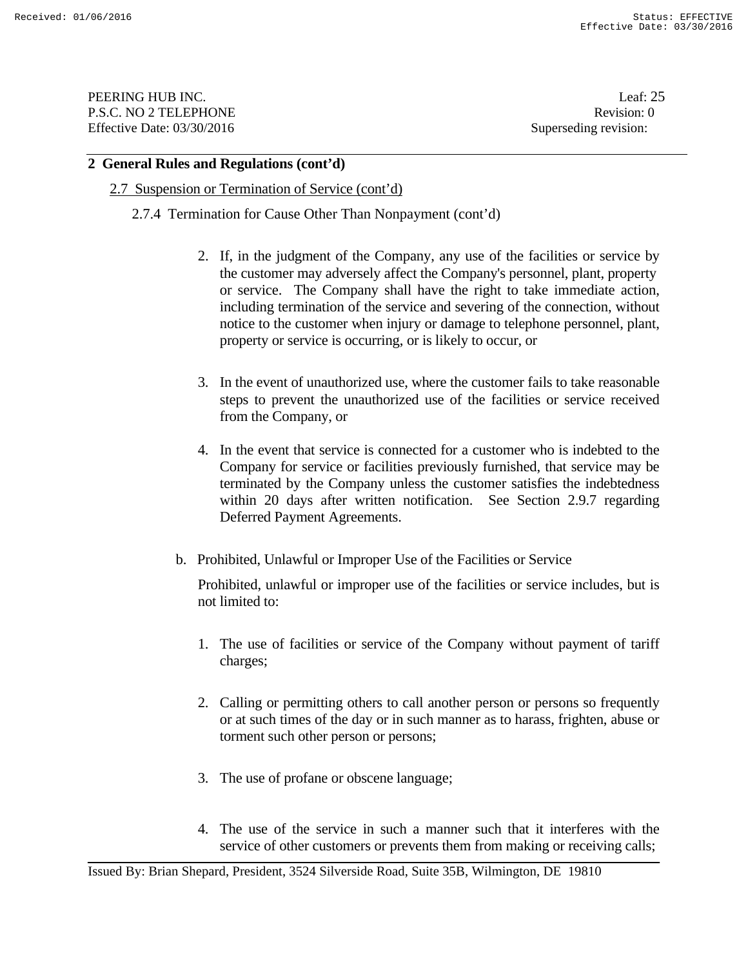PEERING HUB INC. Leaf: 25 P.S.C. NO 2 TELEPHONE Revision: 0 Effective Date: 03/30/2016 Superseding revision:

#### **2 General Rules and Regulations (cont'd)**

#### 2.7 Suspension or Termination of Service (cont'd)

2.7.4 Termination for Cause Other Than Nonpayment (cont'd)

- 2. If, in the judgment of the Company, any use of the facilities or service by the customer may adversely affect the Company's personnel, plant, property or service. The Company shall have the right to take immediate action, including termination of the service and severing of the connection, without notice to the customer when injury or damage to telephone personnel, plant, property or service is occurring, or is likely to occur, or
- 3. In the event of unauthorized use, where the customer fails to take reasonable steps to prevent the unauthorized use of the facilities or service received from the Company, or
- 4. In the event that service is connected for a customer who is indebted to the Company for service or facilities previously furnished, that service may be terminated by the Company unless the customer satisfies the indebtedness within 20 days after written notification. See Section 2.9.7 regarding Deferred Payment Agreements.
- b. Prohibited, Unlawful or Improper Use of the Facilities or Service

Prohibited, unlawful or improper use of the facilities or service includes, but is not limited to:

- 1. The use of facilities or service of the Company without payment of tariff charges;
- 2. Calling or permitting others to call another person or persons so frequently or at such times of the day or in such manner as to harass, frighten, abuse or torment such other person or persons;
- 3. The use of profane or obscene language;
- 4. The use of the service in such a manner such that it interferes with the service of other customers or prevents them from making or receiving calls;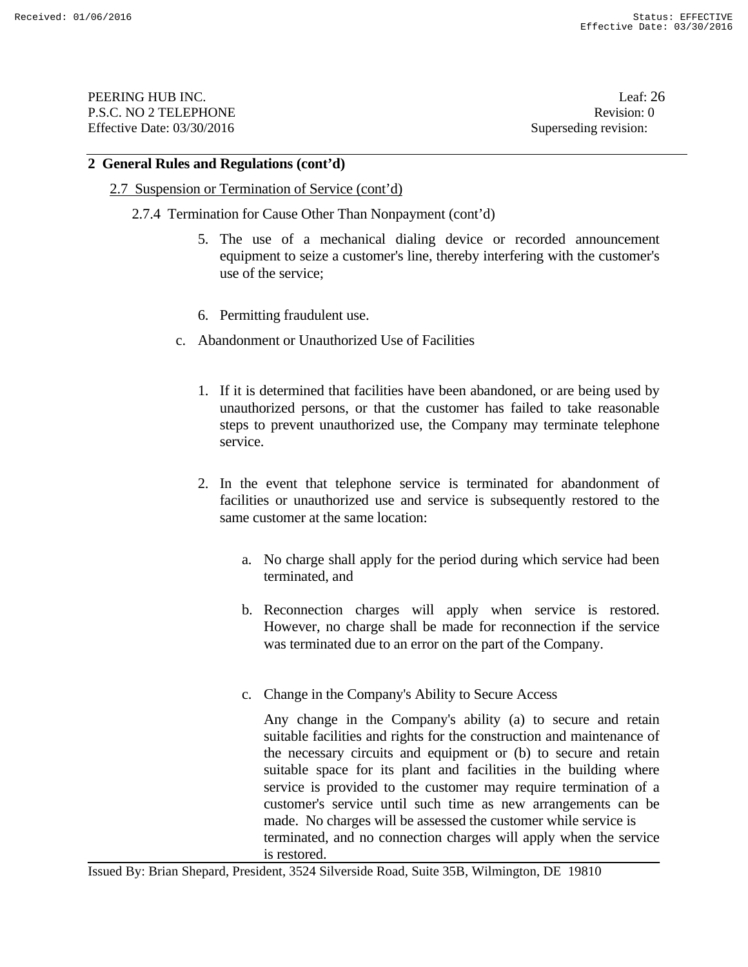PEERING HUB INC. Leaf: 26 P.S.C. NO 2 TELEPHONE Revision: 0 Effective Date: 03/30/2016 Superseding revision:

#### **2 General Rules and Regulations (cont'd)**

#### 2.7 Suspension or Termination of Service (cont'd)

- 2.7.4 Termination for Cause Other Than Nonpayment (cont'd)
	- 5. The use of a mechanical dialing device or recorded announcement equipment to seize a customer's line, thereby interfering with the customer's use of the service;
	- 6. Permitting fraudulent use.
	- c. Abandonment or Unauthorized Use of Facilities
		- 1. If it is determined that facilities have been abandoned, or are being used by unauthorized persons, or that the customer has failed to take reasonable steps to prevent unauthorized use, the Company may terminate telephone service.
		- 2. In the event that telephone service is terminated for abandonment of facilities or unauthorized use and service is subsequently restored to the same customer at the same location:
			- a. No charge shall apply for the period during which service had been terminated, and
			- b. Reconnection charges will apply when service is restored. However, no charge shall be made for reconnection if the service was terminated due to an error on the part of the Company.
			- c. Change in the Company's Ability to Secure Access

Any change in the Company's ability (a) to secure and retain suitable facilities and rights for the construction and maintenance of the necessary circuits and equipment or (b) to secure and retain suitable space for its plant and facilities in the building where service is provided to the customer may require termination of a customer's service until such time as new arrangements can be made. No charges will be assessed the customer while service is terminated, and no connection charges will apply when the service is restored.

Issued By: Brian Shepard, President, 3524 Silverside Road, Suite 35B, Wilmington, DE 19810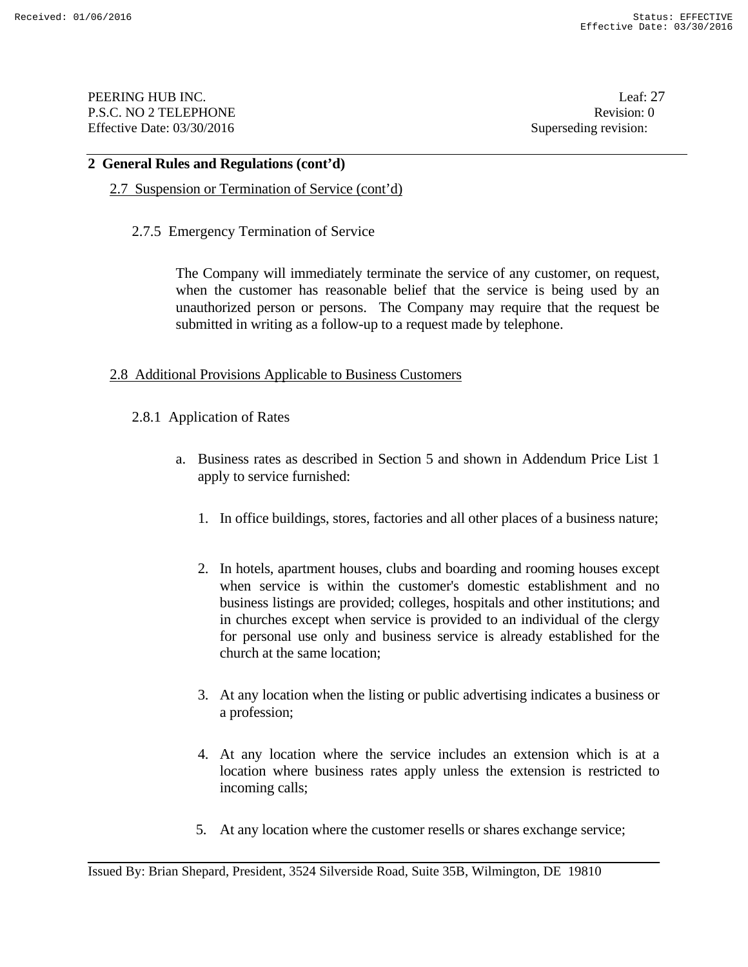PEERING HUB INC. Leaf: 27 P.S.C. NO 2 TELEPHONE Revision: 0 Effective Date: 03/30/2016 Superseding revision:

#### **2 General Rules and Regulations (cont'd)**

## 2.7 Suspension or Termination of Service (cont'd)

2.7.5 Emergency Termination of Service

 The Company will immediately terminate the service of any customer, on request, when the customer has reasonable belief that the service is being used by an unauthorized person or persons. The Company may require that the request be submitted in writing as a follow-up to a request made by telephone.

#### 2.8 Additional Provisions Applicable to Business Customers

- 2.8.1 Application of Rates
	- a. Business rates as described in Section 5 and shown in Addendum Price List 1 apply to service furnished:
		- 1. In office buildings, stores, factories and all other places of a business nature;
		- 2. In hotels, apartment houses, clubs and boarding and rooming houses except when service is within the customer's domestic establishment and no business listings are provided; colleges, hospitals and other institutions; and in churches except when service is provided to an individual of the clergy for personal use only and business service is already established for the church at the same location;
		- 3. At any location when the listing or public advertising indicates a business or a profession;
		- 4. At any location where the service includes an extension which is at a location where business rates apply unless the extension is restricted to incoming calls;
		- 5. At any location where the customer resells or shares exchange service;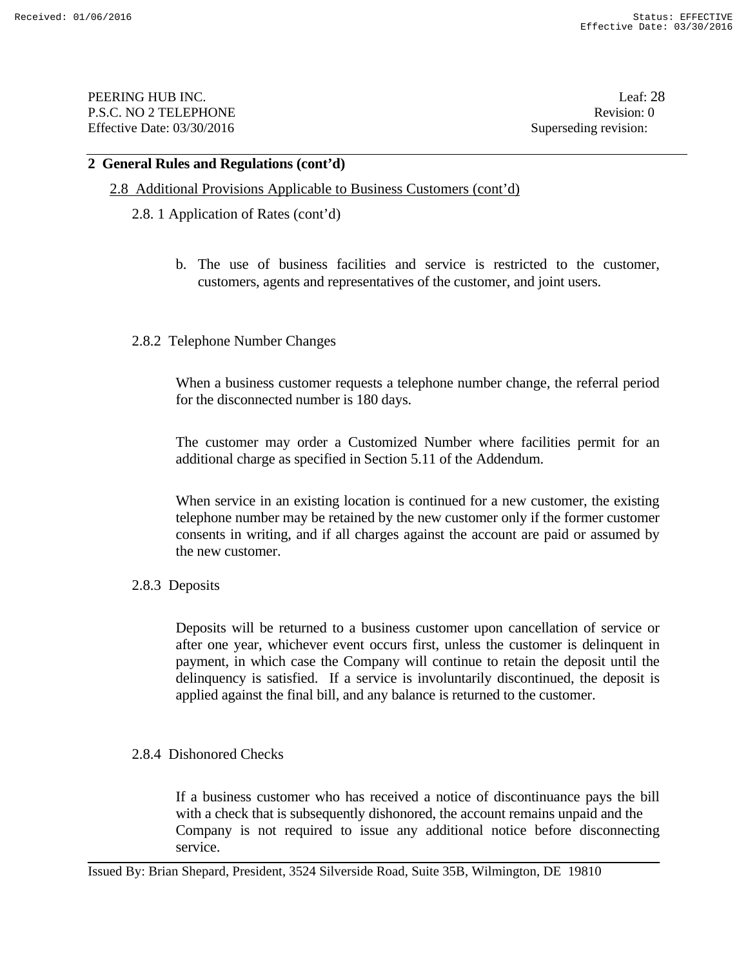PEERING HUB INC. Leaf: 28 P.S.C. NO 2 TELEPHONE Revision: 0 Effective Date: 03/30/2016 Superseding revision:

#### **2 General Rules and Regulations (cont'd)**

#### 2.8 Additional Provisions Applicable to Business Customers (cont'd)

- 2.8. 1 Application of Rates (cont'd)
	- b. The use of business facilities and service is restricted to the customer, customers, agents and representatives of the customer, and joint users.
- 2.8.2 Telephone Number Changes

When a business customer requests a telephone number change, the referral period for the disconnected number is 180 days.

The customer may order a Customized Number where facilities permit for an additional charge as specified in Section 5.11 of the Addendum.

When service in an existing location is continued for a new customer, the existing telephone number may be retained by the new customer only if the former customer consents in writing, and if all charges against the account are paid or assumed by the new customer.

#### 2.8.3 Deposits

Deposits will be returned to a business customer upon cancellation of service or after one year, whichever event occurs first, unless the customer is delinquent in payment, in which case the Company will continue to retain the deposit until the delinquency is satisfied. If a service is involuntarily discontinued, the deposit is applied against the final bill, and any balance is returned to the customer.

#### 2.8.4 Dishonored Checks

If a business customer who has received a notice of discontinuance pays the bill with a check that is subsequently dishonored, the account remains unpaid and the Company is not required to issue any additional notice before disconnecting service.

Issued By: Brian Shepard, President, 3524 Silverside Road, Suite 35B, Wilmington, DE 19810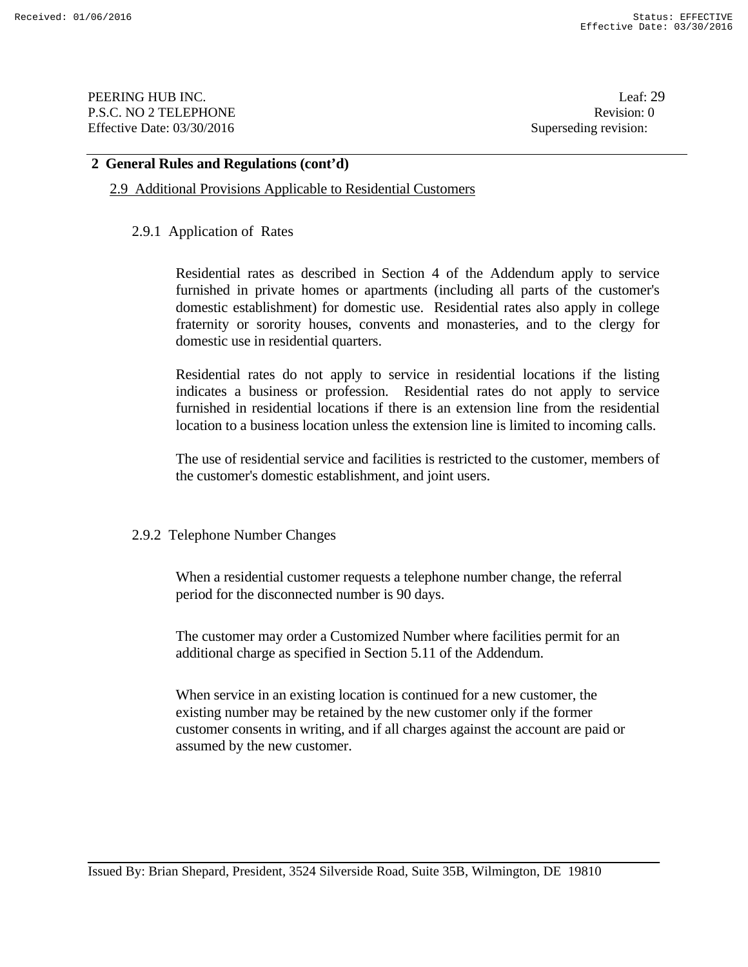PEERING HUB INC. Leaf: 29 P.S.C. NO 2 TELEPHONE Revision: 0 Effective Date: 03/30/2016 Superseding revision:

#### **2 General Rules and Regulations (cont'd)**

#### 2.9 Additional Provisions Applicable to Residential Customers

#### 2.9.1 Application of Rates

Residential rates as described in Section 4 of the Addendum apply to service furnished in private homes or apartments (including all parts of the customer's domestic establishment) for domestic use. Residential rates also apply in college fraternity or sorority houses, convents and monasteries, and to the clergy for domestic use in residential quarters.

Residential rates do not apply to service in residential locations if the listing indicates a business or profession. Residential rates do not apply to service furnished in residential locations if there is an extension line from the residential location to a business location unless the extension line is limited to incoming calls.

The use of residential service and facilities is restricted to the customer, members of the customer's domestic establishment, and joint users.

#### 2.9.2 Telephone Number Changes

When a residential customer requests a telephone number change, the referral period for the disconnected number is 90 days.

 The customer may order a Customized Number where facilities permit for an additional charge as specified in Section 5.11 of the Addendum.

When service in an existing location is continued for a new customer, the existing number may be retained by the new customer only if the former customer consents in writing, and if all charges against the account are paid or assumed by the new customer.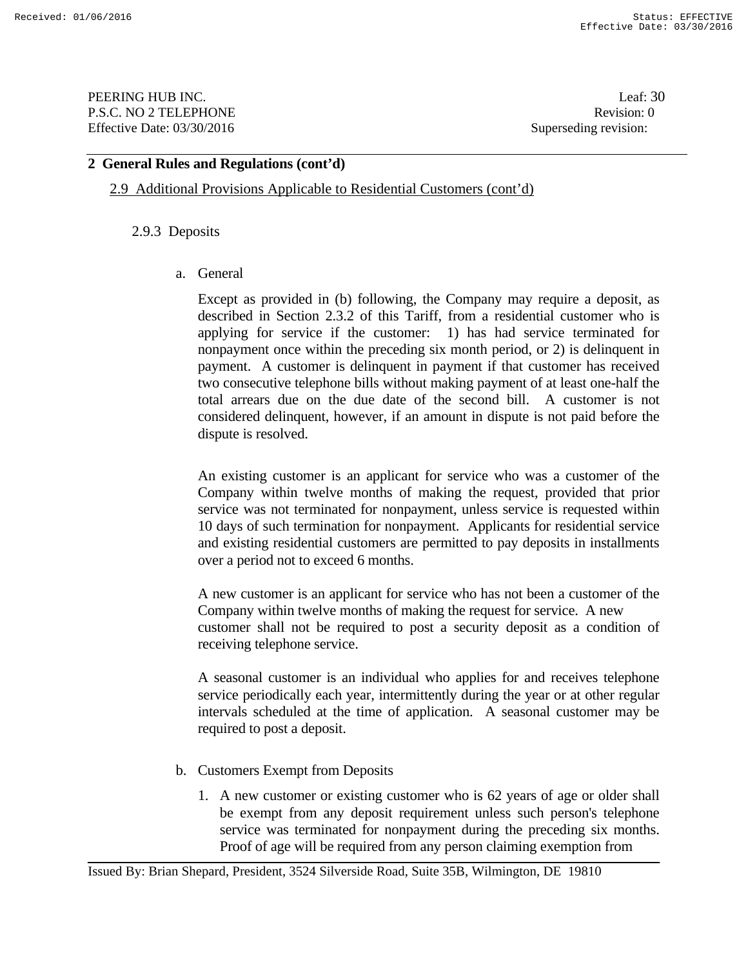**PEERING HUB INC.** Leaf: 30 P.S.C. NO 2 TELEPHONE Revision: 0 Effective Date: 03/30/2016 Superseding revision:

## **2 General Rules and Regulations (cont'd)**

2.9 Additional Provisions Applicable to Residential Customers (cont'd)

## 2.9.3 Deposits

a. General

Except as provided in (b) following, the Company may require a deposit, as described in Section 2.3.2 of this Tariff, from a residential customer who is applying for service if the customer: 1) has had service terminated for nonpayment once within the preceding six month period, or 2) is delinquent in payment. A customer is delinquent in payment if that customer has received two consecutive telephone bills without making payment of at least one-half the total arrears due on the due date of the second bill. A customer is not considered delinquent, however, if an amount in dispute is not paid before the dispute is resolved.

An existing customer is an applicant for service who was a customer of the Company within twelve months of making the request, provided that prior service was not terminated for nonpayment, unless service is requested within 10 days of such termination for nonpayment. Applicants for residential service and existing residential customers are permitted to pay deposits in installments over a period not to exceed 6 months.

A new customer is an applicant for service who has not been a customer of the Company within twelve months of making the request for service. A new customer shall not be required to post a security deposit as a condition of receiving telephone service.

A seasonal customer is an individual who applies for and receives telephone service periodically each year, intermittently during the year or at other regular intervals scheduled at the time of application. A seasonal customer may be required to post a deposit.

- b. Customers Exempt from Deposits
	- 1. A new customer or existing customer who is 62 years of age or older shall be exempt from any deposit requirement unless such person's telephone service was terminated for nonpayment during the preceding six months. Proof of age will be required from any person claiming exemption from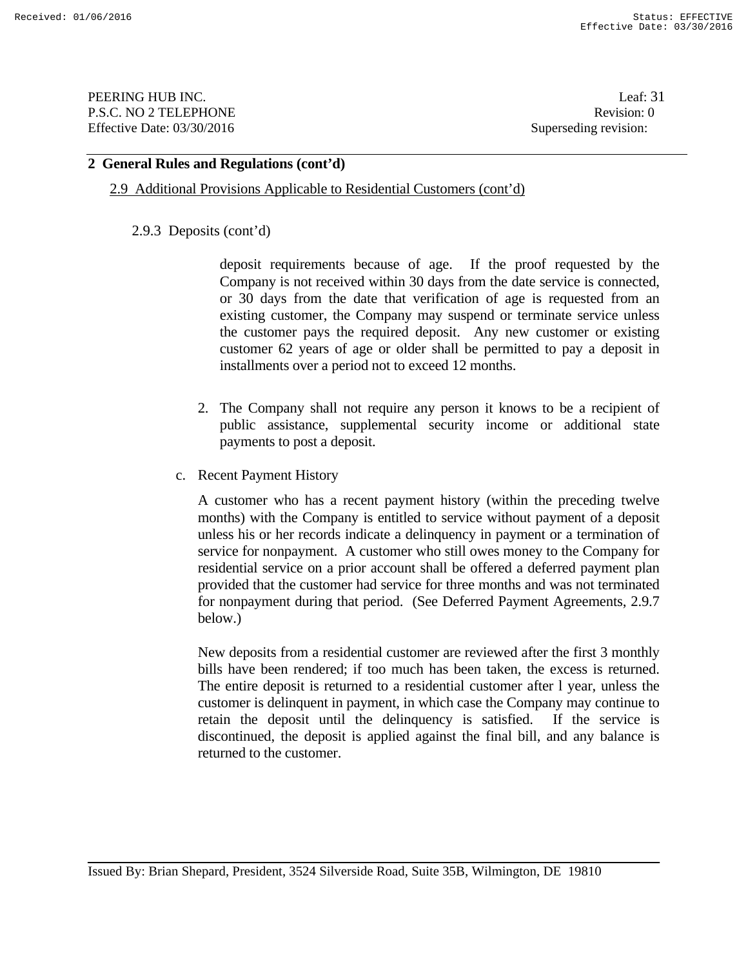PEERING HUB INC. Leaf: 31 P.S.C. NO 2 TELEPHONE Revision: 0 Effective Date: 03/30/2016 Superseding revision:

## **2 General Rules and Regulations (cont'd)**

#### 2.9 Additional Provisions Applicable to Residential Customers (cont'd)

#### 2.9.3 Deposits (cont'd)

deposit requirements because of age. If the proof requested by the Company is not received within 30 days from the date service is connected, or 30 days from the date that verification of age is requested from an existing customer, the Company may suspend or terminate service unless the customer pays the required deposit. Any new customer or existing customer 62 years of age or older shall be permitted to pay a deposit in installments over a period not to exceed 12 months.

- 2. The Company shall not require any person it knows to be a recipient of public assistance, supplemental security income or additional state payments to post a deposit.
- c. Recent Payment History

A customer who has a recent payment history (within the preceding twelve months) with the Company is entitled to service without payment of a deposit unless his or her records indicate a delinquency in payment or a termination of service for nonpayment. A customer who still owes money to the Company for residential service on a prior account shall be offered a deferred payment plan provided that the customer had service for three months and was not terminated for nonpayment during that period. (See Deferred Payment Agreements, 2.9.7 below.)

New deposits from a residential customer are reviewed after the first 3 monthly bills have been rendered; if too much has been taken, the excess is returned. The entire deposit is returned to a residential customer after l year, unless the customer is delinquent in payment, in which case the Company may continue to retain the deposit until the delinquency is satisfied. If the service is discontinued, the deposit is applied against the final bill, and any balance is returned to the customer.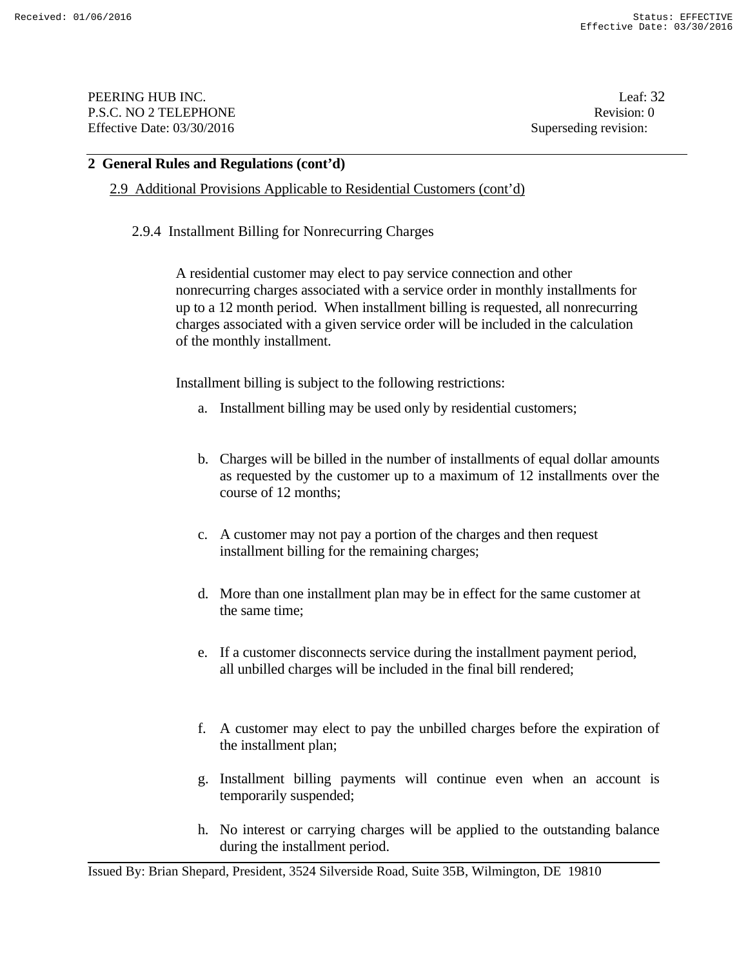PEERING HUB INC. Leaf: 32 P.S.C. NO 2 TELEPHONE Revision: 0 Effective Date: 03/30/2016 Superseding revision:

#### **2 General Rules and Regulations (cont'd)**

2.9 Additional Provisions Applicable to Residential Customers (cont'd)

2.9.4 Installment Billing for Nonrecurring Charges

A residential customer may elect to pay service connection and other nonrecurring charges associated with a service order in monthly installments for up to a 12 month period. When installment billing is requested, all nonrecurring charges associated with a given service order will be included in the calculation of the monthly installment.

Installment billing is subject to the following restrictions:

- a. Installment billing may be used only by residential customers;
- b. Charges will be billed in the number of installments of equal dollar amounts as requested by the customer up to a maximum of 12 installments over the course of 12 months;
- c. A customer may not pay a portion of the charges and then request installment billing for the remaining charges;
- d. More than one installment plan may be in effect for the same customer at the same time;
- e. If a customer disconnects service during the installment payment period, all unbilled charges will be included in the final bill rendered;
- f. A customer may elect to pay the unbilled charges before the expiration of the installment plan;
- g. Installment billing payments will continue even when an account is temporarily suspended;
- h. No interest or carrying charges will be applied to the outstanding balance during the installment period.

Issued By: Brian Shepard, President, 3524 Silverside Road, Suite 35B, Wilmington, DE 19810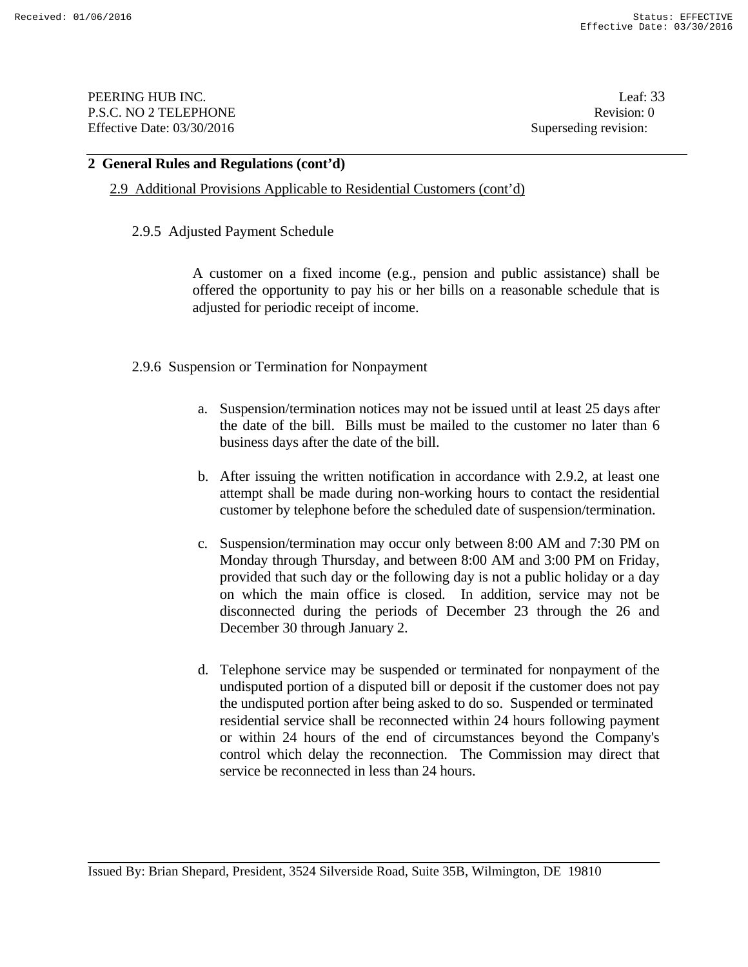PEERING HUB INC. Leaf: 33 P.S.C. NO 2 TELEPHONE Revision: 0 Effective Date: 03/30/2016 Superseding revision:

#### **2 General Rules and Regulations (cont'd)**

#### 2.9 Additional Provisions Applicable to Residential Customers (cont'd)

#### 2.9.5 Adjusted Payment Schedule

 A customer on a fixed income (e.g., pension and public assistance) shall be offered the opportunity to pay his or her bills on a reasonable schedule that is adjusted for periodic receipt of income.

#### 2.9.6 Suspension or Termination for Nonpayment

- a. Suspension/termination notices may not be issued until at least 25 days after the date of the bill. Bills must be mailed to the customer no later than 6 business days after the date of the bill.
- b. After issuing the written notification in accordance with 2.9.2, at least one attempt shall be made during non-working hours to contact the residential customer by telephone before the scheduled date of suspension/termination.
- c. Suspension/termination may occur only between 8:00 AM and 7:30 PM on Monday through Thursday, and between 8:00 AM and 3:00 PM on Friday, provided that such day or the following day is not a public holiday or a day on which the main office is closed. In addition, service may not be disconnected during the periods of December 23 through the 26 and December 30 through January 2.
- d. Telephone service may be suspended or terminated for nonpayment of the undisputed portion of a disputed bill or deposit if the customer does not pay the undisputed portion after being asked to do so. Suspended or terminated residential service shall be reconnected within 24 hours following payment or within 24 hours of the end of circumstances beyond the Company's control which delay the reconnection. The Commission may direct that service be reconnected in less than 24 hours.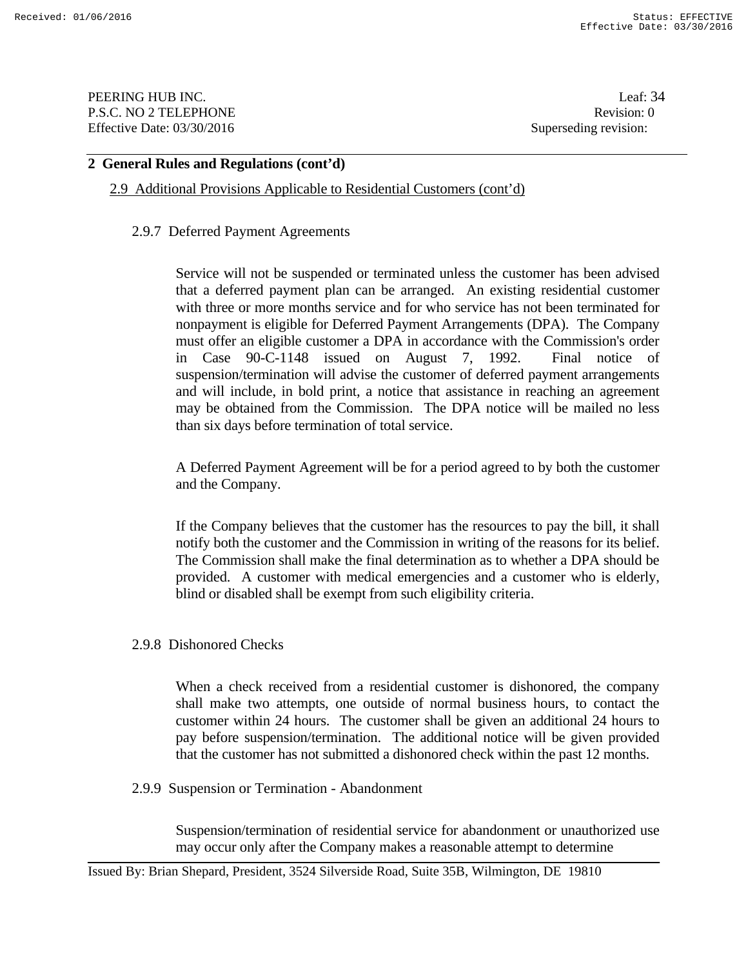PEERING HUB INC. Leaf: 34 P.S.C. NO 2 TELEPHONE Revision: 0 Effective Date: 03/30/2016 Superseding revision:

## **2 General Rules and Regulations (cont'd)**

2.9 Additional Provisions Applicable to Residential Customers (cont'd)

#### 2.9.7 Deferred Payment Agreements

Service will not be suspended or terminated unless the customer has been advised that a deferred payment plan can be arranged. An existing residential customer with three or more months service and for who service has not been terminated for nonpayment is eligible for Deferred Payment Arrangements (DPA). The Company must offer an eligible customer a DPA in accordance with the Commission's order in Case 90-C-1148 issued on August 7, 1992. Final notice of suspension/termination will advise the customer of deferred payment arrangements and will include, in bold print, a notice that assistance in reaching an agreement may be obtained from the Commission. The DPA notice will be mailed no less than six days before termination of total service.

A Deferred Payment Agreement will be for a period agreed to by both the customer and the Company.

If the Company believes that the customer has the resources to pay the bill, it shall notify both the customer and the Commission in writing of the reasons for its belief. The Commission shall make the final determination as to whether a DPA should be provided. A customer with medical emergencies and a customer who is elderly, blind or disabled shall be exempt from such eligibility criteria.

2.9.8 Dishonored Checks

 When a check received from a residential customer is dishonored, the company shall make two attempts, one outside of normal business hours, to contact the customer within 24 hours. The customer shall be given an additional 24 hours to pay before suspension/termination. The additional notice will be given provided that the customer has not submitted a dishonored check within the past 12 months.

#### 2.9.9 Suspension or Termination - Abandonment

 Suspension/termination of residential service for abandonment or unauthorized use may occur only after the Company makes a reasonable attempt to determine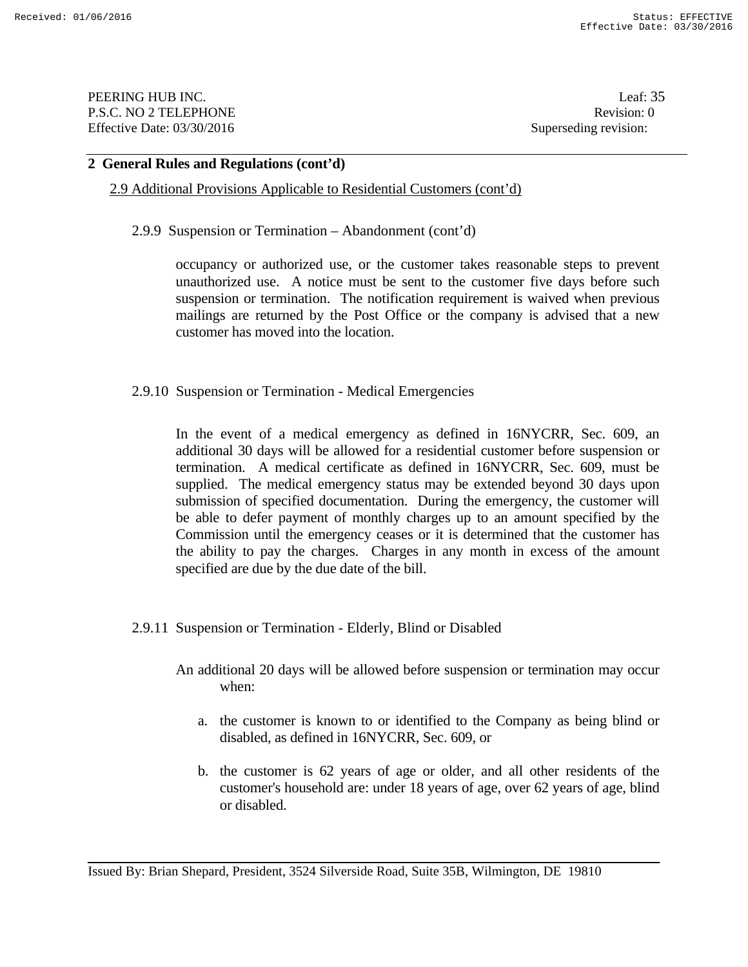PEERING HUB INC. Leaf: 35 P.S.C. NO 2 TELEPHONE Revision: 0 Effective Date: 03/30/2016 Superseding revision:

#### **2 General Rules and Regulations (cont'd)**

## 2.9 Additional Provisions Applicable to Residential Customers (cont'd)

2.9.9 Suspension or Termination – Abandonment (cont'd)

occupancy or authorized use, or the customer takes reasonable steps to prevent unauthorized use. A notice must be sent to the customer five days before such suspension or termination. The notification requirement is waived when previous mailings are returned by the Post Office or the company is advised that a new customer has moved into the location.

2.9.10 Suspension or Termination - Medical Emergencies

In the event of a medical emergency as defined in 16NYCRR, Sec. 609, an additional 30 days will be allowed for a residential customer before suspension or termination. A medical certificate as defined in 16NYCRR, Sec. 609, must be supplied. The medical emergency status may be extended beyond 30 days upon submission of specified documentation. During the emergency, the customer will be able to defer payment of monthly charges up to an amount specified by the Commission until the emergency ceases or it is determined that the customer has the ability to pay the charges. Charges in any month in excess of the amount specified are due by the due date of the bill.

- 2.9.11 Suspension or Termination Elderly, Blind or Disabled
	- An additional 20 days will be allowed before suspension or termination may occur when:
		- a. the customer is known to or identified to the Company as being blind or disabled, as defined in 16NYCRR, Sec. 609, or
		- b. the customer is 62 years of age or older, and all other residents of the customer's household are: under 18 years of age, over 62 years of age, blind or disabled.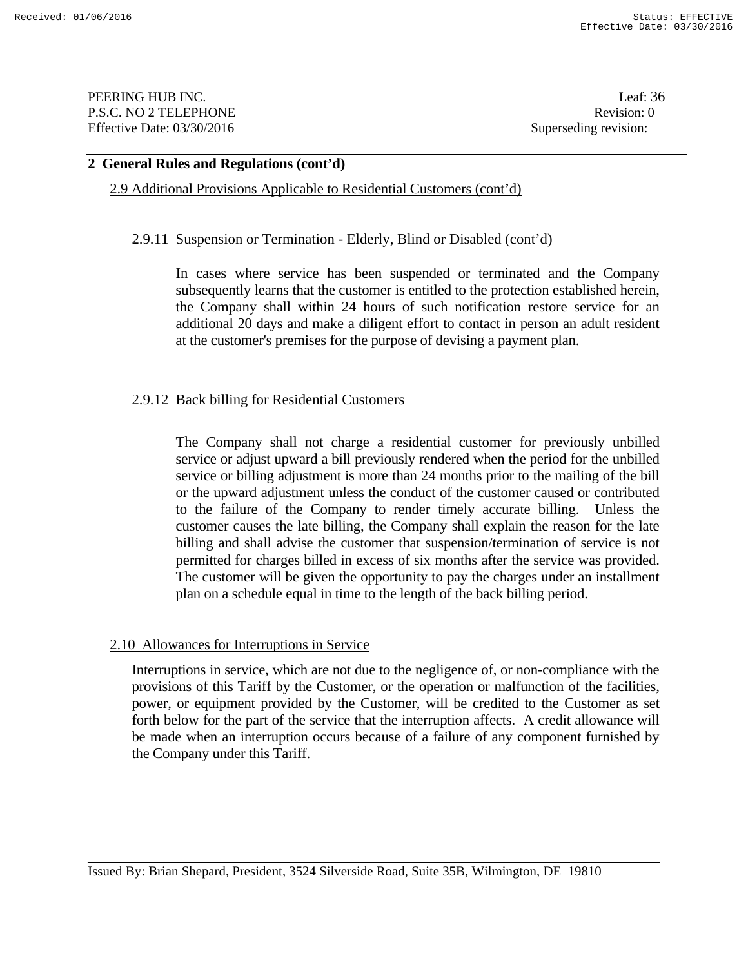PEERING HUB INC. Leaf: 36 P.S.C. NO 2 TELEPHONE Revision: 0 Effective Date: 03/30/2016 Superseding revision:

#### **2 General Rules and Regulations (cont'd)**

2.9 Additional Provisions Applicable to Residential Customers (cont'd)

2.9.11 Suspension or Termination - Elderly, Blind or Disabled (cont'd)

 In cases where service has been suspended or terminated and the Company subsequently learns that the customer is entitled to the protection established herein, the Company shall within 24 hours of such notification restore service for an additional 20 days and make a diligent effort to contact in person an adult resident at the customer's premises for the purpose of devising a payment plan.

#### 2.9.12 Back billing for Residential Customers

The Company shall not charge a residential customer for previously unbilled service or adjust upward a bill previously rendered when the period for the unbilled service or billing adjustment is more than 24 months prior to the mailing of the bill or the upward adjustment unless the conduct of the customer caused or contributed to the failure of the Company to render timely accurate billing. Unless the customer causes the late billing, the Company shall explain the reason for the late billing and shall advise the customer that suspension/termination of service is not permitted for charges billed in excess of six months after the service was provided. The customer will be given the opportunity to pay the charges under an installment plan on a schedule equal in time to the length of the back billing period.

#### 2.10 Allowances for Interruptions in Service

 Interruptions in service, which are not due to the negligence of, or non-compliance with the provisions of this Tariff by the Customer, or the operation or malfunction of the facilities, power, or equipment provided by the Customer, will be credited to the Customer as set forth below for the part of the service that the interruption affects. A credit allowance will be made when an interruption occurs because of a failure of any component furnished by the Company under this Tariff.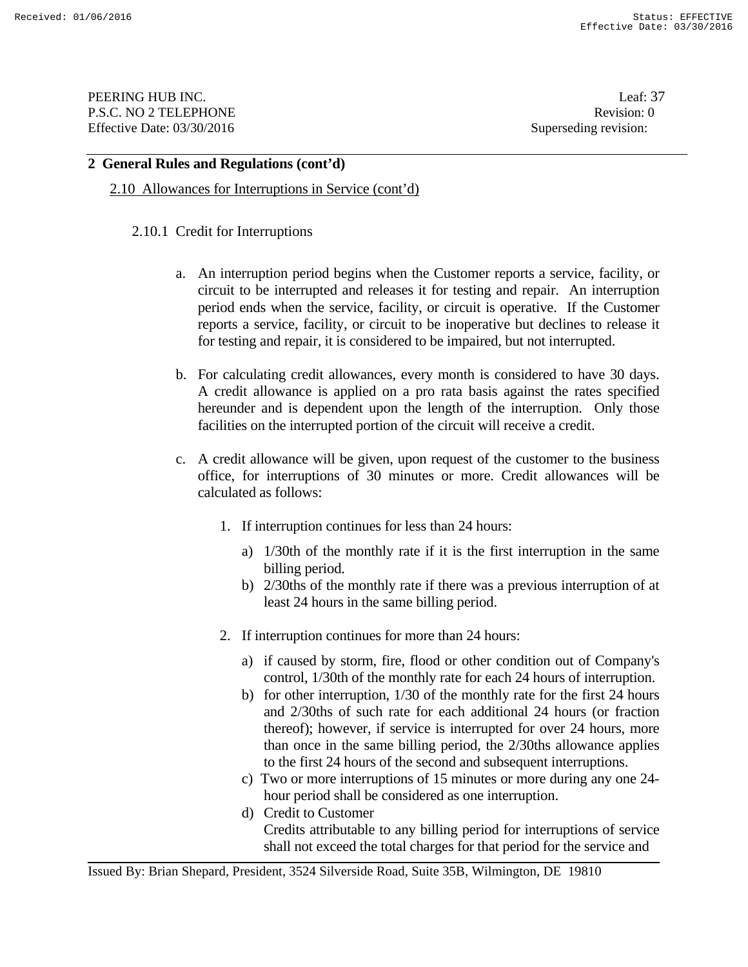PEERING HUB INC. Leaf: 37 P.S.C. NO 2 TELEPHONE Revision: 0 Effective Date: 03/30/2016 Superseding revision:

#### **2 General Rules and Regulations (cont'd)**

2.10 Allowances for Interruptions in Service (cont'd)

## 2.10.1 Credit for Interruptions

- a. An interruption period begins when the Customer reports a service, facility, or circuit to be interrupted and releases it for testing and repair. An interruption period ends when the service, facility, or circuit is operative. If the Customer reports a service, facility, or circuit to be inoperative but declines to release it for testing and repair, it is considered to be impaired, but not interrupted.
- b. For calculating credit allowances, every month is considered to have 30 days. A credit allowance is applied on a pro rata basis against the rates specified hereunder and is dependent upon the length of the interruption. Only those facilities on the interrupted portion of the circuit will receive a credit.
- c. A credit allowance will be given, upon request of the customer to the business office, for interruptions of 30 minutes or more. Credit allowances will be calculated as follows:
	- 1. If interruption continues for less than 24 hours:
		- a) 1/30th of the monthly rate if it is the first interruption in the same billing period.
		- b) 2/30ths of the monthly rate if there was a previous interruption of at least 24 hours in the same billing period.
	- 2. If interruption continues for more than 24 hours:
		- a) if caused by storm, fire, flood or other condition out of Company's control, 1/30th of the monthly rate for each 24 hours of interruption.
		- b) for other interruption, 1/30 of the monthly rate for the first 24 hours and 2/30ths of such rate for each additional 24 hours (or fraction thereof); however, if service is interrupted for over 24 hours, more than once in the same billing period, the 2/30ths allowance applies to the first 24 hours of the second and subsequent interruptions.
		- c) Two or more interruptions of 15 minutes or more during any one 24 hour period shall be considered as one interruption.
		- d) Credit to Customer Credits attributable to any billing period for interruptions of service shall not exceed the total charges for that period for the service and

Issued By: Brian Shepard, President, 3524 Silverside Road, Suite 35B, Wilmington, DE 19810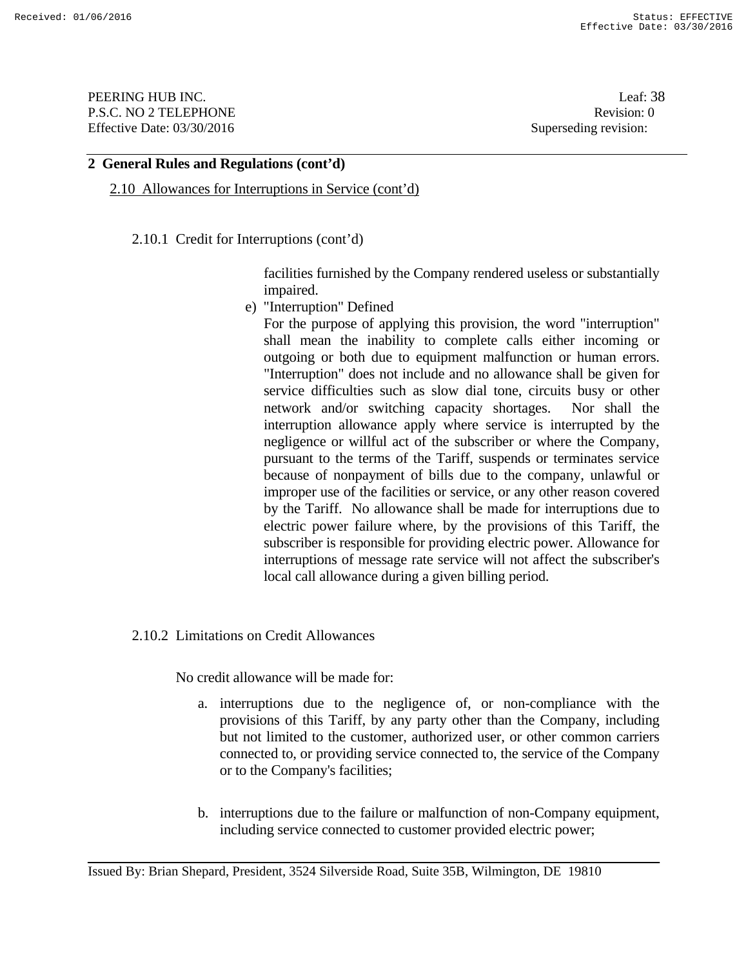PEERING HUB INC. Leaf: 38 P.S.C. NO 2 TELEPHONE Revision: 0 Effective Date: 03/30/2016 Superseding revision:

### **2 General Rules and Regulations (cont'd)**

2.10 Allowances for Interruptions in Service (cont'd)

2.10.1 Credit for Interruptions (cont'd)

facilities furnished by the Company rendered useless or substantially impaired.

e) "Interruption" Defined

For the purpose of applying this provision, the word "interruption" shall mean the inability to complete calls either incoming or outgoing or both due to equipment malfunction or human errors. "Interruption" does not include and no allowance shall be given for service difficulties such as slow dial tone, circuits busy or other network and/or switching capacity shortages. Nor shall the interruption allowance apply where service is interrupted by the negligence or willful act of the subscriber or where the Company, pursuant to the terms of the Tariff, suspends or terminates service because of nonpayment of bills due to the company, unlawful or improper use of the facilities or service, or any other reason covered by the Tariff. No allowance shall be made for interruptions due to electric power failure where, by the provisions of this Tariff, the subscriber is responsible for providing electric power. Allowance for interruptions of message rate service will not affect the subscriber's local call allowance during a given billing period.

#### 2.10.2 Limitations on Credit Allowances

No credit allowance will be made for:

- a. interruptions due to the negligence of, or non-compliance with the provisions of this Tariff, by any party other than the Company, including but not limited to the customer, authorized user, or other common carriers connected to, or providing service connected to, the service of the Company or to the Company's facilities;
- b. interruptions due to the failure or malfunction of non-Company equipment, including service connected to customer provided electric power;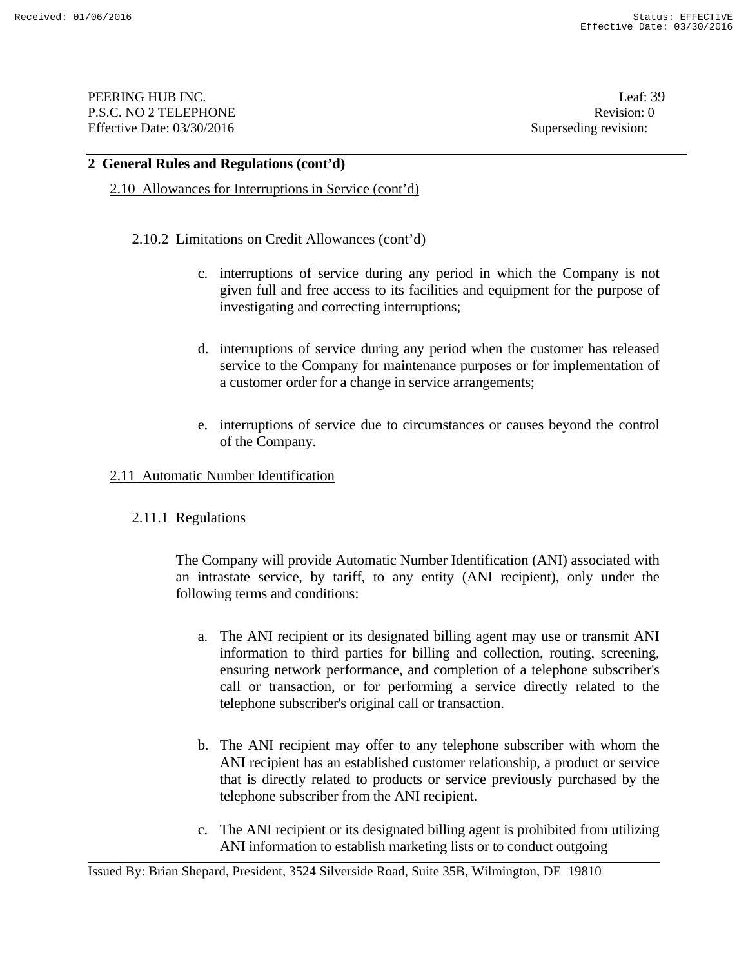PEERING HUB INC. Leaf: 39 P.S.C. NO 2 TELEPHONE Revision: 0 Effective Date: 03/30/2016 Superseding revision:

#### **2 General Rules and Regulations (cont'd)**

2.10 Allowances for Interruptions in Service (cont'd)

### 2.10.2 Limitations on Credit Allowances (cont'd)

- c. interruptions of service during any period in which the Company is not given full and free access to its facilities and equipment for the purpose of investigating and correcting interruptions;
- d. interruptions of service during any period when the customer has released service to the Company for maintenance purposes or for implementation of a customer order for a change in service arrangements;
- e. interruptions of service due to circumstances or causes beyond the control of the Company.

### 2.11 Automatic Number Identification

## 2.11.1 Regulations

 The Company will provide Automatic Number Identification (ANI) associated with an intrastate service, by tariff, to any entity (ANI recipient), only under the following terms and conditions:

- a. The ANI recipient or its designated billing agent may use or transmit ANI information to third parties for billing and collection, routing, screening, ensuring network performance, and completion of a telephone subscriber's call or transaction, or for performing a service directly related to the telephone subscriber's original call or transaction.
- b. The ANI recipient may offer to any telephone subscriber with whom the ANI recipient has an established customer relationship, a product or service that is directly related to products or service previously purchased by the telephone subscriber from the ANI recipient.
- c. The ANI recipient or its designated billing agent is prohibited from utilizing ANI information to establish marketing lists or to conduct outgoing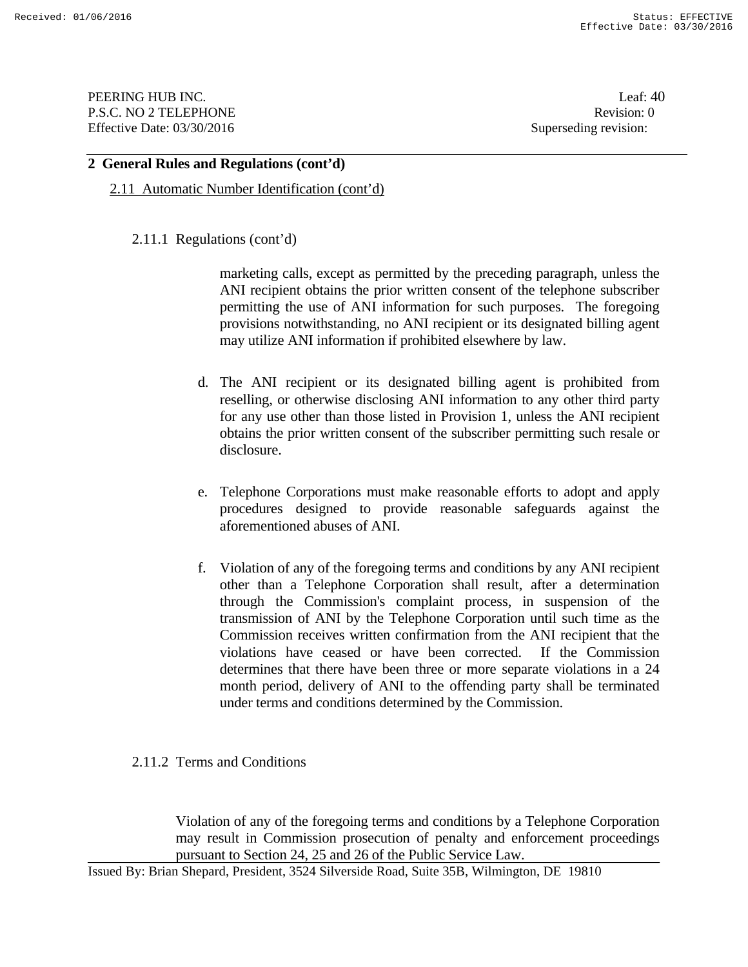PEERING HUB INC. Leaf: 40 P.S.C. NO 2 TELEPHONE Revision: 0 Effective Date: 03/30/2016 Superseding revision:

### **2 General Rules and Regulations (cont'd)**

2.11 Automatic Number Identification (cont'd)

### 2.11.1 Regulations (cont'd)

marketing calls, except as permitted by the preceding paragraph, unless the ANI recipient obtains the prior written consent of the telephone subscriber permitting the use of ANI information for such purposes. The foregoing provisions notwithstanding, no ANI recipient or its designated billing agent may utilize ANI information if prohibited elsewhere by law.

- d. The ANI recipient or its designated billing agent is prohibited from reselling, or otherwise disclosing ANI information to any other third party for any use other than those listed in Provision 1, unless the ANI recipient obtains the prior written consent of the subscriber permitting such resale or disclosure.
- e. Telephone Corporations must make reasonable efforts to adopt and apply procedures designed to provide reasonable safeguards against the aforementioned abuses of ANI.
- f. Violation of any of the foregoing terms and conditions by any ANI recipient other than a Telephone Corporation shall result, after a determination through the Commission's complaint process, in suspension of the transmission of ANI by the Telephone Corporation until such time as the Commission receives written confirmation from the ANI recipient that the violations have ceased or have been corrected. If the Commission determines that there have been three or more separate violations in a 24 month period, delivery of ANI to the offending party shall be terminated under terms and conditions determined by the Commission.

## 2.11.2 Terms and Conditions

 Violation of any of the foregoing terms and conditions by a Telephone Corporation may result in Commission prosecution of penalty and enforcement proceedings pursuant to Section 24, 25 and 26 of the Public Service Law.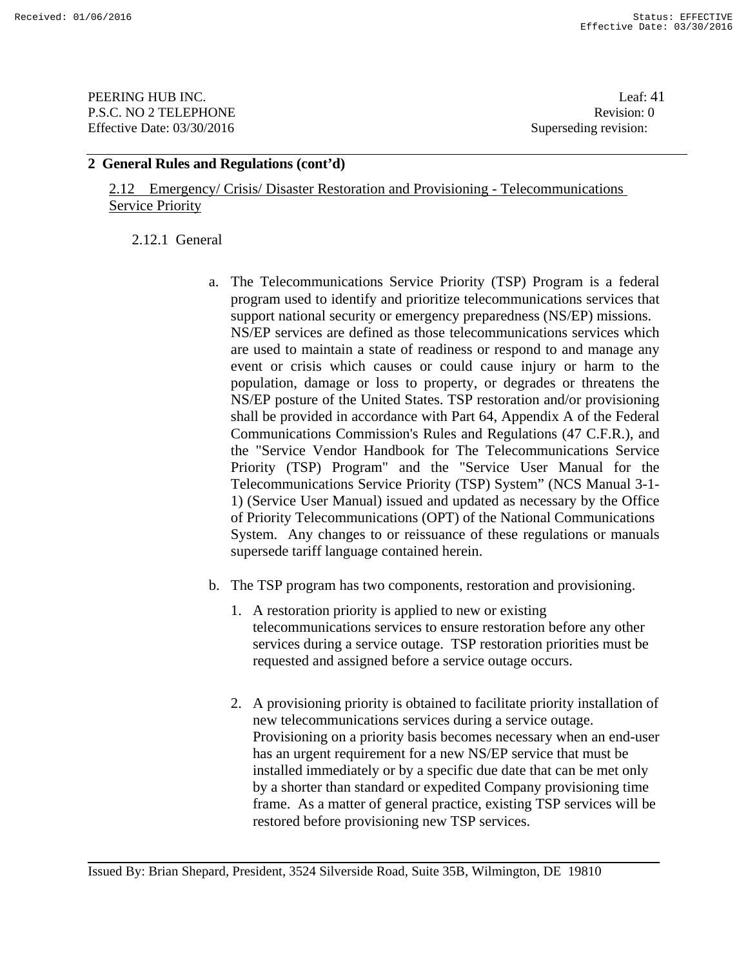**PEERING HUB INC.** Leaf: 41 P.S.C. NO 2 TELEPHONE Revision: 0 Effective Date: 03/30/2016 Superseding revision:

### **2 General Rules and Regulations (cont'd)**

2.12 Emergency/ Crisis/ Disaster Restoration and Provisioning - Telecommunications **Service Priority** 

### 2.12.1 General

- a. The Telecommunications Service Priority (TSP) Program is a federal program used to identify and prioritize telecommunications services that support national security or emergency preparedness (NS/EP) missions. NS/EP services are defined as those telecommunications services which are used to maintain a state of readiness or respond to and manage any event or crisis which causes or could cause injury or harm to the population, damage or loss to property, or degrades or threatens the NS/EP posture of the United States. TSP restoration and/or provisioning shall be provided in accordance with Part 64, Appendix A of the Federal Communications Commission's Rules and Regulations (47 C.F.R.), and the "Service Vendor Handbook for The Telecommunications Service Priority (TSP) Program" and the "Service User Manual for the Telecommunications Service Priority (TSP) System" (NCS Manual 3-1- 1) (Service User Manual) issued and updated as necessary by the Office of Priority Telecommunications (OPT) of the National Communications System. Any changes to or reissuance of these regulations or manuals supersede tariff language contained herein.
- b. The TSP program has two components, restoration and provisioning.
	- 1. A restoration priority is applied to new or existing telecommunications services to ensure restoration before any other services during a service outage. TSP restoration priorities must be requested and assigned before a service outage occurs.
	- 2. A provisioning priority is obtained to facilitate priority installation of new telecommunications services during a service outage. Provisioning on a priority basis becomes necessary when an end-user has an urgent requirement for a new NS/EP service that must be installed immediately or by a specific due date that can be met only by a shorter than standard or expedited Company provisioning time frame. As a matter of general practice, existing TSP services will be restored before provisioning new TSP services.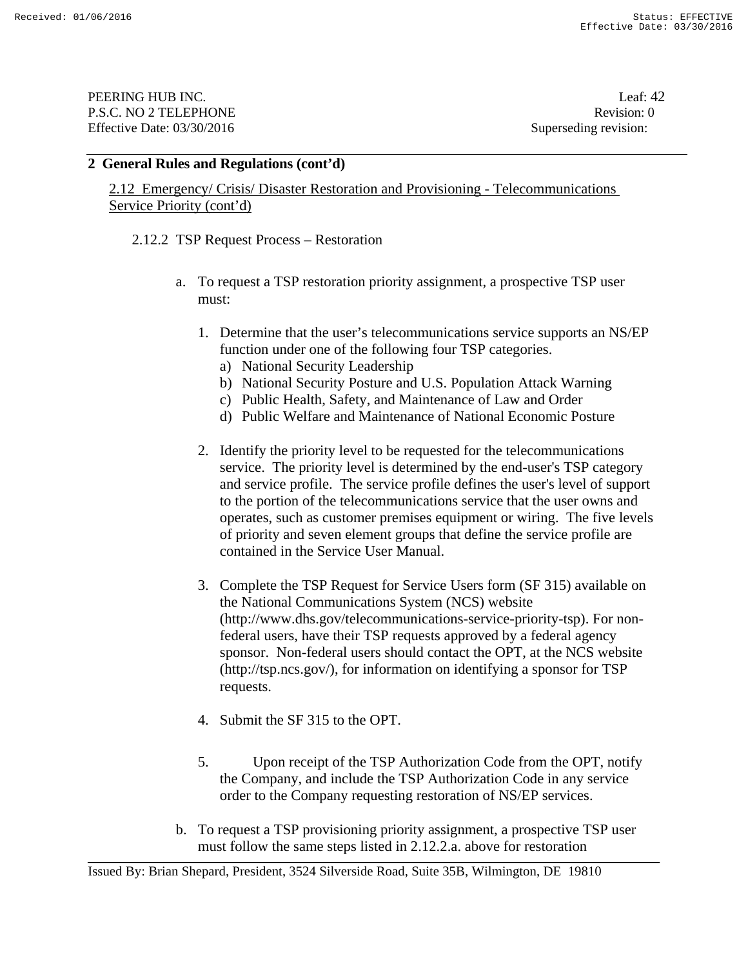PEERING HUB INC. Leaf: 42 P.S.C. NO 2 TELEPHONE Revision: 0 Effective Date: 03/30/2016 Superseding revision:

### **2 General Rules and Regulations (cont'd)**

2.12 Emergency/ Crisis/ Disaster Restoration and Provisioning - Telecommunications Service Priority (cont'd)

2.12.2 TSP Request Process – Restoration

- a. To request a TSP restoration priority assignment, a prospective TSP user must:
	- 1. Determine that the user's telecommunications service supports an NS/EP function under one of the following four TSP categories.
		- a) National Security Leadership
		- b) National Security Posture and U.S. Population Attack Warning
		- c) Public Health, Safety, and Maintenance of Law and Order
		- d) Public Welfare and Maintenance of National Economic Posture
	- 2. Identify the priority level to be requested for the telecommunications service. The priority level is determined by the end-user's TSP category and service profile. The service profile defines the user's level of support to the portion of the telecommunications service that the user owns and operates, such as customer premises equipment or wiring. The five levels of priority and seven element groups that define the service profile are contained in the Service User Manual.
	- 3. Complete the TSP Request for Service Users form (SF 315) available on the National Communications System (NCS) website (http://www.dhs.gov/telecommunications-service-priority-tsp). For nonfederal users, have their TSP requests approved by a federal agency sponsor. Non-federal users should contact the OPT, at the NCS website (http://tsp.ncs.gov/), for information on identifying a sponsor for TSP requests.
	- 4. Submit the SF 315 to the OPT.
	- 5. Upon receipt of the TSP Authorization Code from the OPT, notify the Company, and include the TSP Authorization Code in any service order to the Company requesting restoration of NS/EP services.
- b. To request a TSP provisioning priority assignment, a prospective TSP user must follow the same steps listed in 2.12.2.a. above for restoration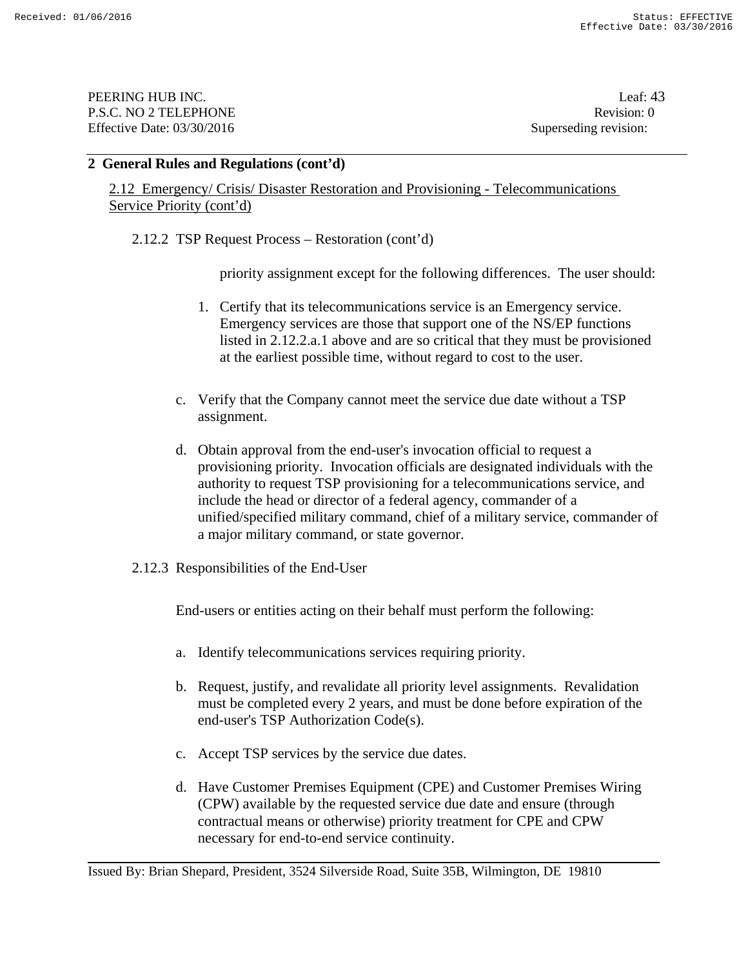PEERING HUB INC. Leaf: 43 P.S.C. NO 2 TELEPHONE Revision: 0 Effective Date: 03/30/2016 Superseding revision:

### **2 General Rules and Regulations (cont'd)**

2.12 Emergency/ Crisis/ Disaster Restoration and Provisioning - Telecommunications Service Priority (cont'd)

2.12.2 TSP Request Process – Restoration (cont'd)

priority assignment except for the following differences. The user should:

- 1. Certify that its telecommunications service is an Emergency service. Emergency services are those that support one of the NS/EP functions listed in 2.12.2.a.1 above and are so critical that they must be provisioned at the earliest possible time, without regard to cost to the user.
- c. Verify that the Company cannot meet the service due date without a TSP assignment.
- d. Obtain approval from the end-user's invocation official to request a provisioning priority. Invocation officials are designated individuals with the authority to request TSP provisioning for a telecommunications service, and include the head or director of a federal agency, commander of a unified/specified military command, chief of a military service, commander of a major military command, or state governor.
- 2.12.3 Responsibilities of the End-User

End-users or entities acting on their behalf must perform the following:

- a. Identify telecommunications services requiring priority.
- b. Request, justify, and revalidate all priority level assignments. Revalidation must be completed every 2 years, and must be done before expiration of the end-user's TSP Authorization Code(s).
- c. Accept TSP services by the service due dates.
- d. Have Customer Premises Equipment (CPE) and Customer Premises Wiring (CPW) available by the requested service due date and ensure (through contractual means or otherwise) priority treatment for CPE and CPW necessary for end-to-end service continuity.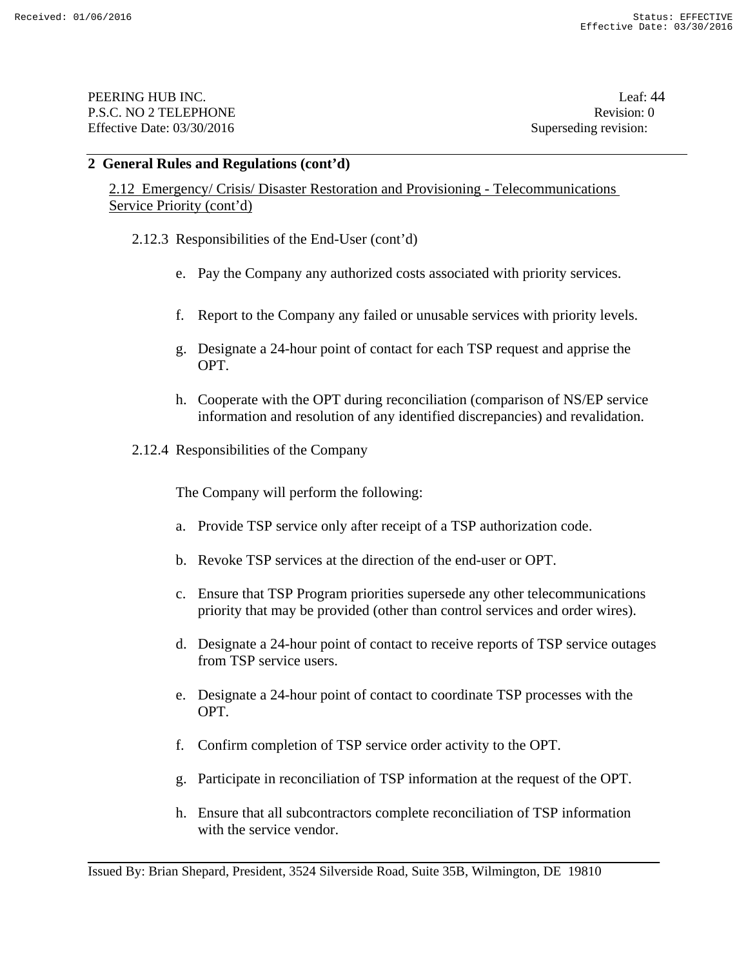PEERING HUB INC. Leaf: 44 P.S.C. NO 2 TELEPHONE Revision: 0 Effective Date: 03/30/2016 Superseding revision:

### **2 General Rules and Regulations (cont'd)**

2.12 Emergency/ Crisis/ Disaster Restoration and Provisioning - Telecommunications Service Priority (cont'd)

- 2.12.3 Responsibilities of the End-User (cont'd)
	- e. Pay the Company any authorized costs associated with priority services.
	- f. Report to the Company any failed or unusable services with priority levels.
	- g. Designate a 24-hour point of contact for each TSP request and apprise the OPT.
	- h. Cooperate with the OPT during reconciliation (comparison of NS/EP service information and resolution of any identified discrepancies) and revalidation.
- 2.12.4 Responsibilities of the Company

The Company will perform the following:

- a. Provide TSP service only after receipt of a TSP authorization code.
- b. Revoke TSP services at the direction of the end-user or OPT.
- c. Ensure that TSP Program priorities supersede any other telecommunications priority that may be provided (other than control services and order wires).
- d. Designate a 24-hour point of contact to receive reports of TSP service outages from TSP service users.
- e. Designate a 24-hour point of contact to coordinate TSP processes with the OPT.
- f. Confirm completion of TSP service order activity to the OPT.
- g. Participate in reconciliation of TSP information at the request of the OPT.
- h. Ensure that all subcontractors complete reconciliation of TSP information with the service vendor.

Issued By: Brian Shepard, President, 3524 Silverside Road, Suite 35B, Wilmington, DE 19810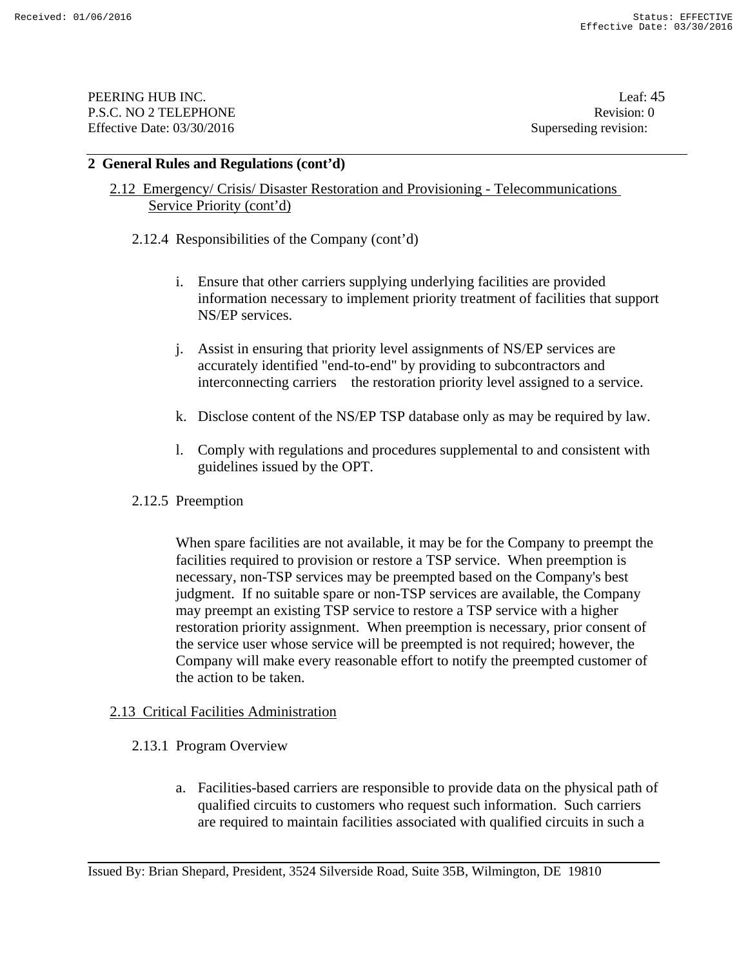PEERING HUB INC. Leaf: 45 P.S.C. NO 2 TELEPHONE Revision: 0 Effective Date: 03/30/2016 Superseding revision:

### **2 General Rules and Regulations (cont'd)**

## 2.12 Emergency/ Crisis/ Disaster Restoration and Provisioning - Telecommunications Service Priority (cont'd)

2.12.4 Responsibilities of the Company (cont'd)

- i. Ensure that other carriers supplying underlying facilities are provided information necessary to implement priority treatment of facilities that support NS/EP services.
- j. Assist in ensuring that priority level assignments of NS/EP services are accurately identified "end-to-end" by providing to subcontractors and interconnecting carriers the restoration priority level assigned to a service.
- k. Disclose content of the NS/EP TSP database only as may be required by law.
- l. Comply with regulations and procedures supplemental to and consistent with guidelines issued by the OPT.
- 2.12.5 Preemption

When spare facilities are not available, it may be for the Company to preempt the facilities required to provision or restore a TSP service. When preemption is necessary, non-TSP services may be preempted based on the Company's best judgment. If no suitable spare or non-TSP services are available, the Company may preempt an existing TSP service to restore a TSP service with a higher restoration priority assignment. When preemption is necessary, prior consent of the service user whose service will be preempted is not required; however, the Company will make every reasonable effort to notify the preempted customer of the action to be taken.

## 2.13 Critical Facilities Administration

- 2.13.1 Program Overview
	- a. Facilities-based carriers are responsible to provide data on the physical path of qualified circuits to customers who request such information. Such carriers are required to maintain facilities associated with qualified circuits in such a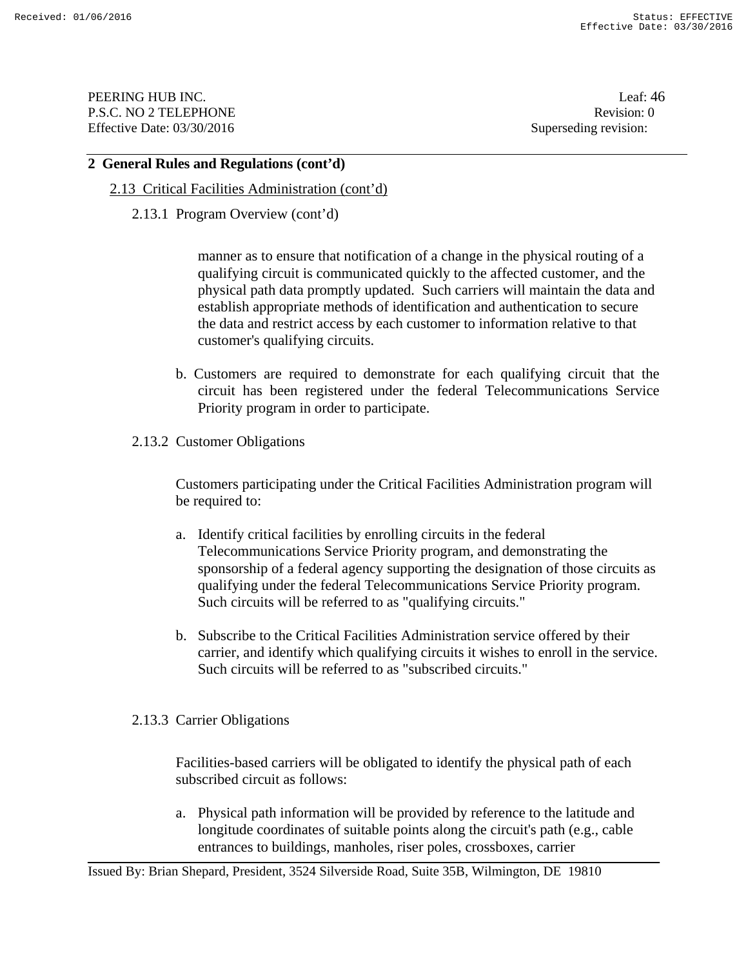PEERING HUB INC. Leaf: 46 P.S.C. NO 2 TELEPHONE Revision: 0 Effective Date: 03/30/2016 Superseding revision:

### **2 General Rules and Regulations (cont'd)**

- 2.13 Critical Facilities Administration (cont'd)
	- 2.13.1 Program Overview (cont'd)

manner as to ensure that notification of a change in the physical routing of a qualifying circuit is communicated quickly to the affected customer, and the physical path data promptly updated. Such carriers will maintain the data and establish appropriate methods of identification and authentication to secure the data and restrict access by each customer to information relative to that customer's qualifying circuits.

- b. Customers are required to demonstrate for each qualifying circuit that the circuit has been registered under the federal Telecommunications Service Priority program in order to participate.
- 2.13.2 Customer Obligations

Customers participating under the Critical Facilities Administration program will be required to:

- a. Identify critical facilities by enrolling circuits in the federal Telecommunications Service Priority program, and demonstrating the sponsorship of a federal agency supporting the designation of those circuits as qualifying under the federal Telecommunications Service Priority program. Such circuits will be referred to as "qualifying circuits."
- b. Subscribe to the Critical Facilities Administration service offered by their carrier, and identify which qualifying circuits it wishes to enroll in the service. Such circuits will be referred to as "subscribed circuits."
- 2.13.3 Carrier Obligations

Facilities-based carriers will be obligated to identify the physical path of each subscribed circuit as follows:

a. Physical path information will be provided by reference to the latitude and longitude coordinates of suitable points along the circuit's path (e.g., cable entrances to buildings, manholes, riser poles, crossboxes, carrier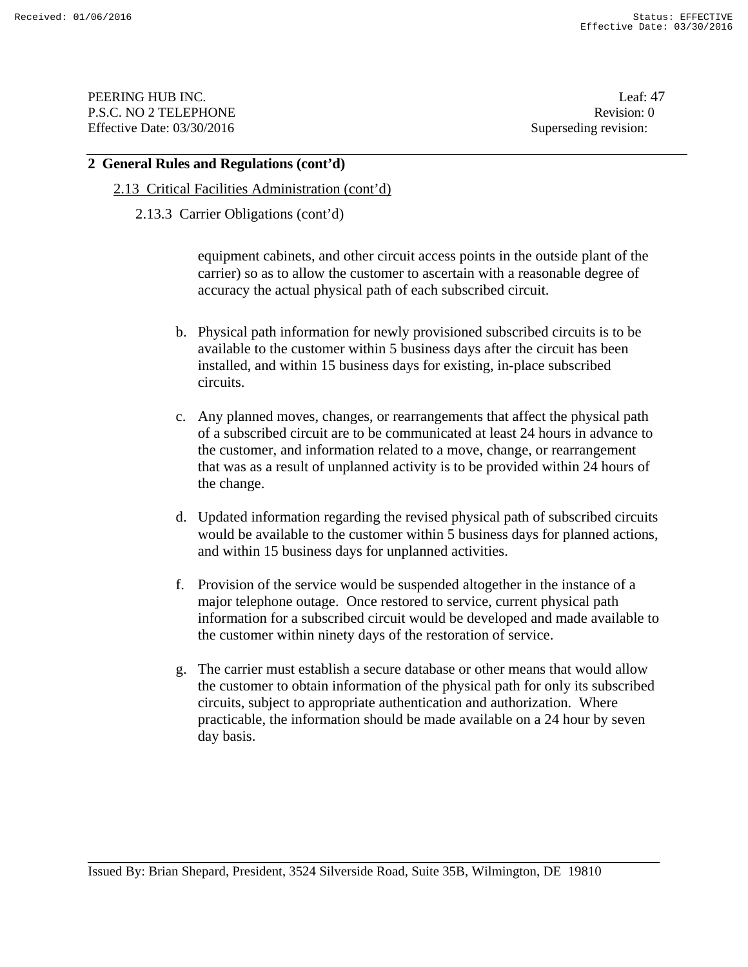PEERING HUB INC. Leaf: 47 P.S.C. NO 2 TELEPHONE Revision: 0 Effective Date: 03/30/2016 Superseding revision:

#### **2 General Rules and Regulations (cont'd)**

- 2.13 Critical Facilities Administration (cont'd)
	- 2.13.3 Carrier Obligations (cont'd)

equipment cabinets, and other circuit access points in the outside plant of the carrier) so as to allow the customer to ascertain with a reasonable degree of accuracy the actual physical path of each subscribed circuit.

- b. Physical path information for newly provisioned subscribed circuits is to be available to the customer within 5 business days after the circuit has been installed, and within 15 business days for existing, in-place subscribed circuits.
- c. Any planned moves, changes, or rearrangements that affect the physical path of a subscribed circuit are to be communicated at least 24 hours in advance to the customer, and information related to a move, change, or rearrangement that was as a result of unplanned activity is to be provided within 24 hours of the change.
- d. Updated information regarding the revised physical path of subscribed circuits would be available to the customer within 5 business days for planned actions, and within 15 business days for unplanned activities.
- f. Provision of the service would be suspended altogether in the instance of a major telephone outage. Once restored to service, current physical path information for a subscribed circuit would be developed and made available to the customer within ninety days of the restoration of service.
- g. The carrier must establish a secure database or other means that would allow the customer to obtain information of the physical path for only its subscribed circuits, subject to appropriate authentication and authorization. Where practicable, the information should be made available on a 24 hour by seven day basis.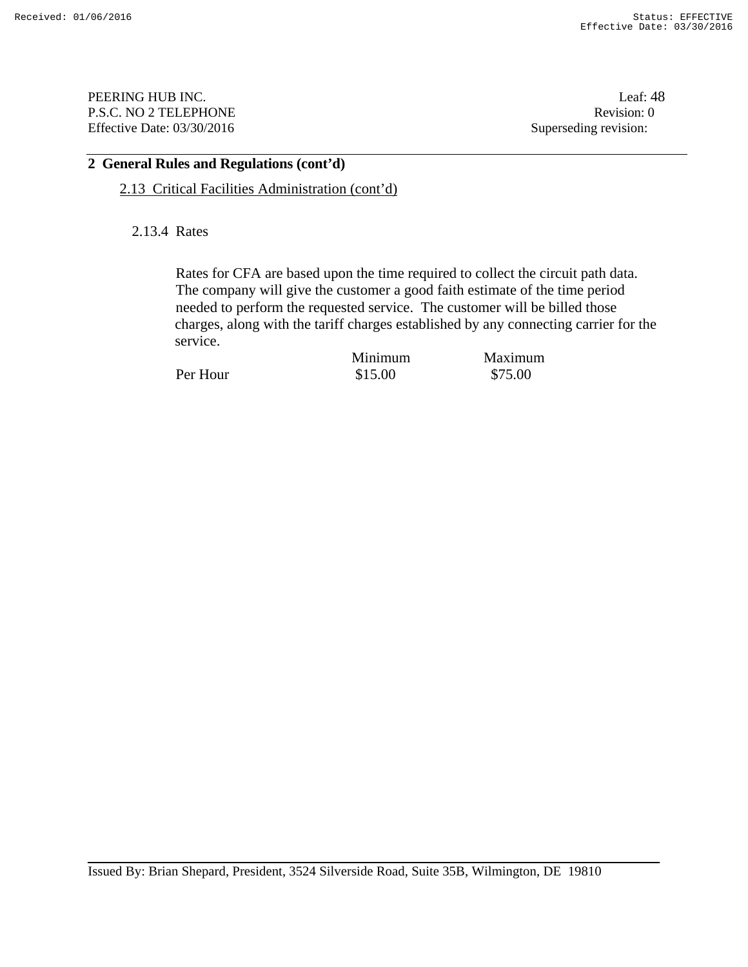PEERING HUB INC. Leaf: 48 P.S.C. NO 2 TELEPHONE Revision: 0 Effective Date: 03/30/2016 Superseding revision:

# **2 General Rules and Regulations (cont'd)**

2.13 Critical Facilities Administration (cont'd)

2.13.4 Rates

Rates for CFA are based upon the time required to collect the circuit path data. The company will give the customer a good faith estimate of the time period needed to perform the requested service. The customer will be billed those charges, along with the tariff charges established by any connecting carrier for the service.

Per Hour \$15.00 \$75.00

Minimum Maximum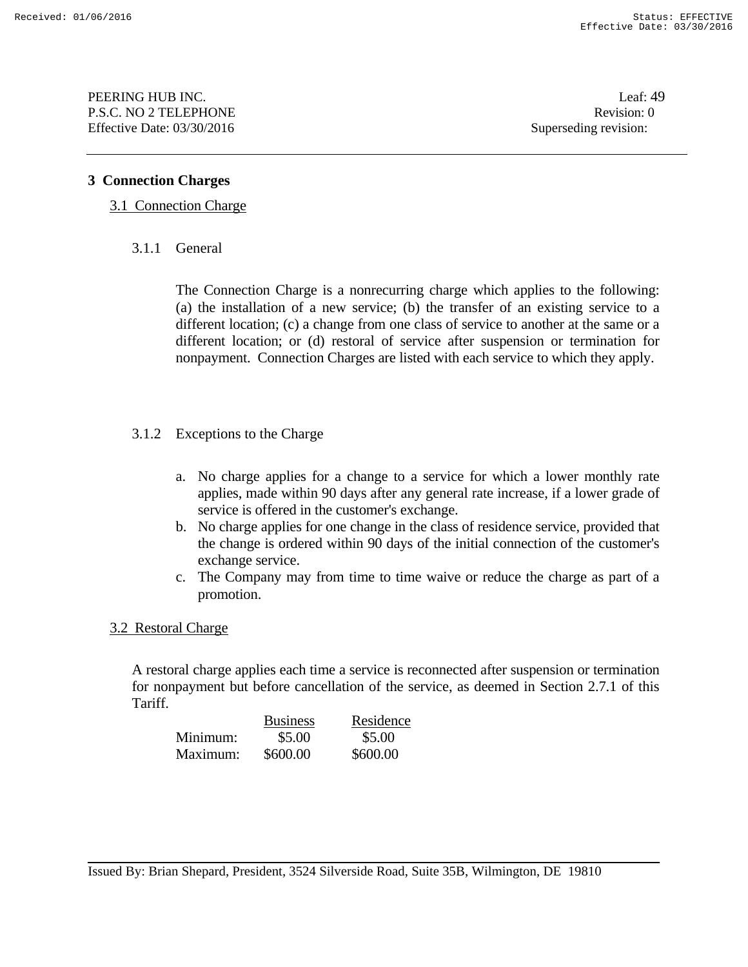PEERING HUB INC. Leaf: 49 P.S.C. NO 2 TELEPHONE Revision: 0 Effective Date: 03/30/2016 Superseding revision:

## **3 Connection Charges**

## 3.1 Connection Charge

3.1.1 General

The Connection Charge is a nonrecurring charge which applies to the following: (a) the installation of a new service; (b) the transfer of an existing service to a different location; (c) a change from one class of service to another at the same or a different location; or (d) restoral of service after suspension or termination for nonpayment. Connection Charges are listed with each service to which they apply.

## 3.1.2 Exceptions to the Charge

- a. No charge applies for a change to a service for which a lower monthly rate applies, made within 90 days after any general rate increase, if a lower grade of service is offered in the customer's exchange.
- b. No charge applies for one change in the class of residence service, provided that the change is ordered within 90 days of the initial connection of the customer's exchange service.
- c. The Company may from time to time waive or reduce the charge as part of a promotion.

## 3.2 Restoral Charge

A restoral charge applies each time a service is reconnected after suspension or termination for nonpayment but before cancellation of the service, as deemed in Section 2.7.1 of this Tariff.

|          | <b>Business</b> | Residence |
|----------|-----------------|-----------|
| Minimum: | \$5.00          | \$5.00    |
| Maximum: | \$600.00        | \$600.00  |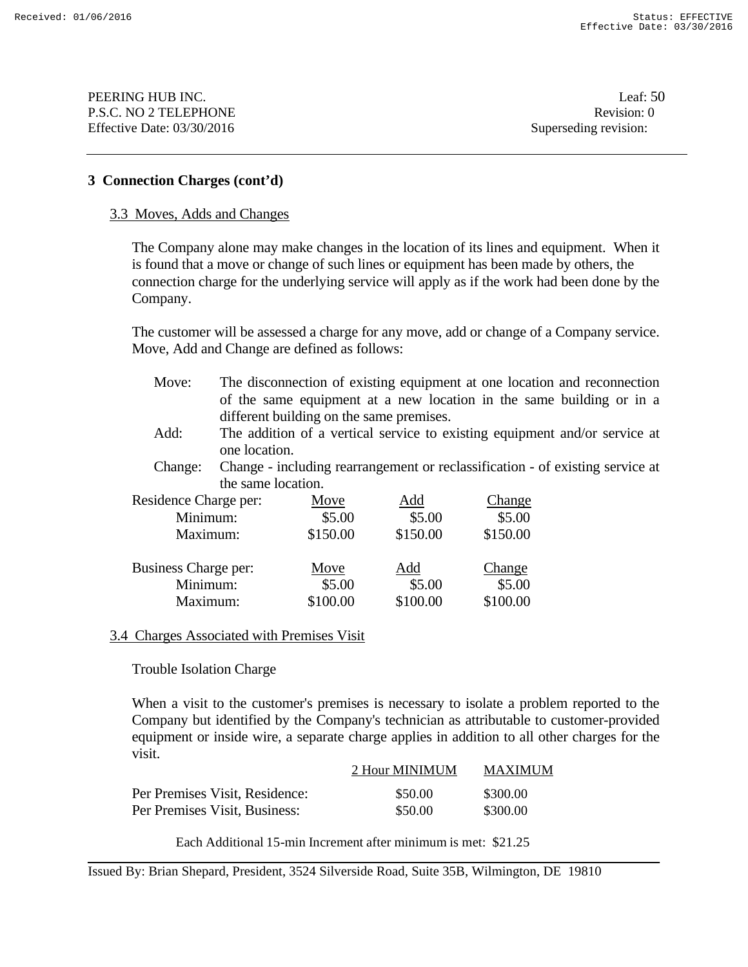**PEERING HUB INC.** Leaf: 50 P.S.C. NO 2 TELEPHONE Revision: 0 Effective Date: 03/30/2016 Superseding revision:

### **3 Connection Charges (cont'd)**

#### 3.3 Moves, Adds and Changes

The Company alone may make changes in the location of its lines and equipment. When it is found that a move or change of such lines or equipment has been made by others, the connection charge for the underlying service will apply as if the work had been done by the Company.

The customer will be assessed a charge for any move, add or change of a Company service. Move, Add and Change are defined as follows:

- Move: The disconnection of existing equipment at one location and reconnection of the same equipment at a new location in the same building or in a different building on the same premises.
- Add: The addition of a vertical service to existing equipment and/or service at one location.
- Change: Change including rearrangement or reclassification of existing service at the same location.

| Residence Charge per: | Move     | Add      | Change   |
|-----------------------|----------|----------|----------|
| Minimum:              | \$5.00   | \$5.00   | \$5.00   |
| Maximum:              | \$150.00 | \$150.00 | \$150.00 |
| Business Charge per:  |          |          |          |
|                       | Move     | Add      | Change   |
| Minimum:              | \$5.00   | \$5.00   | \$5.00   |

#### 3.4 Charges Associated with Premises Visit

Trouble Isolation Charge

When a visit to the customer's premises is necessary to isolate a problem reported to the Company but identified by the Company's technician as attributable to customer-provided equipment or inside wire, a separate charge applies in addition to all other charges for the visit.

|                                | 2 Hour MINIMUM | MAXIMUM  |
|--------------------------------|----------------|----------|
| Per Premises Visit, Residence: | \$50.00        | \$300.00 |
| Per Premises Visit, Business:  | \$50.00        | \$300.00 |

Each Additional 15-min Increment after minimum is met: \$21.25

Issued By: Brian Shepard, President, 3524 Silverside Road, Suite 35B, Wilmington, DE 19810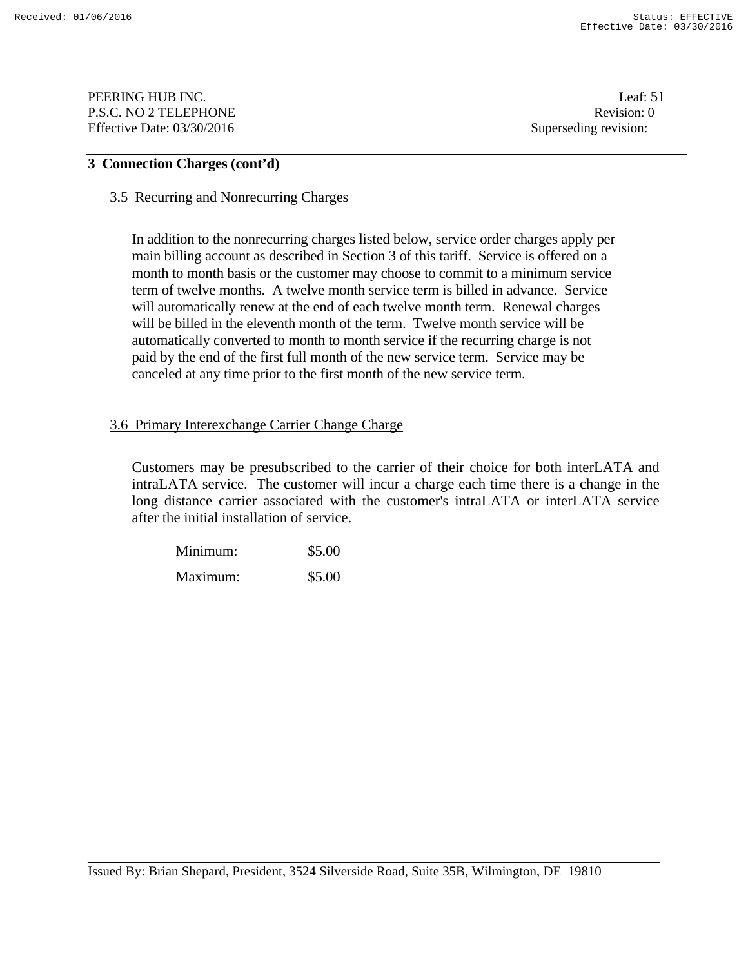PEERING HUB INC. Leaf: 51 P.S.C. NO 2 TELEPHONE Revision: 0 Effective Date: 03/30/2016 Superseding revision:

## **3 Connection Charges (cont'd)**

#### 3.5 Recurring and Nonrecurring Charges

In addition to the nonrecurring charges listed below, service order charges apply per main billing account as described in Section 3 of this tariff. Service is offered on a month to month basis or the customer may choose to commit to a minimum service term of twelve months. A twelve month service term is billed in advance. Service will automatically renew at the end of each twelve month term. Renewal charges will be billed in the eleventh month of the term. Twelve month service will be automatically converted to month to month service if the recurring charge is not paid by the end of the first full month of the new service term. Service may be canceled at any time prior to the first month of the new service term.

### 3.6 Primary Interexchange Carrier Change Charge

 Customers may be presubscribed to the carrier of their choice for both interLATA and intraLATA service. The customer will incur a charge each time there is a change in the long distance carrier associated with the customer's intraLATA or interLATA service after the initial installation of service.

| Minimum: | \$5.00 |
|----------|--------|
| Maximum: | \$5.00 |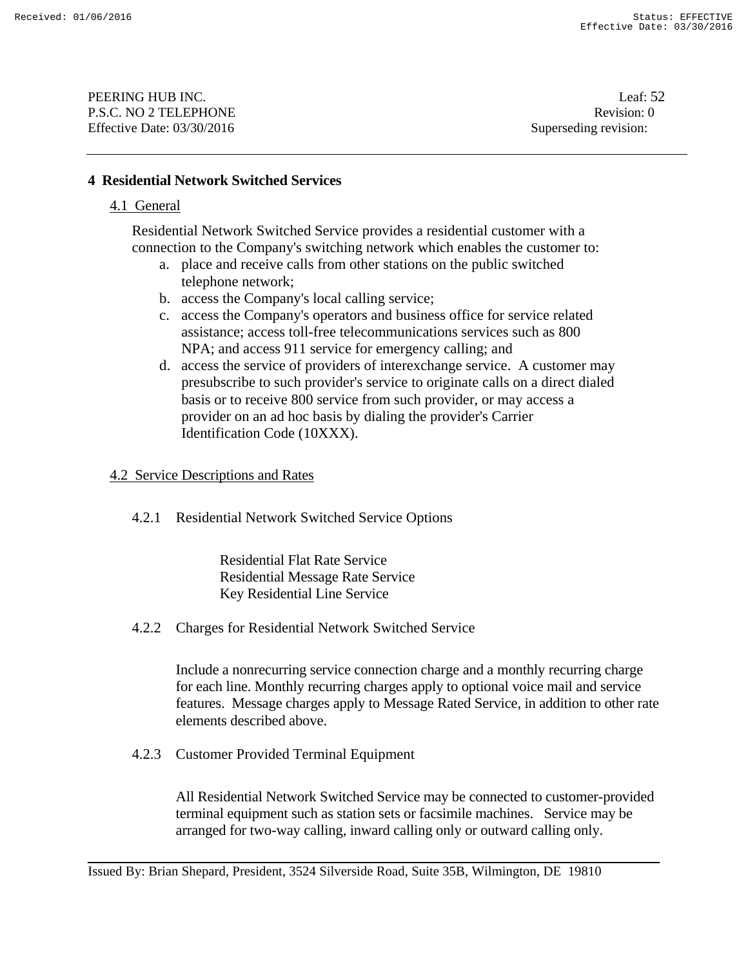PEERING HUB INC. Leaf: 52 P.S.C. NO 2 TELEPHONE Revision: 0 Effective Date: 03/30/2016 Superseding revision:

### **4 Residential Network Switched Services**

#### 4.1 General

Residential Network Switched Service provides a residential customer with a connection to the Company's switching network which enables the customer to:

- a. place and receive calls from other stations on the public switched telephone network;
- b. access the Company's local calling service;
- c. access the Company's operators and business office for service related assistance; access toll-free telecommunications services such as 800 NPA; and access 911 service for emergency calling; and
- d. access the service of providers of interexchange service. A customer may presubscribe to such provider's service to originate calls on a direct dialed basis or to receive 800 service from such provider, or may access a provider on an ad hoc basis by dialing the provider's Carrier Identification Code (10XXX).

#### 4.2 Service Descriptions and Rates

4.2.1 Residential Network Switched Service Options

Residential Flat Rate Service Residential Message Rate Service Key Residential Line Service

4.2.2 Charges for Residential Network Switched Service

Include a nonrecurring service connection charge and a monthly recurring charge for each line. Monthly recurring charges apply to optional voice mail and service features. Message charges apply to Message Rated Service, in addition to other rate elements described above.

4.2.3 Customer Provided Terminal Equipment

All Residential Network Switched Service may be connected to customer-provided terminal equipment such as station sets or facsimile machines. Service may be arranged for two-way calling, inward calling only or outward calling only.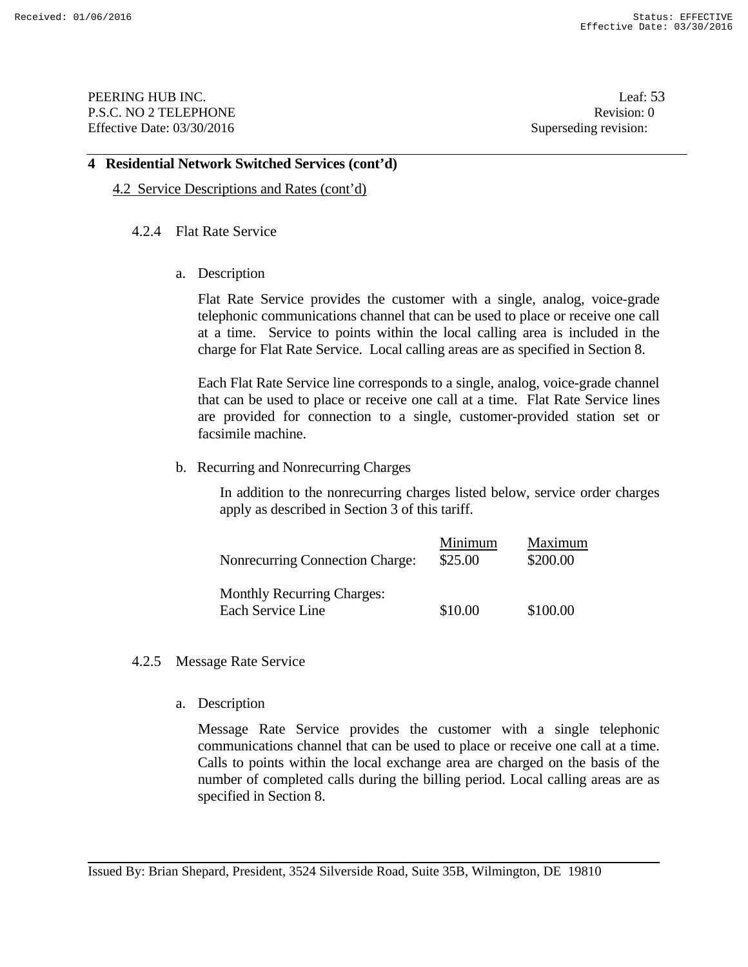PEERING HUB INC. Leaf: 53 P.S.C. NO 2 TELEPHONE Revision: 0 Effective Date: 03/30/2016 Superseding revision:

#### **4 Residential Network Switched Services (cont'd)**

4.2 Service Descriptions and Rates (cont'd)

#### 4.2.4 Flat Rate Service

a. Description

Flat Rate Service provides the customer with a single, analog, voice-grade telephonic communications channel that can be used to place or receive one call at a time. Service to points within the local calling area is included in the charge for Flat Rate Service. Local calling areas are as specified in Section 8.

Each Flat Rate Service line corresponds to a single, analog, voice-grade channel that can be used to place or receive one call at a time. Flat Rate Service lines are provided for connection to a single, customer-provided station set or facsimile machine.

b. Recurring and Nonrecurring Charges

In addition to the nonrecurring charges listed below, service order charges apply as described in Section 3 of this tariff.

| <b>Nonrecurring Connection Charge:</b>                 | Minimum<br>\$25.00 | Maximum<br>\$200.00 |
|--------------------------------------------------------|--------------------|---------------------|
| <b>Monthly Recurring Charges:</b><br>Each Service Line | \$10.00            | \$100.00            |

- 4.2.5 Message Rate Service
	- a. Description

Message Rate Service provides the customer with a single telephonic communications channel that can be used to place or receive one call at a time. Calls to points within the local exchange area are charged on the basis of the number of completed calls during the billing period. Local calling areas are as specified in Section 8.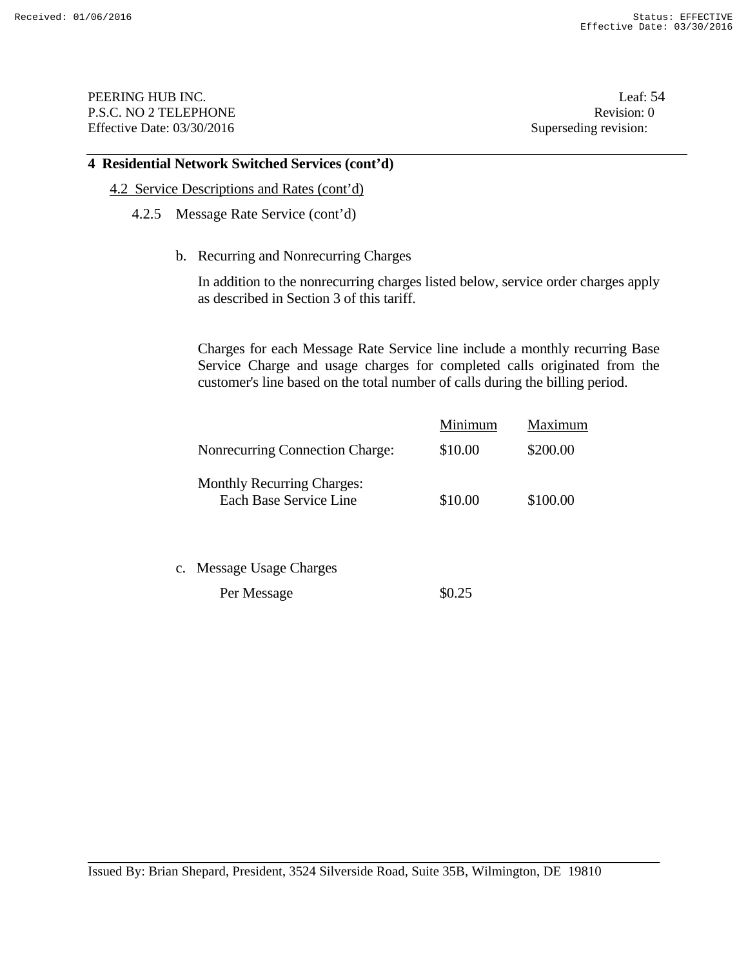PEERING HUB INC. Leaf: 54 P.S.C. NO 2 TELEPHONE Revision: 0 Effective Date: 03/30/2016 Superseding revision:

#### **4 Residential Network Switched Services (cont'd)**

- 4.2 Service Descriptions and Rates (cont'd)
	- 4.2.5 Message Rate Service (cont'd)
		- b. Recurring and Nonrecurring Charges

 In addition to the nonrecurring charges listed below, service order charges apply as described in Section 3 of this tariff.

 Charges for each Message Rate Service line include a monthly recurring Base Service Charge and usage charges for completed calls originated from the customer's line based on the total number of calls during the billing period.

|                                                             | Minimum | Maximum  |
|-------------------------------------------------------------|---------|----------|
| Nonrecurring Connection Charge:                             | \$10.00 | \$200.00 |
| <b>Monthly Recurring Charges:</b><br>Each Base Service Line | \$10.00 | \$100.00 |

c. Message Usage Charges

Per Message  $\$0.25$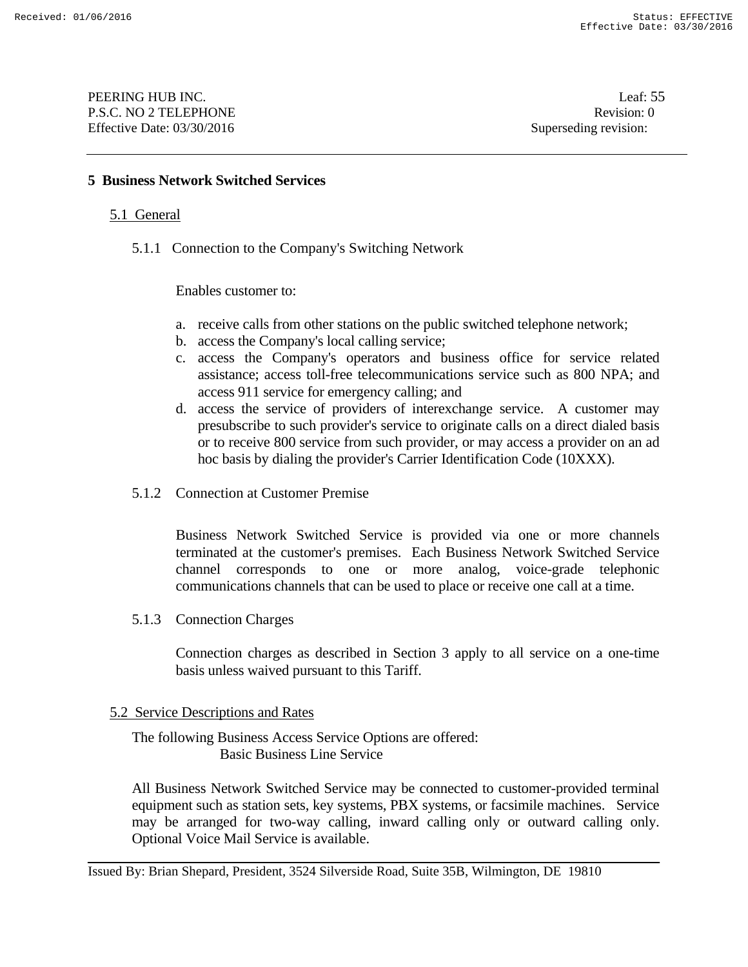## **5 Business Network Switched Services**

### 5.1 General

5.1.1 Connection to the Company's Switching Network

Enables customer to:

- a. receive calls from other stations on the public switched telephone network;
- b. access the Company's local calling service;
- c. access the Company's operators and business office for service related assistance; access toll-free telecommunications service such as 800 NPA; and access 911 service for emergency calling; and
- d. access the service of providers of interexchange service. A customer may presubscribe to such provider's service to originate calls on a direct dialed basis or to receive 800 service from such provider, or may access a provider on an ad hoc basis by dialing the provider's Carrier Identification Code (10XXX).
- 5.1.2 Connection at Customer Premise

Business Network Switched Service is provided via one or more channels terminated at the customer's premises. Each Business Network Switched Service channel corresponds to one or more analog, voice-grade telephonic communications channels that can be used to place or receive one call at a time.

5.1.3 Connection Charges

Connection charges as described in Section 3 apply to all service on a one-time basis unless waived pursuant to this Tariff.

#### 5.2 Service Descriptions and Rates

 The following Business Access Service Options are offered: Basic Business Line Service

All Business Network Switched Service may be connected to customer-provided terminal equipment such as station sets, key systems, PBX systems, or facsimile machines. Service may be arranged for two-way calling, inward calling only or outward calling only. Optional Voice Mail Service is available.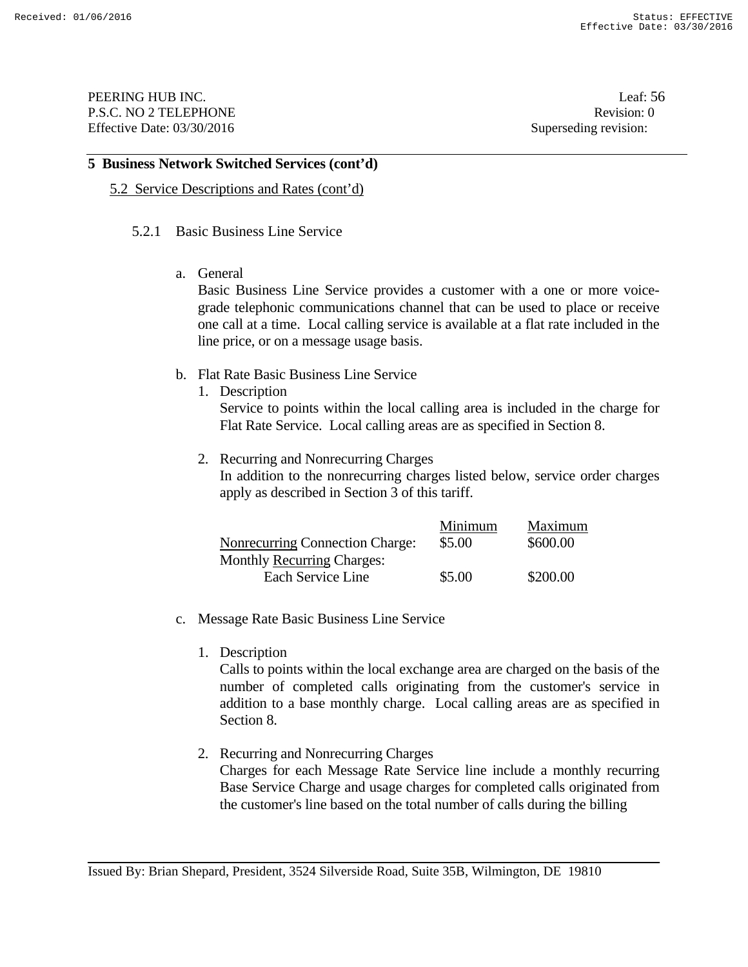PEERING HUB INC. Leaf: 56 P.S.C. NO 2 TELEPHONE Revision: 0 Effective Date: 03/30/2016 Superseding revision:

### **5 Business Network Switched Services (cont'd)**

### 5.2 Service Descriptions and Rates (cont'd)

### 5.2.1 Basic Business Line Service

a. General

 Basic Business Line Service provides a customer with a one or more voicegrade telephonic communications channel that can be used to place or receive one call at a time. Local calling service is available at a flat rate included in the line price, or on a message usage basis.

- b. Flat Rate Basic Business Line Service
	- 1. Description

Service to points within the local calling area is included in the charge for Flat Rate Service. Local calling areas are as specified in Section 8.

2. Recurring and Nonrecurring Charges

 In addition to the nonrecurring charges listed below, service order charges apply as described in Section 3 of this tariff.

|                                        | Minimum | <b>Maximum</b> |
|----------------------------------------|---------|----------------|
| <b>Nonrecurring Connection Charge:</b> | \$5.00  | \$600.00       |
| <b>Monthly Recurring Charges:</b>      |         |                |
| Each Service Line                      | \$5.00  | \$200.00       |

- c. Message Rate Basic Business Line Service
	- 1. Description

 Calls to points within the local exchange area are charged on the basis of the number of completed calls originating from the customer's service in addition to a base monthly charge. Local calling areas are as specified in Section 8.

2. Recurring and Nonrecurring Charges Charges for each Message Rate Service line include a monthly recurring Base Service Charge and usage charges for completed calls originated from the customer's line based on the total number of calls during the billing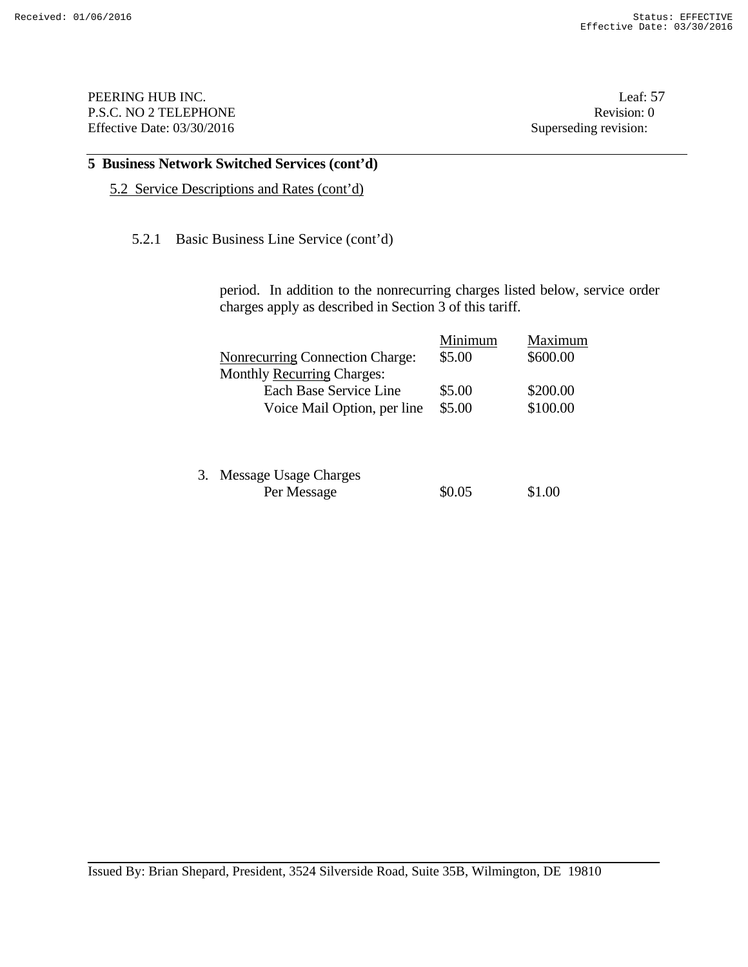PEERING HUB INC. Leaf: 57 P.S.C. NO 2 TELEPHONE Revision: 0 Effective Date: 03/30/2016 Superseding revision:

# **5 Business Network Switched Services (cont'd)**

5.2 Service Descriptions and Rates (cont'd)

## 5.2.1 Basic Business Line Service (cont'd)

period. In addition to the nonrecurring charges listed below, service order charges apply as described in Section 3 of this tariff.

|                                        | Minimum | Maximum  |
|----------------------------------------|---------|----------|
| <b>Nonrecurring Connection Charge:</b> | \$5.00  | \$600.00 |
| <b>Monthly Recurring Charges:</b>      |         |          |
| Each Base Service Line                 | \$5.00  | \$200.00 |
| Voice Mail Option, per line            | \$5.00  | \$100.00 |
|                                        |         |          |
|                                        |         |          |

| 3. Message Usage Charges |        |        |
|--------------------------|--------|--------|
| Per Message              | \$0.05 | \$1.00 |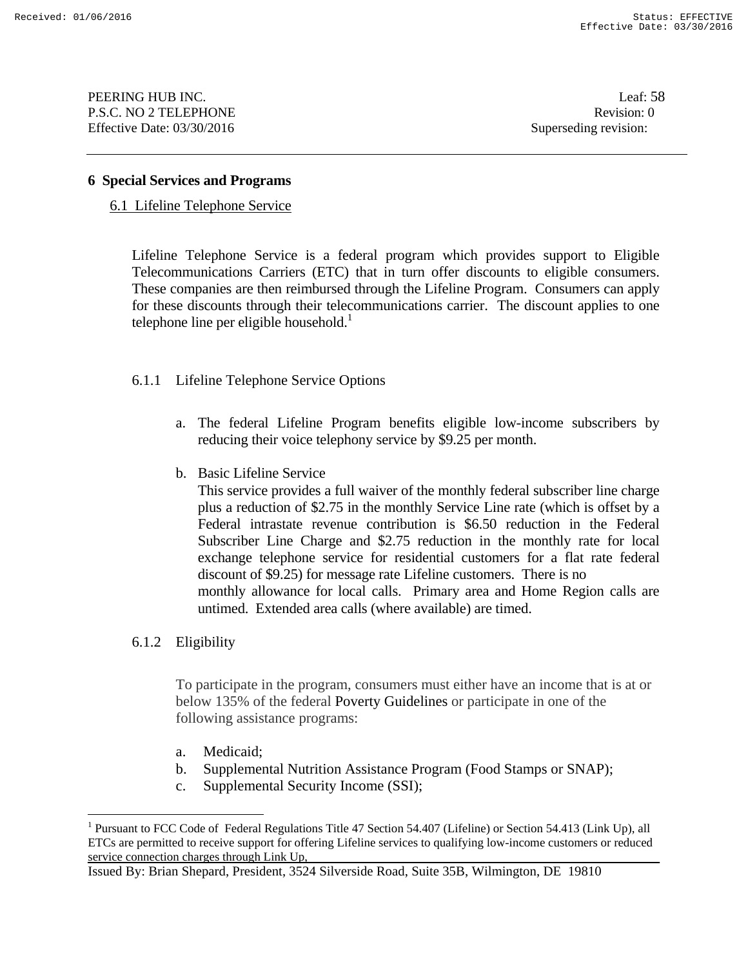PEERING HUB INC. Leaf: 58 P.S.C. NO 2 TELEPHONE Revision: 0 Effective Date: 03/30/2016 Superseding revision:

#### **6 Special Services and Programs**

6.1 Lifeline Telephone Service

Lifeline Telephone Service is a federal program which provides support to Eligible Telecommunications Carriers (ETC) that in turn offer discounts to eligible consumers. These companies are then reimbursed through the Lifeline Program. Consumers can apply for these discounts through their telecommunications carrier. The discount applies to one telephone line per eligible household. $<sup>1</sup>$ </sup>

## 6.1.1 Lifeline Telephone Service Options

- a. The federal Lifeline Program benefits eligible low-income subscribers by reducing their voice telephony service by \$9.25 per month.
- b. Basic Lifeline Service

 This service provides a full waiver of the monthly federal subscriber line charge plus a reduction of \$2.75 in the monthly Service Line rate (which is offset by a Federal intrastate revenue contribution is \$6.50 reduction in the Federal Subscriber Line Charge and \$2.75 reduction in the monthly rate for local exchange telephone service for residential customers for a flat rate federal discount of \$9.25) for message rate Lifeline customers. There is no monthly allowance for local calls. Primary area and Home Region calls are untimed. Extended area calls (where available) are timed.

6.1.2 Eligibility

<u>.</u>

To participate in the program, consumers must either have an income that is at or below 135% of the federal Poverty Guidelines or participate in one of the following assistance programs:

- a. Medicaid;
- b. Supplemental Nutrition Assistance Program (Food Stamps or SNAP);
- c. Supplemental Security Income (SSI);

<sup>&</sup>lt;sup>1</sup> Pursuant to FCC Code of Federal Regulations Title 47 Section 54.407 (Lifeline) or Section 54.413 (Link Up), all ETCs are permitted to receive support for offering Lifeline services to qualifying low-income customers or reduced service connection charges through Link Up,

Issued By: Brian Shepard, President, 3524 Silverside Road, Suite 35B, Wilmington, DE 19810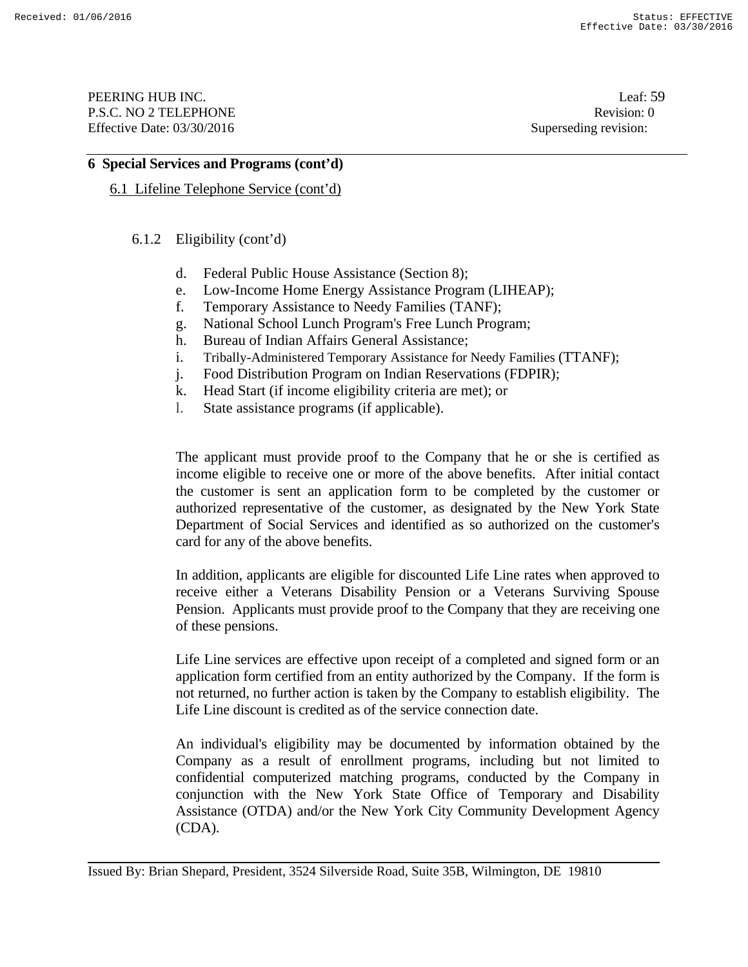PEERING HUB INC. Leaf: 59 P.S.C. NO 2 TELEPHONE Revision: 0 Effective Date: 03/30/2016 Superseding revision:

## **6 Special Services and Programs (cont'd)**

6.1 Lifeline Telephone Service (cont'd)

6.1.2 Eligibility (cont'd)

- d. Federal Public House Assistance (Section 8);
- e. Low-Income Home Energy Assistance Program (LIHEAP);
- f. Temporary Assistance to Needy Families (TANF);
- g. National School Lunch Program's Free Lunch Program;
- h. Bureau of Indian Affairs General Assistance;
- i. Tribally-Administered Temporary Assistance for Needy Families (TTANF);
- j. Food Distribution Program on Indian Reservations (FDPIR);
- k. Head Start (if income eligibility criteria are met); or
- l. State assistance programs (if applicable).

The applicant must provide proof to the Company that he or she is certified as income eligible to receive one or more of the above benefits. After initial contact the customer is sent an application form to be completed by the customer or authorized representative of the customer, as designated by the New York State Department of Social Services and identified as so authorized on the customer's card for any of the above benefits.

In addition, applicants are eligible for discounted Life Line rates when approved to receive either a Veterans Disability Pension or a Veterans Surviving Spouse Pension. Applicants must provide proof to the Company that they are receiving one of these pensions.

 Life Line services are effective upon receipt of a completed and signed form or an application form certified from an entity authorized by the Company. If the form is not returned, no further action is taken by the Company to establish eligibility. The Life Line discount is credited as of the service connection date.

An individual's eligibility may be documented by information obtained by the Company as a result of enrollment programs, including but not limited to confidential computerized matching programs, conducted by the Company in conjunction with the New York State Office of Temporary and Disability Assistance (OTDA) and/or the New York City Community Development Agency (CDA).

Issued By: Brian Shepard, President, 3524 Silverside Road, Suite 35B, Wilmington, DE 19810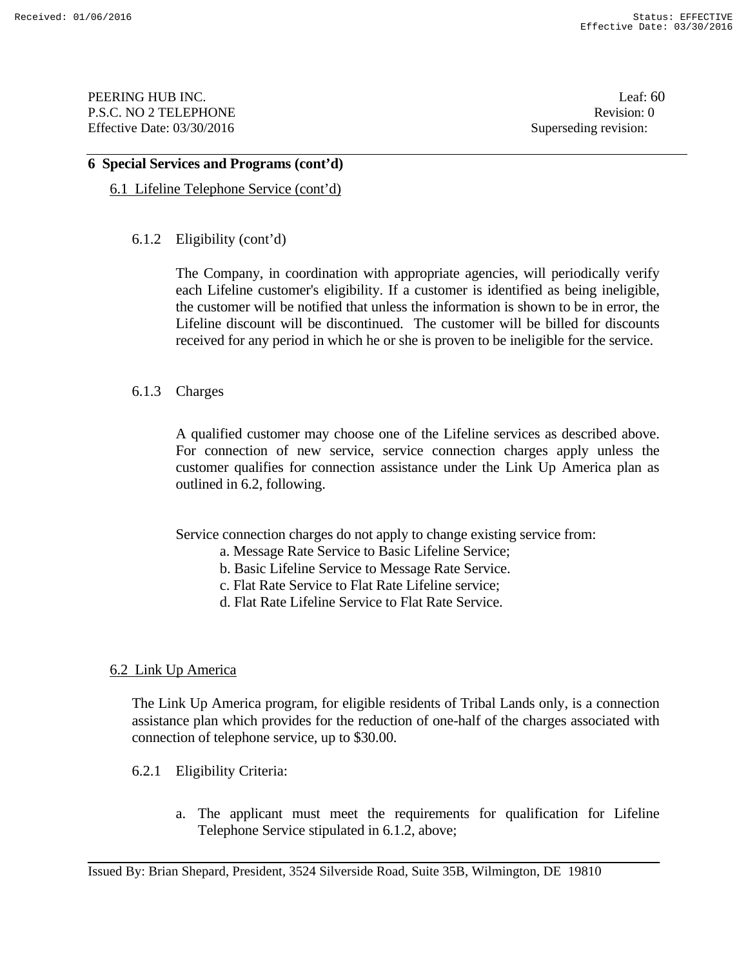PEERING HUB INC. Leaf: 60 P.S.C. NO 2 TELEPHONE Revision: 0 Effective Date: 03/30/2016 Superseding revision:

#### **6 Special Services and Programs (cont'd)**

6.1 Lifeline Telephone Service (cont'd)

## 6.1.2 Eligibility (cont'd)

The Company, in coordination with appropriate agencies, will periodically verify each Lifeline customer's eligibility. If a customer is identified as being ineligible, the customer will be notified that unless the information is shown to be in error, the Lifeline discount will be discontinued. The customer will be billed for discounts received for any period in which he or she is proven to be ineligible for the service.

## 6.1.3 Charges

A qualified customer may choose one of the Lifeline services as described above. For connection of new service, service connection charges apply unless the customer qualifies for connection assistance under the Link Up America plan as outlined in 6.2, following.

Service connection charges do not apply to change existing service from:

- a. Message Rate Service to Basic Lifeline Service;
- b. Basic Lifeline Service to Message Rate Service.
- c. Flat Rate Service to Flat Rate Lifeline service;
- d. Flat Rate Lifeline Service to Flat Rate Service.

## 6.2 Link Up America

The Link Up America program, for eligible residents of Tribal Lands only, is a connection assistance plan which provides for the reduction of one-half of the charges associated with connection of telephone service, up to \$30.00.

- 6.2.1 Eligibility Criteria:
	- a. The applicant must meet the requirements for qualification for Lifeline Telephone Service stipulated in 6.1.2, above;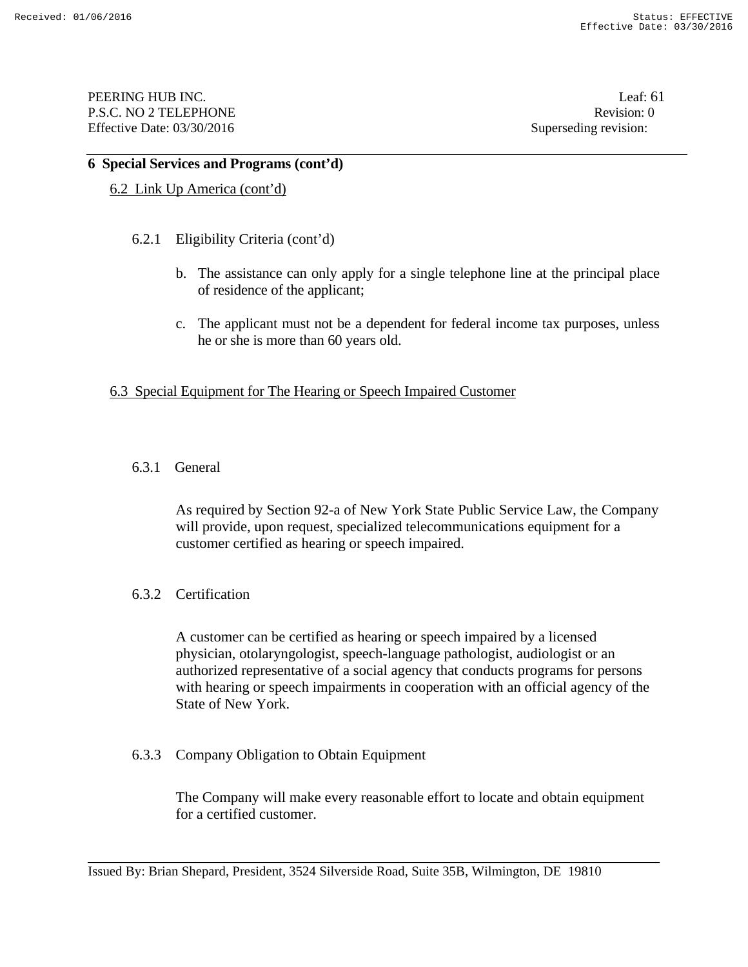PEERING HUB INC. Leaf: 61 P.S.C. NO 2 TELEPHONE Revision: 0 Effective Date: 03/30/2016 Superseding revision:

### **6 Special Services and Programs (cont'd)**

### 6.2 Link Up America (cont'd)

### 6.2.1 Eligibility Criteria (cont'd)

- b. The assistance can only apply for a single telephone line at the principal place of residence of the applicant;
- c. The applicant must not be a dependent for federal income tax purposes, unless he or she is more than 60 years old.

### 6.3 Special Equipment for The Hearing or Speech Impaired Customer

### 6.3.1 General

As required by Section 92-a of New York State Public Service Law, the Company will provide, upon request, specialized telecommunications equipment for a customer certified as hearing or speech impaired.

## 6.3.2 Certification

A customer can be certified as hearing or speech impaired by a licensed physician, otolaryngologist, speech-language pathologist, audiologist or an authorized representative of a social agency that conducts programs for persons with hearing or speech impairments in cooperation with an official agency of the State of New York.

## 6.3.3 Company Obligation to Obtain Equipment

The Company will make every reasonable effort to locate and obtain equipment for a certified customer.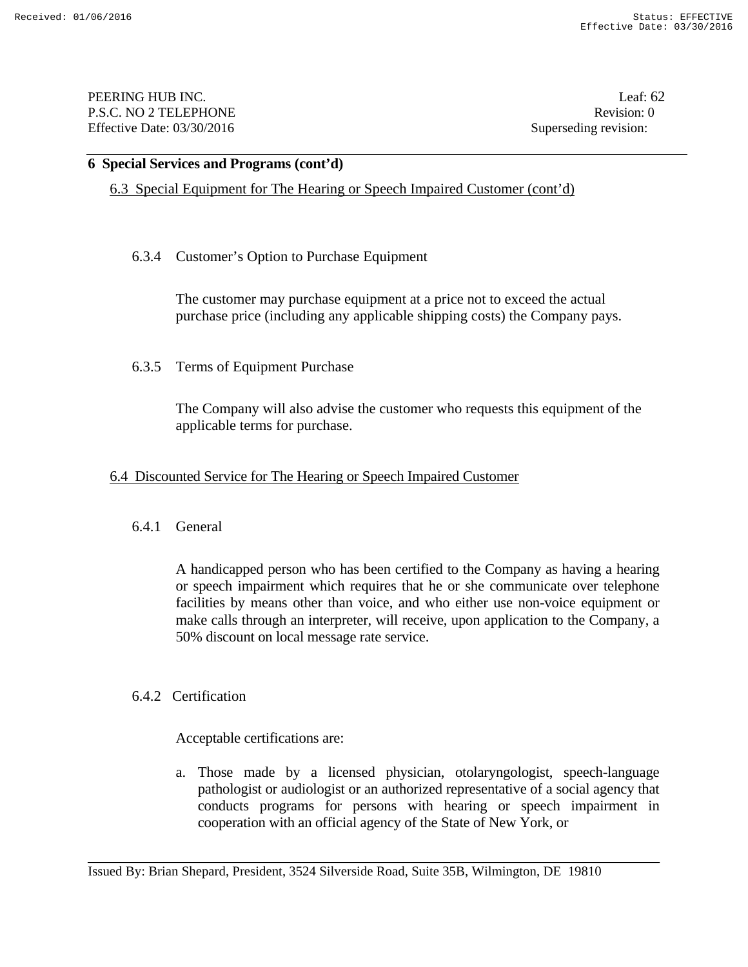PEERING HUB INC. Leaf: 62 P.S.C. NO 2 TELEPHONE Revision: 0 Effective Date: 03/30/2016 Superseding revision:

#### **6 Special Services and Programs (cont'd)**

6.3 Special Equipment for The Hearing or Speech Impaired Customer (cont'd)

## 6.3.4 Customer's Option to Purchase Equipment

The customer may purchase equipment at a price not to exceed the actual purchase price (including any applicable shipping costs) the Company pays.

### 6.3.5 Terms of Equipment Purchase

The Company will also advise the customer who requests this equipment of the applicable terms for purchase.

#### 6.4 Discounted Service for The Hearing or Speech Impaired Customer

#### 6.4.1 General

A handicapped person who has been certified to the Company as having a hearing or speech impairment which requires that he or she communicate over telephone facilities by means other than voice, and who either use non-voice equipment or make calls through an interpreter, will receive, upon application to the Company, a 50% discount on local message rate service.

#### 6.4.2 Certification

Acceptable certifications are:

a. Those made by a licensed physician, otolaryngologist, speech-language pathologist or audiologist or an authorized representative of a social agency that conducts programs for persons with hearing or speech impairment in cooperation with an official agency of the State of New York, or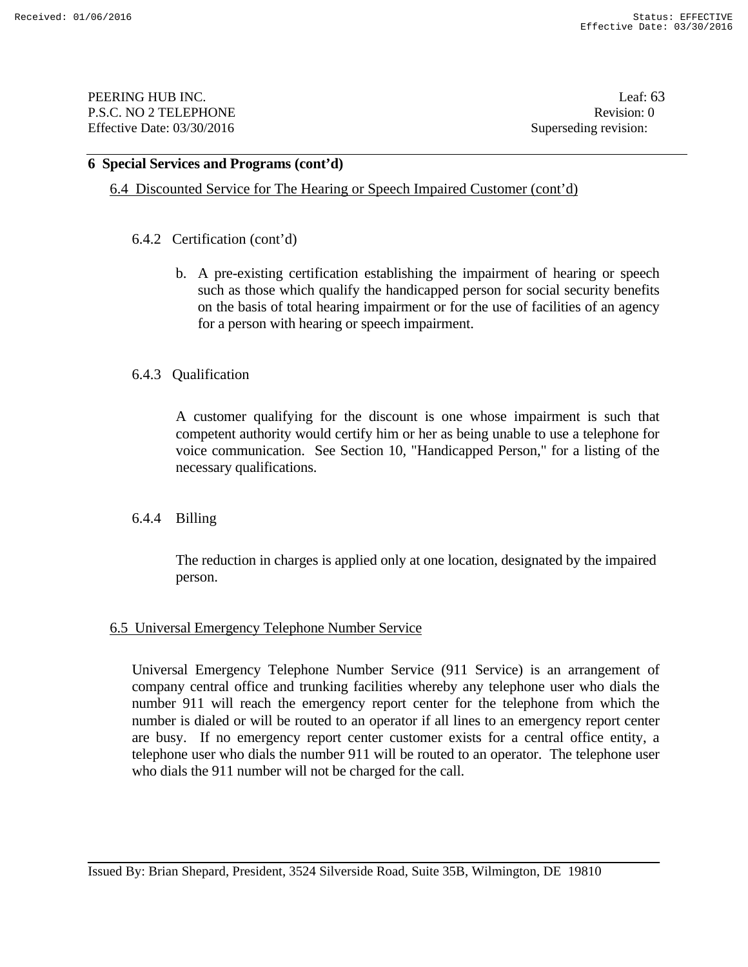PEERING HUB INC. Leaf: 63 P.S.C. NO 2 TELEPHONE Revision: 0 Effective Date: 03/30/2016 Superseding revision:

### **6 Special Services and Programs (cont'd)**

6.4 Discounted Service for The Hearing or Speech Impaired Customer (cont'd)

### 6.4.2 Certification (cont'd)

b. A pre-existing certification establishing the impairment of hearing or speech such as those which qualify the handicapped person for social security benefits on the basis of total hearing impairment or for the use of facilities of an agency for a person with hearing or speech impairment.

### 6.4.3 Qualification

 A customer qualifying for the discount is one whose impairment is such that competent authority would certify him or her as being unable to use a telephone for voice communication. See Section 10, "Handicapped Person," for a listing of the necessary qualifications.

## 6.4.4 Billing

The reduction in charges is applied only at one location, designated by the impaired person.

## 6.5 Universal Emergency Telephone Number Service

Universal Emergency Telephone Number Service (911 Service) is an arrangement of company central office and trunking facilities whereby any telephone user who dials the number 911 will reach the emergency report center for the telephone from which the number is dialed or will be routed to an operator if all lines to an emergency report center are busy. If no emergency report center customer exists for a central office entity, a telephone user who dials the number 911 will be routed to an operator. The telephone user who dials the 911 number will not be charged for the call.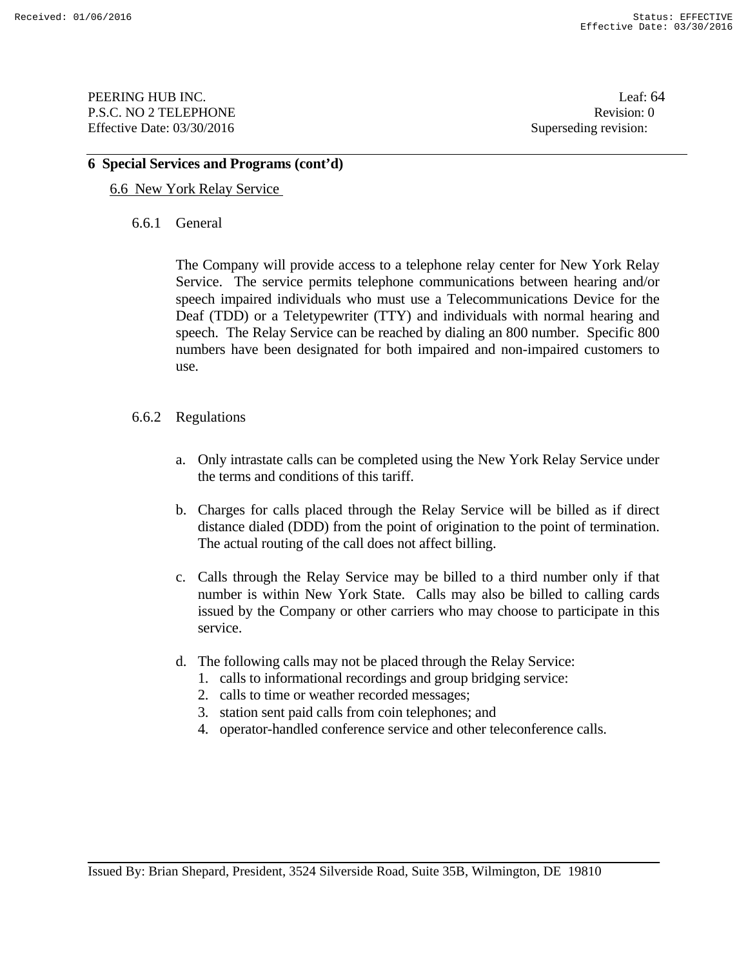PEERING HUB INC. Leaf: 64 P.S.C. NO 2 TELEPHONE Revision: 0 Effective Date: 03/30/2016 Superseding revision:

## **6 Special Services and Programs (cont'd)**

- 6.6 New York Relay Service
	- 6.6.1 General

 The Company will provide access to a telephone relay center for New York Relay Service. The service permits telephone communications between hearing and/or speech impaired individuals who must use a Telecommunications Device for the Deaf (TDD) or a Teletypewriter (TTY) and individuals with normal hearing and speech. The Relay Service can be reached by dialing an 800 number. Specific 800 numbers have been designated for both impaired and non-impaired customers to use.

- 6.6.2 Regulations
	- a. Only intrastate calls can be completed using the New York Relay Service under the terms and conditions of this tariff.
	- b. Charges for calls placed through the Relay Service will be billed as if direct distance dialed (DDD) from the point of origination to the point of termination. The actual routing of the call does not affect billing.
	- c. Calls through the Relay Service may be billed to a third number only if that number is within New York State. Calls may also be billed to calling cards issued by the Company or other carriers who may choose to participate in this service.
	- d. The following calls may not be placed through the Relay Service:
		- 1. calls to informational recordings and group bridging service:
		- 2. calls to time or weather recorded messages;
		- 3. station sent paid calls from coin telephones; and
		- 4. operator-handled conference service and other teleconference calls.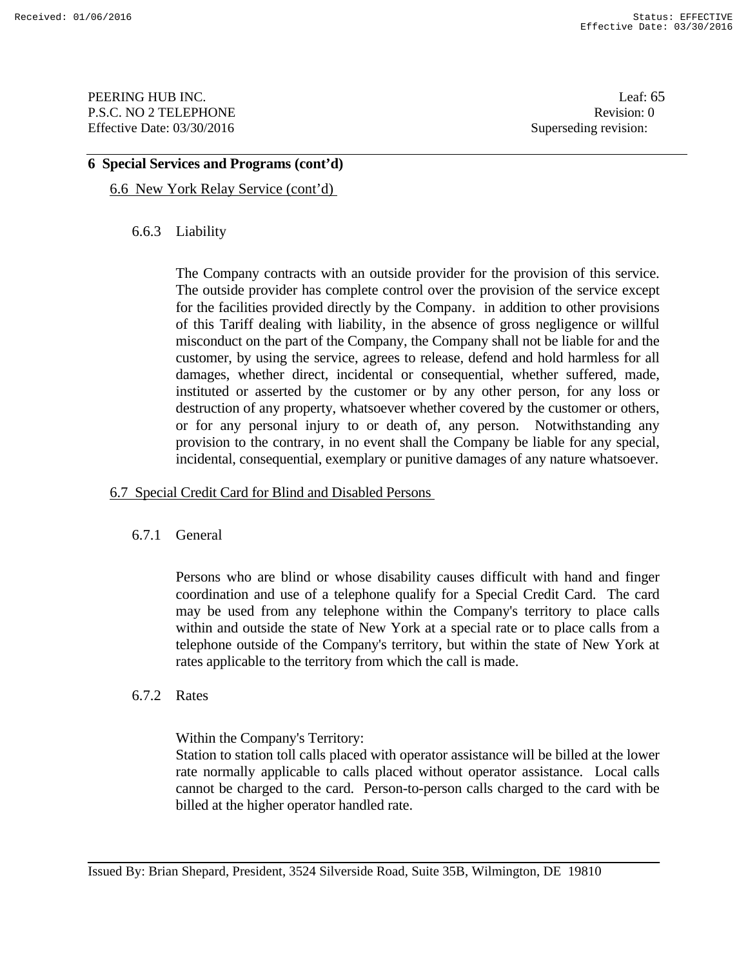PEERING HUB INC. Leaf: 65 P.S.C. NO 2 TELEPHONE Revision: 0 Effective Date: 03/30/2016 Superseding revision:

### **6 Special Services and Programs (cont'd)**

6.6 New York Relay Service (cont'd)

## 6.6.3 Liability

 The Company contracts with an outside provider for the provision of this service. The outside provider has complete control over the provision of the service except for the facilities provided directly by the Company. in addition to other provisions of this Tariff dealing with liability, in the absence of gross negligence or willful misconduct on the part of the Company, the Company shall not be liable for and the customer, by using the service, agrees to release, defend and hold harmless for all damages, whether direct, incidental or consequential, whether suffered, made, instituted or asserted by the customer or by any other person, for any loss or destruction of any property, whatsoever whether covered by the customer or others, or for any personal injury to or death of, any person. Notwithstanding any provision to the contrary, in no event shall the Company be liable for any special, incidental, consequential, exemplary or punitive damages of any nature whatsoever.

## 6.7 Special Credit Card for Blind and Disabled Persons

## 6.7.1 General

 Persons who are blind or whose disability causes difficult with hand and finger coordination and use of a telephone qualify for a Special Credit Card. The card may be used from any telephone within the Company's territory to place calls within and outside the state of New York at a special rate or to place calls from a telephone outside of the Company's territory, but within the state of New York at rates applicable to the territory from which the call is made.

#### 6.7.2 Rates

Within the Company's Territory:

 Station to station toll calls placed with operator assistance will be billed at the lower rate normally applicable to calls placed without operator assistance. Local calls cannot be charged to the card. Person-to-person calls charged to the card with be billed at the higher operator handled rate.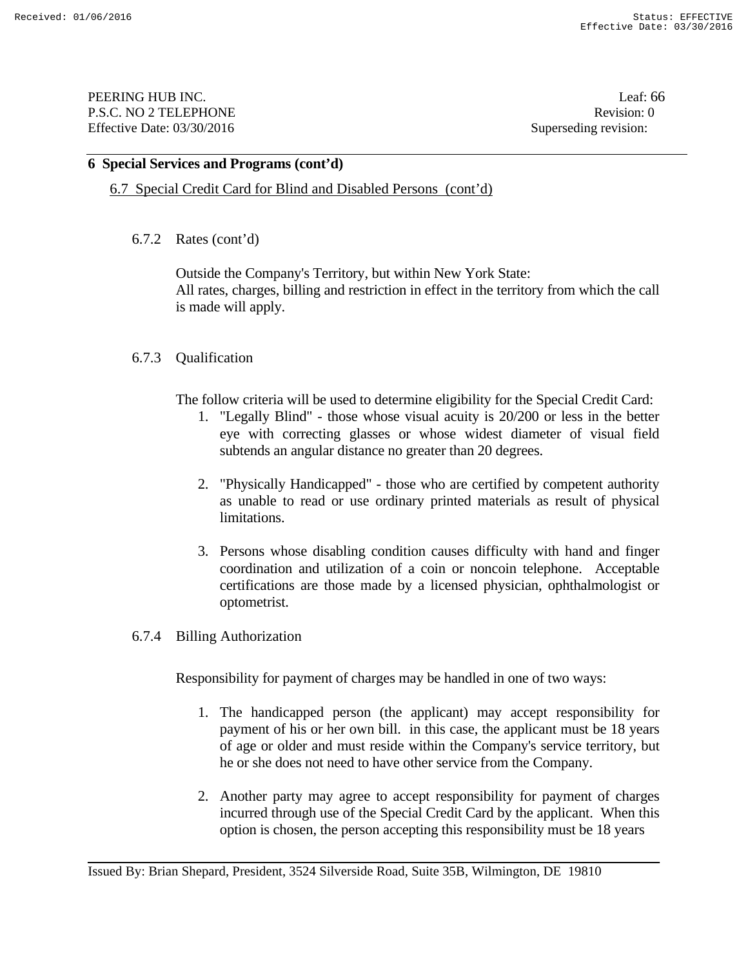PEERING HUB INC. Leaf: 66 P.S.C. NO 2 TELEPHONE Revision: 0 Effective Date: 03/30/2016 Superseding revision:

## **6 Special Services and Programs (cont'd)**

6.7 Special Credit Card for Blind and Disabled Persons (cont'd)

### 6.7.2 Rates (cont'd)

 Outside the Company's Territory, but within New York State: All rates, charges, billing and restriction in effect in the territory from which the call is made will apply.

## 6.7.3 Qualification

The follow criteria will be used to determine eligibility for the Special Credit Card:

- 1. "Legally Blind" those whose visual acuity is 20/200 or less in the better eye with correcting glasses or whose widest diameter of visual field subtends an angular distance no greater than 20 degrees.
- 2. "Physically Handicapped" those who are certified by competent authority as unable to read or use ordinary printed materials as result of physical limitations.
- 3. Persons whose disabling condition causes difficulty with hand and finger coordination and utilization of a coin or noncoin telephone. Acceptable certifications are those made by a licensed physician, ophthalmologist or optometrist.
- 6.7.4 Billing Authorization

Responsibility for payment of charges may be handled in one of two ways:

- 1. The handicapped person (the applicant) may accept responsibility for payment of his or her own bill. in this case, the applicant must be 18 years of age or older and must reside within the Company's service territory, but he or she does not need to have other service from the Company.
- 2. Another party may agree to accept responsibility for payment of charges incurred through use of the Special Credit Card by the applicant. When this option is chosen, the person accepting this responsibility must be 18 years

Issued By: Brian Shepard, President, 3524 Silverside Road, Suite 35B, Wilmington, DE 19810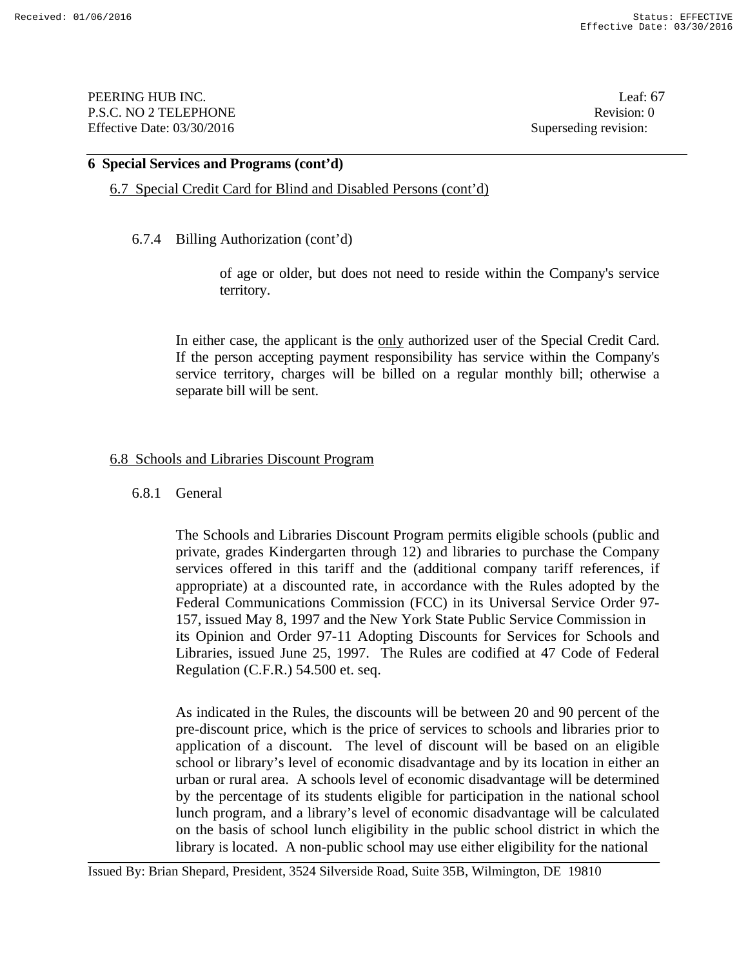PEERING HUB INC. Leaf: 67 P.S.C. NO 2 TELEPHONE Revision: 0 Effective Date: 03/30/2016 Superseding revision:

### **6 Special Services and Programs (cont'd)**

6.7 Special Credit Card for Blind and Disabled Persons (cont'd)

6.7.4 Billing Authorization (cont'd)

of age or older, but does not need to reside within the Company's service territory.

 In either case, the applicant is the only authorized user of the Special Credit Card. If the person accepting payment responsibility has service within the Company's service territory, charges will be billed on a regular monthly bill; otherwise a separate bill will be sent.

#### 6.8 Schools and Libraries Discount Program

#### 6.8.1 General

The Schools and Libraries Discount Program permits eligible schools (public and private, grades Kindergarten through 12) and libraries to purchase the Company services offered in this tariff and the (additional company tariff references, if appropriate) at a discounted rate, in accordance with the Rules adopted by the Federal Communications Commission (FCC) in its Universal Service Order 97- 157, issued May 8, 1997 and the New York State Public Service Commission in its Opinion and Order 97-11 Adopting Discounts for Services for Schools and Libraries, issued June 25, 1997. The Rules are codified at 47 Code of Federal Regulation (C.F.R.) 54.500 et. seq.

As indicated in the Rules, the discounts will be between 20 and 90 percent of the pre-discount price, which is the price of services to schools and libraries prior to application of a discount. The level of discount will be based on an eligible school or library's level of economic disadvantage and by its location in either an urban or rural area. A schools level of economic disadvantage will be determined by the percentage of its students eligible for participation in the national school lunch program, and a library's level of economic disadvantage will be calculated on the basis of school lunch eligibility in the public school district in which the library is located. A non-public school may use either eligibility for the national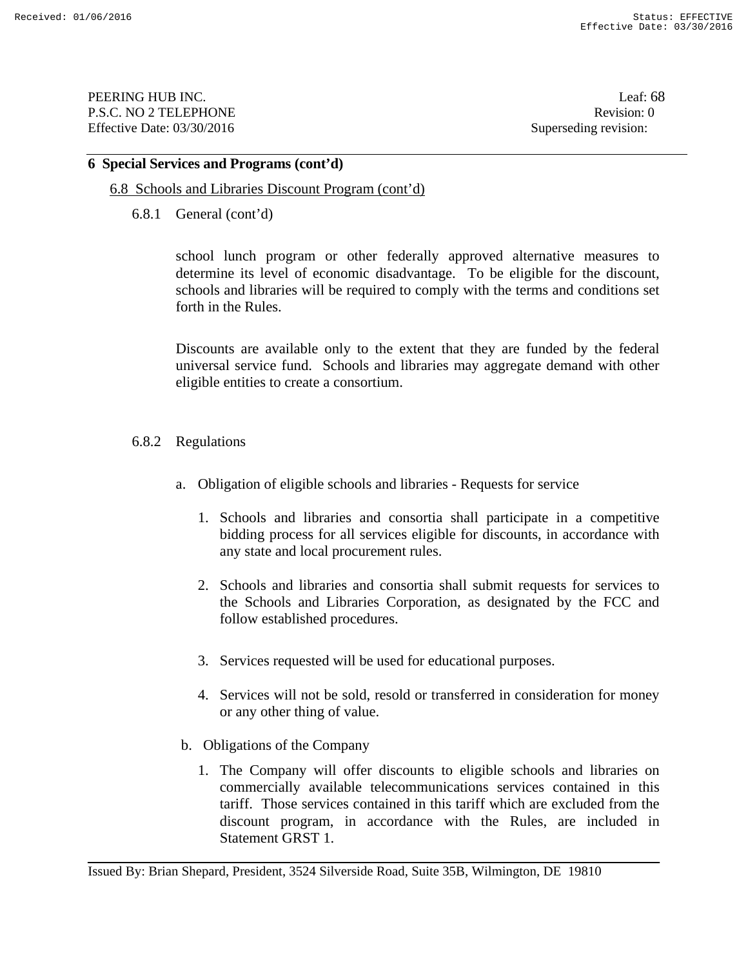PEERING HUB INC. Leaf: 68 P.S.C. NO 2 TELEPHONE Revision: 0 Effective Date: 03/30/2016 Superseding revision:

### **6 Special Services and Programs (cont'd)**

## 6.8 Schools and Libraries Discount Program (cont'd)

6.8.1 General (cont'd)

school lunch program or other federally approved alternative measures to determine its level of economic disadvantage. To be eligible for the discount, schools and libraries will be required to comply with the terms and conditions set forth in the Rules.

Discounts are available only to the extent that they are funded by the federal universal service fund. Schools and libraries may aggregate demand with other eligible entities to create a consortium.

- 6.8.2 Regulations
	- a. Obligation of eligible schools and libraries Requests for service
		- 1. Schools and libraries and consortia shall participate in a competitive bidding process for all services eligible for discounts, in accordance with any state and local procurement rules.
		- 2. Schools and libraries and consortia shall submit requests for services to the Schools and Libraries Corporation, as designated by the FCC and follow established procedures.
		- 3. Services requested will be used for educational purposes.
		- 4. Services will not be sold, resold or transferred in consideration for money or any other thing of value.
	- b. Obligations of the Company
		- 1. The Company will offer discounts to eligible schools and libraries on commercially available telecommunications services contained in this tariff. Those services contained in this tariff which are excluded from the discount program, in accordance with the Rules, are included in Statement GRST 1.

Issued By: Brian Shepard, President, 3524 Silverside Road, Suite 35B, Wilmington, DE 19810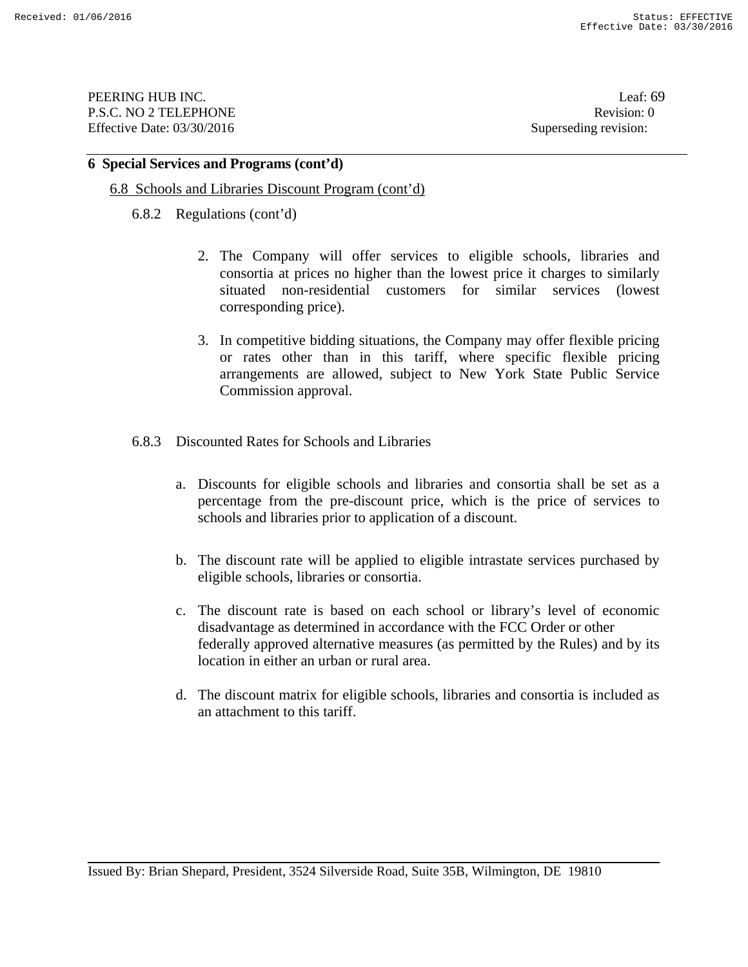PEERING HUB INC. Leaf: 69 P.S.C. NO 2 TELEPHONE Revision: 0 Effective Date: 03/30/2016 Superseding revision:

#### **6 Special Services and Programs (cont'd)**

#### 6.8 Schools and Libraries Discount Program (cont'd)

- 6.8.2 Regulations (cont'd)
	- 2. The Company will offer services to eligible schools, libraries and consortia at prices no higher than the lowest price it charges to similarly situated non-residential customers for similar services (lowest corresponding price).
	- 3. In competitive bidding situations, the Company may offer flexible pricing or rates other than in this tariff, where specific flexible pricing arrangements are allowed, subject to New York State Public Service Commission approval.
- 6.8.3 Discounted Rates for Schools and Libraries
	- a. Discounts for eligible schools and libraries and consortia shall be set as a percentage from the pre-discount price, which is the price of services to schools and libraries prior to application of a discount.
	- b. The discount rate will be applied to eligible intrastate services purchased by eligible schools, libraries or consortia.
	- c. The discount rate is based on each school or library's level of economic disadvantage as determined in accordance with the FCC Order or other federally approved alternative measures (as permitted by the Rules) and by its location in either an urban or rural area.
	- d. The discount matrix for eligible schools, libraries and consortia is included as an attachment to this tariff.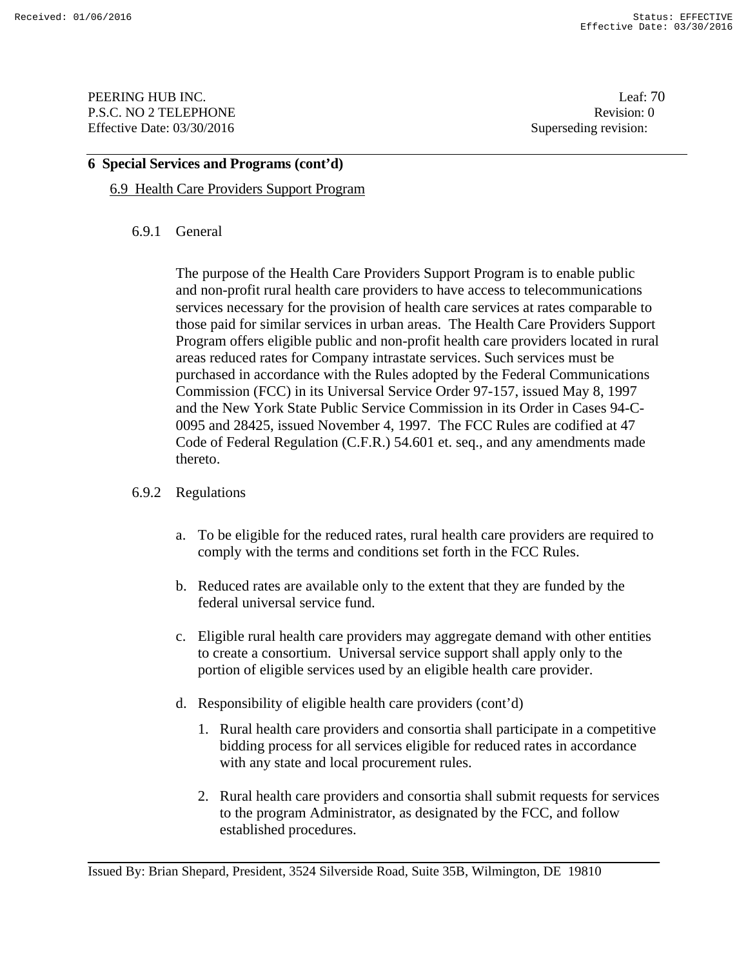PEERING HUB INC. Leaf: 70 P.S.C. NO 2 TELEPHONE Revision: 0 Effective Date: 03/30/2016 Superseding revision:

### **6 Special Services and Programs (cont'd)**

## 6.9 Health Care Providers Support Program

## 6.9.1 General

The purpose of the Health Care Providers Support Program is to enable public and non-profit rural health care providers to have access to telecommunications services necessary for the provision of health care services at rates comparable to those paid for similar services in urban areas. The Health Care Providers Support Program offers eligible public and non-profit health care providers located in rural areas reduced rates for Company intrastate services. Such services must be purchased in accordance with the Rules adopted by the Federal Communications Commission (FCC) in its Universal Service Order 97-157, issued May 8, 1997 and the New York State Public Service Commission in its Order in Cases 94-C-0095 and 28425, issued November 4, 1997. The FCC Rules are codified at 47 Code of Federal Regulation (C.F.R.) 54.601 et. seq., and any amendments made thereto.

## 6.9.2 Regulations

- a. To be eligible for the reduced rates, rural health care providers are required to comply with the terms and conditions set forth in the FCC Rules.
- b. Reduced rates are available only to the extent that they are funded by the federal universal service fund.
- c. Eligible rural health care providers may aggregate demand with other entities to create a consortium. Universal service support shall apply only to the portion of eligible services used by an eligible health care provider.
- d. Responsibility of eligible health care providers (cont'd)
	- 1. Rural health care providers and consortia shall participate in a competitive bidding process for all services eligible for reduced rates in accordance with any state and local procurement rules.
	- 2. Rural health care providers and consortia shall submit requests for services to the program Administrator, as designated by the FCC, and follow established procedures.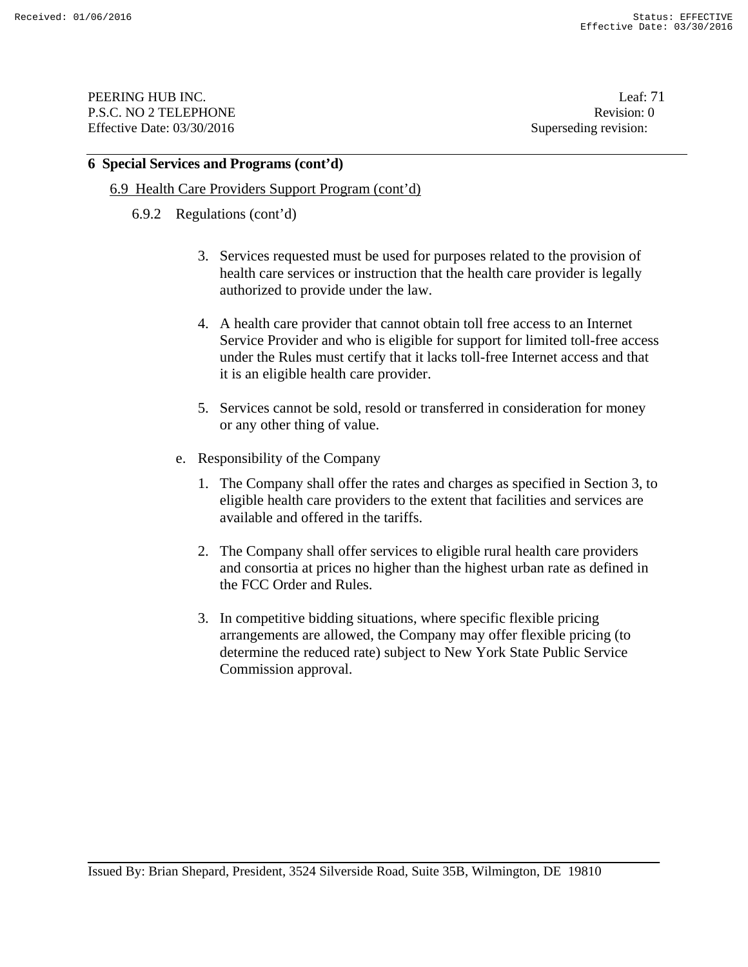PEERING HUB INC. Leaf: 71 P.S.C. NO 2 TELEPHONE Revision: 0 Effective Date: 03/30/2016 Superseding revision:

#### **6 Special Services and Programs (cont'd)**

### 6.9 Health Care Providers Support Program (cont'd)

#### 6.9.2 Regulations (cont'd)

- 3. Services requested must be used for purposes related to the provision of health care services or instruction that the health care provider is legally authorized to provide under the law.
- 4. A health care provider that cannot obtain toll free access to an Internet Service Provider and who is eligible for support for limited toll-free access under the Rules must certify that it lacks toll-free Internet access and that it is an eligible health care provider.
- 5. Services cannot be sold, resold or transferred in consideration for money or any other thing of value.
- e. Responsibility of the Company
	- 1. The Company shall offer the rates and charges as specified in Section 3, to eligible health care providers to the extent that facilities and services are available and offered in the tariffs.
	- 2. The Company shall offer services to eligible rural health care providers and consortia at prices no higher than the highest urban rate as defined in the FCC Order and Rules.
	- 3. In competitive bidding situations, where specific flexible pricing arrangements are allowed, the Company may offer flexible pricing (to determine the reduced rate) subject to New York State Public Service Commission approval.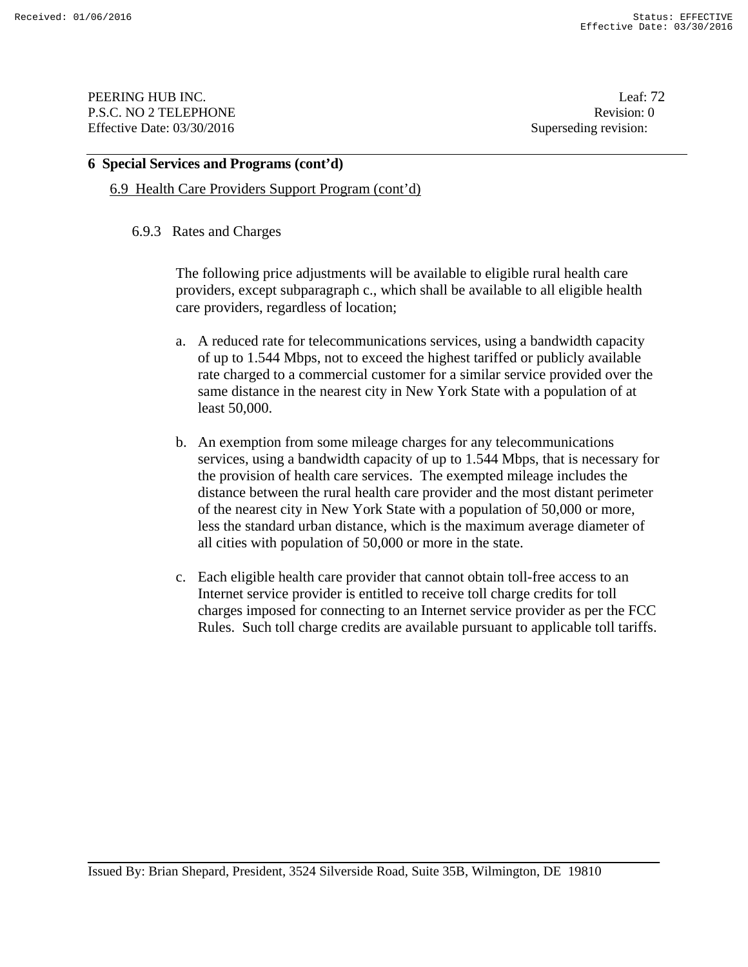PEERING HUB INC. Leaf: 72 P.S.C. NO 2 TELEPHONE Revision: 0 Effective Date: 03/30/2016 Superseding revision:

### **6 Special Services and Programs (cont'd)**

### 6.9 Health Care Providers Support Program (cont'd)

### 6.9.3 Rates and Charges

The following price adjustments will be available to eligible rural health care providers, except subparagraph c., which shall be available to all eligible health care providers, regardless of location;

- a. A reduced rate for telecommunications services, using a bandwidth capacity of up to 1.544 Mbps, not to exceed the highest tariffed or publicly available rate charged to a commercial customer for a similar service provided over the same distance in the nearest city in New York State with a population of at least 50,000.
- b. An exemption from some mileage charges for any telecommunications services, using a bandwidth capacity of up to 1.544 Mbps, that is necessary for the provision of health care services. The exempted mileage includes the distance between the rural health care provider and the most distant perimeter of the nearest city in New York State with a population of 50,000 or more, less the standard urban distance, which is the maximum average diameter of all cities with population of 50,000 or more in the state.
- c. Each eligible health care provider that cannot obtain toll-free access to an Internet service provider is entitled to receive toll charge credits for toll charges imposed for connecting to an Internet service provider as per the FCC Rules. Such toll charge credits are available pursuant to applicable toll tariffs.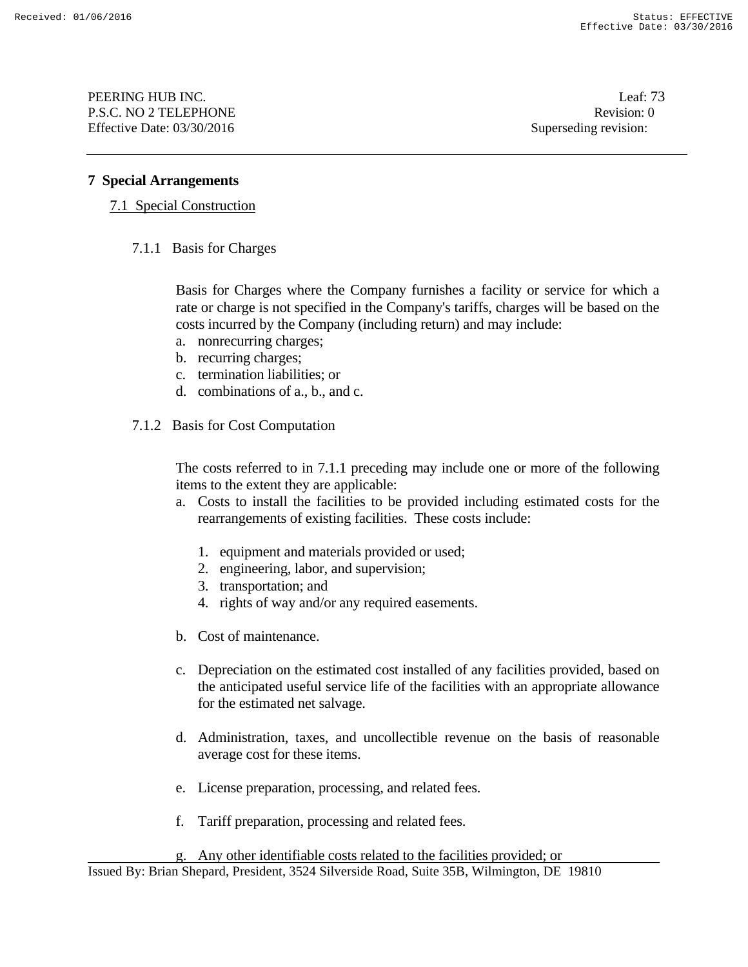PEERING HUB INC. Leaf: 73 P.S.C. NO 2 TELEPHONE Revision: 0 Effective Date: 03/30/2016 Superseding revision:

## **7 Special Arrangements**

## 7.1 Special Construction

7.1.1 Basis for Charges

Basis for Charges where the Company furnishes a facility or service for which a rate or charge is not specified in the Company's tariffs, charges will be based on the costs incurred by the Company (including return) and may include:

- a. nonrecurring charges;
- b. recurring charges;
- c. termination liabilities; or
- d. combinations of a., b., and c.
- 7.1.2 Basis for Cost Computation

The costs referred to in 7.1.1 preceding may include one or more of the following items to the extent they are applicable:

- a. Costs to install the facilities to be provided including estimated costs for the rearrangements of existing facilities. These costs include:
	- 1. equipment and materials provided or used;
	- 2. engineering, labor, and supervision;
	- 3. transportation; and
	- 4. rights of way and/or any required easements.
- b. Cost of maintenance.
- c. Depreciation on the estimated cost installed of any facilities provided, based on the anticipated useful service life of the facilities with an appropriate allowance for the estimated net salvage.
- d. Administration, taxes, and uncollectible revenue on the basis of reasonable average cost for these items.
- e. License preparation, processing, and related fees.
- f. Tariff preparation, processing and related fees.
- g. Any other identifiable costs related to the facilities provided; or

Issued By: Brian Shepard, President, 3524 Silverside Road, Suite 35B, Wilmington, DE 19810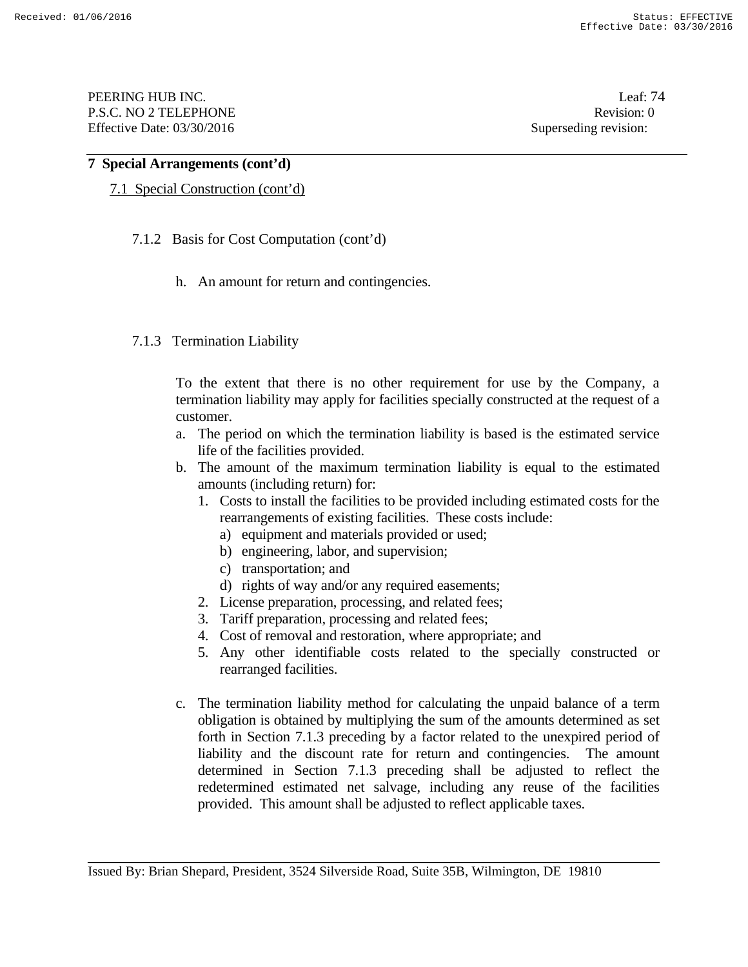PEERING HUB INC. Leaf: 74 P.S.C. NO 2 TELEPHONE Revision: 0 Effective Date: 03/30/2016 Superseding revision:

# **7 Special Arrangements (cont'd)**

# 7.1 Special Construction (cont'd)

- 7.1.2 Basis for Cost Computation (cont'd)
	- h. An amount for return and contingencies.

# 7.1.3 Termination Liability

To the extent that there is no other requirement for use by the Company, a termination liability may apply for facilities specially constructed at the request of a customer.

- a. The period on which the termination liability is based is the estimated service life of the facilities provided.
- b. The amount of the maximum termination liability is equal to the estimated amounts (including return) for:
	- 1. Costs to install the facilities to be provided including estimated costs for the rearrangements of existing facilities. These costs include:
		- a) equipment and materials provided or used;
		- b) engineering, labor, and supervision;
		- c) transportation; and
		- d) rights of way and/or any required easements;
	- 2. License preparation, processing, and related fees;
	- 3. Tariff preparation, processing and related fees;
	- 4. Cost of removal and restoration, where appropriate; and
	- 5. Any other identifiable costs related to the specially constructed or rearranged facilities.
- c. The termination liability method for calculating the unpaid balance of a term obligation is obtained by multiplying the sum of the amounts determined as set forth in Section 7.1.3 preceding by a factor related to the unexpired period of liability and the discount rate for return and contingencies. The amount determined in Section 7.1.3 preceding shall be adjusted to reflect the redetermined estimated net salvage, including any reuse of the facilities provided. This amount shall be adjusted to reflect applicable taxes.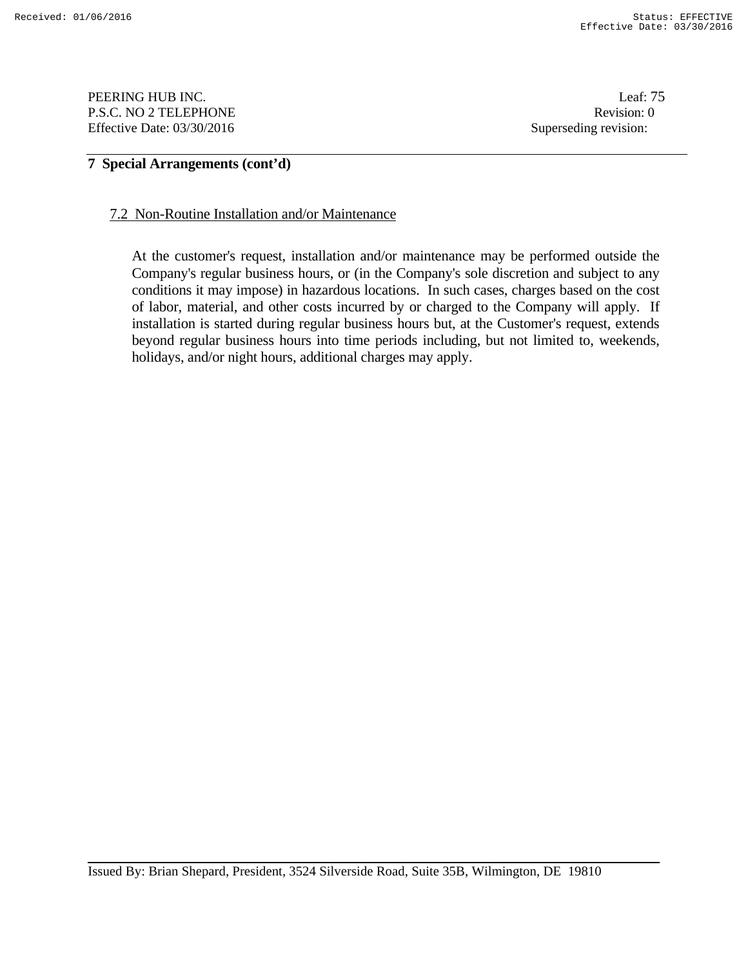PEERING HUB INC. Leaf: 75 P.S.C. NO 2 TELEPHONE Revision: 0 Effective Date: 03/30/2016 Superseding revision:

# **7 Special Arrangements (cont'd)**

#### 7.2 Non-Routine Installation and/or Maintenance

At the customer's request, installation and/or maintenance may be performed outside the Company's regular business hours, or (in the Company's sole discretion and subject to any conditions it may impose) in hazardous locations. In such cases, charges based on the cost of labor, material, and other costs incurred by or charged to the Company will apply. If installation is started during regular business hours but, at the Customer's request, extends beyond regular business hours into time periods including, but not limited to, weekends, holidays, and/or night hours, additional charges may apply.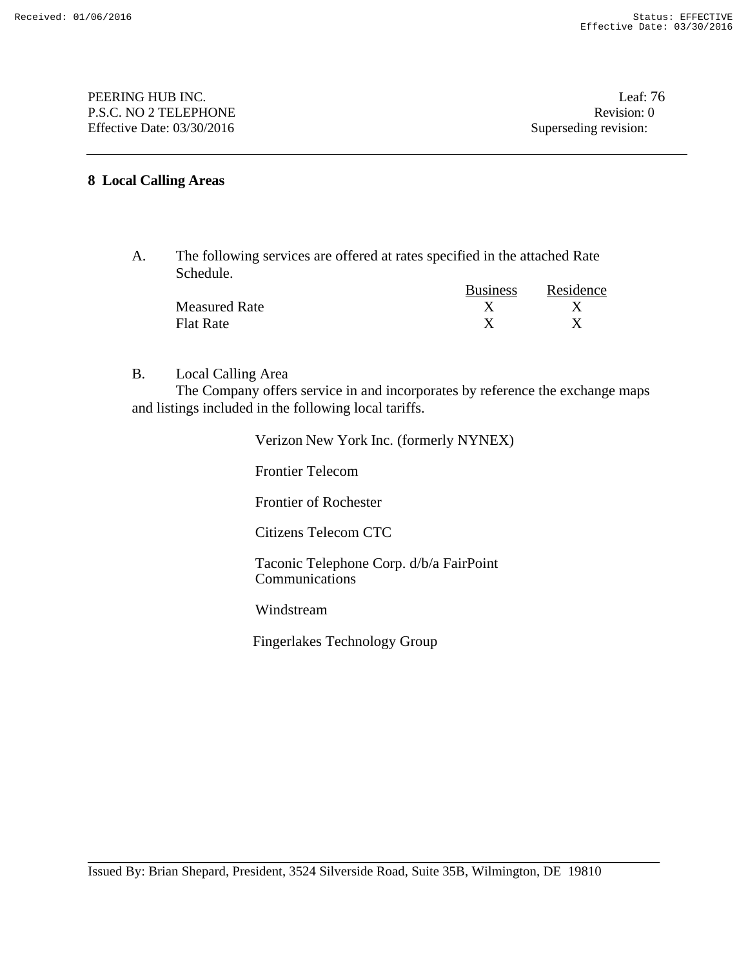PEERING HUB INC. Leaf: 76 P.S.C. NO 2 TELEPHONE Revision: 0 Effective Date: 03/30/2016 Superseding revision:

## **8 Local Calling Areas**

A. The following services are offered at rates specified in the attached Rate Schedule.

|                      | <b>Business</b> | Residence |
|----------------------|-----------------|-----------|
| <b>Measured Rate</b> |                 |           |
| <b>Flat Rate</b>     |                 |           |

B. Local Calling Area

The Company offers service in and incorporates by reference the exchange maps and listings included in the following local tariffs.

> Verizon New York Inc. (formerly NYNEX) Frontier Telecom Frontier of Rochester Citizens Telecom CTC Taconic Telephone Corp. d/b/a FairPoint Communications Windstream Fingerlakes Technology Group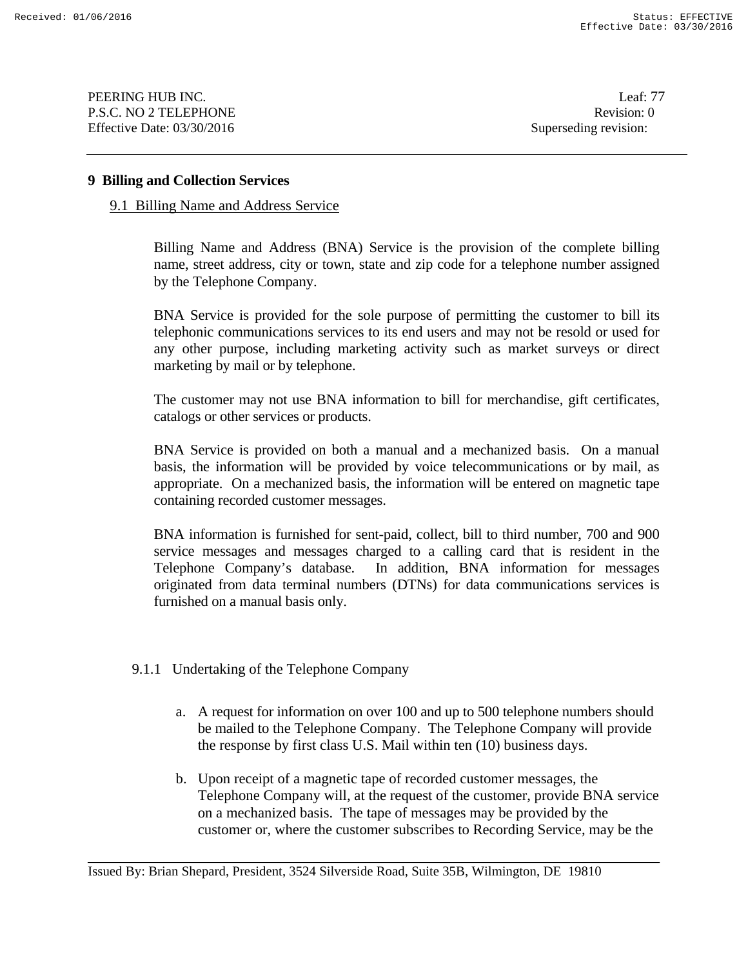PEERING HUB INC. Leaf: 77 P.S.C. NO 2 TELEPHONE Revision: 0 Effective Date: 03/30/2016 Superseding revision:

### **9 Billing and Collection Services**

### 9.1 Billing Name and Address Service

Billing Name and Address (BNA) Service is the provision of the complete billing name, street address, city or town, state and zip code for a telephone number assigned by the Telephone Company.

 BNA Service is provided for the sole purpose of permitting the customer to bill its telephonic communications services to its end users and may not be resold or used for any other purpose, including marketing activity such as market surveys or direct marketing by mail or by telephone.

 The customer may not use BNA information to bill for merchandise, gift certificates, catalogs or other services or products.

 BNA Service is provided on both a manual and a mechanized basis. On a manual basis, the information will be provided by voice telecommunications or by mail, as appropriate. On a mechanized basis, the information will be entered on magnetic tape containing recorded customer messages.

 BNA information is furnished for sent-paid, collect, bill to third number, 700 and 900 service messages and messages charged to a calling card that is resident in the Telephone Company's database. In addition, BNA information for messages originated from data terminal numbers (DTNs) for data communications services is furnished on a manual basis only.

# 9.1.1 Undertaking of the Telephone Company

- a. A request for information on over 100 and up to 500 telephone numbers should be mailed to the Telephone Company. The Telephone Company will provide the response by first class U.S. Mail within ten (10) business days.
- b. Upon receipt of a magnetic tape of recorded customer messages, the Telephone Company will, at the request of the customer, provide BNA service on a mechanized basis. The tape of messages may be provided by the customer or, where the customer subscribes to Recording Service, may be the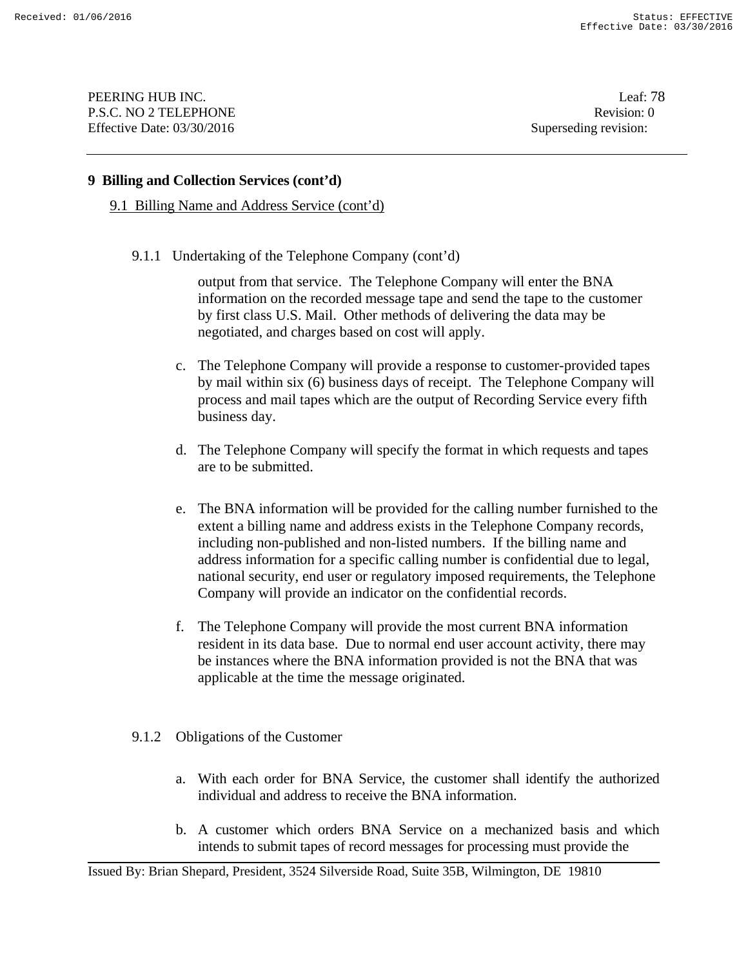PEERING HUB INC. Leaf: 78 P.S.C. NO 2 TELEPHONE Revision: 0 Effective Date: 03/30/2016 Superseding revision:

## **9 Billing and Collection Services (cont'd)**

9.1 Billing Name and Address Service (cont'd)

9.1.1 Undertaking of the Telephone Company (cont'd)

output from that service. The Telephone Company will enter the BNA information on the recorded message tape and send the tape to the customer by first class U.S. Mail. Other methods of delivering the data may be negotiated, and charges based on cost will apply.

- c. The Telephone Company will provide a response to customer-provided tapes by mail within six (6) business days of receipt. The Telephone Company will process and mail tapes which are the output of Recording Service every fifth business day.
- d. The Telephone Company will specify the format in which requests and tapes are to be submitted.
- e. The BNA information will be provided for the calling number furnished to the extent a billing name and address exists in the Telephone Company records, including non-published and non-listed numbers. If the billing name and address information for a specific calling number is confidential due to legal, national security, end user or regulatory imposed requirements, the Telephone Company will provide an indicator on the confidential records.
- f. The Telephone Company will provide the most current BNA information resident in its data base. Due to normal end user account activity, there may be instances where the BNA information provided is not the BNA that was applicable at the time the message originated.

# 9.1.2 Obligations of the Customer

- a. With each order for BNA Service, the customer shall identify the authorized individual and address to receive the BNA information.
- b. A customer which orders BNA Service on a mechanized basis and which intends to submit tapes of record messages for processing must provide the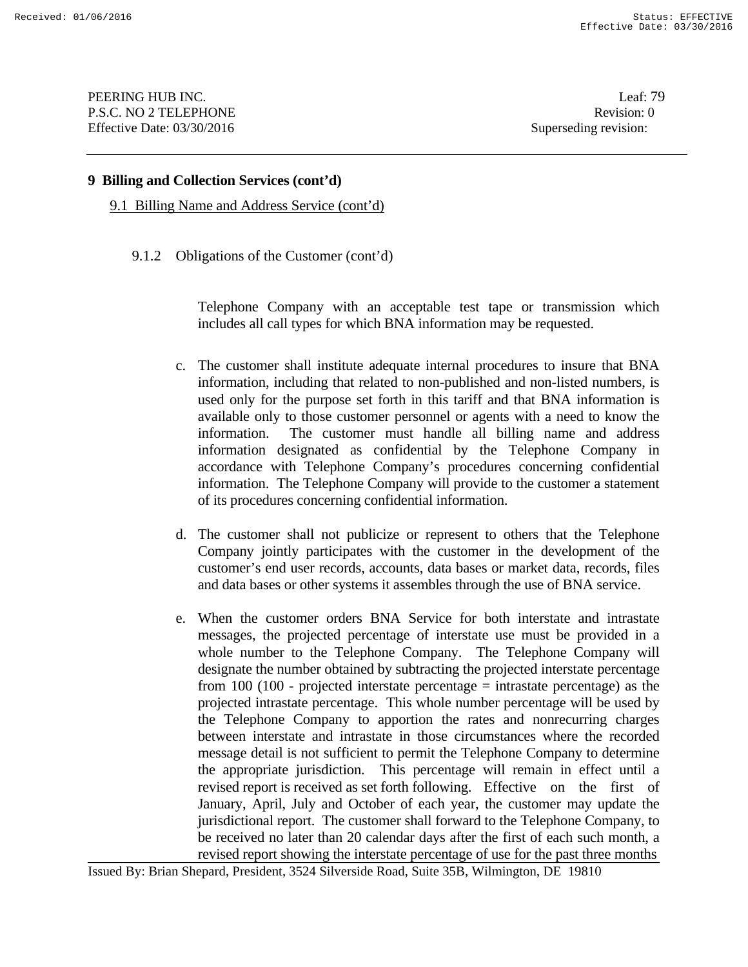PEERING HUB INC. Leaf: 79 P.S.C. NO 2 TELEPHONE Revision: 0 Effective Date: 03/30/2016 Superseding revision:

### **9 Billing and Collection Services (cont'd)**

9.1 Billing Name and Address Service (cont'd)

9.1.2 Obligations of the Customer (cont'd)

Telephone Company with an acceptable test tape or transmission which includes all call types for which BNA information may be requested.

- c. The customer shall institute adequate internal procedures to insure that BNA information, including that related to non-published and non-listed numbers, is used only for the purpose set forth in this tariff and that BNA information is available only to those customer personnel or agents with a need to know the information. The customer must handle all billing name and address information designated as confidential by the Telephone Company in accordance with Telephone Company's procedures concerning confidential information. The Telephone Company will provide to the customer a statement of its procedures concerning confidential information.
- d. The customer shall not publicize or represent to others that the Telephone Company jointly participates with the customer in the development of the customer's end user records, accounts, data bases or market data, records, files and data bases or other systems it assembles through the use of BNA service.
- e. When the customer orders BNA Service for both interstate and intrastate messages, the projected percentage of interstate use must be provided in a whole number to the Telephone Company. The Telephone Company will designate the number obtained by subtracting the projected interstate percentage from 100 (100 - projected interstate percentage  $=$  intrastate percentage) as the projected intrastate percentage. This whole number percentage will be used by the Telephone Company to apportion the rates and nonrecurring charges between interstate and intrastate in those circumstances where the recorded message detail is not sufficient to permit the Telephone Company to determine the appropriate jurisdiction. This percentage will remain in effect until a revised report is received as set forth following. Effective on the first of January, April, July and October of each year, the customer may update the jurisdictional report. The customer shall forward to the Telephone Company, to be received no later than 20 calendar days after the first of each such month, a revised report showing the interstate percentage of use for the past three months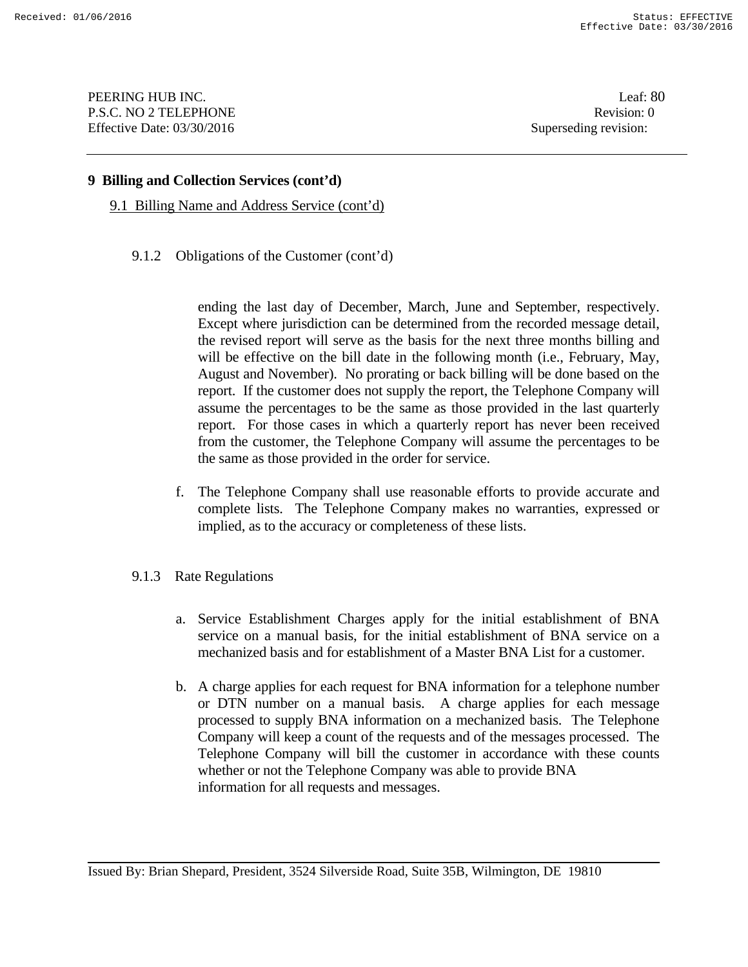PEERING HUB INC. Leaf: 80 P.S.C. NO 2 TELEPHONE Revision: 0 Effective Date: 03/30/2016 Superseding revision:

## **9 Billing and Collection Services (cont'd)**

9.1 Billing Name and Address Service (cont'd)

9.1.2 Obligations of the Customer (cont'd)

ending the last day of December, March, June and September, respectively. Except where jurisdiction can be determined from the recorded message detail, the revised report will serve as the basis for the next three months billing and will be effective on the bill date in the following month (i.e., February, May, August and November). No prorating or back billing will be done based on the report. If the customer does not supply the report, the Telephone Company will assume the percentages to be the same as those provided in the last quarterly report. For those cases in which a quarterly report has never been received from the customer, the Telephone Company will assume the percentages to be the same as those provided in the order for service.

- f. The Telephone Company shall use reasonable efforts to provide accurate and complete lists. The Telephone Company makes no warranties, expressed or implied, as to the accuracy or completeness of these lists.
- 9.1.3 Rate Regulations
	- a. Service Establishment Charges apply for the initial establishment of BNA service on a manual basis, for the initial establishment of BNA service on a mechanized basis and for establishment of a Master BNA List for a customer.
	- b. A charge applies for each request for BNA information for a telephone number or DTN number on a manual basis. A charge applies for each message processed to supply BNA information on a mechanized basis. The Telephone Company will keep a count of the requests and of the messages processed. The Telephone Company will bill the customer in accordance with these counts whether or not the Telephone Company was able to provide BNA information for all requests and messages.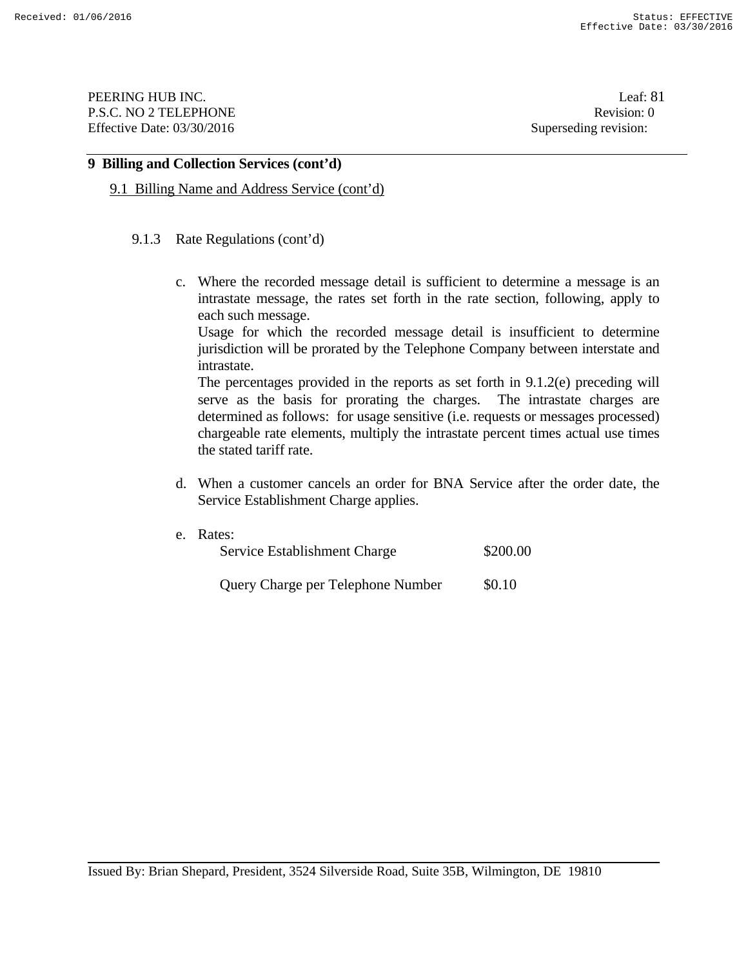PEERING HUB INC. Leaf: 81 P.S.C. NO 2 TELEPHONE Revision: 0 Effective Date: 03/30/2016 Superseding revision:

## **9 Billing and Collection Services (cont'd)**

9.1 Billing Name and Address Service (cont'd)

#### 9.1.3 Rate Regulations (cont'd)

c. Where the recorded message detail is sufficient to determine a message is an intrastate message, the rates set forth in the rate section, following, apply to each such message.

 Usage for which the recorded message detail is insufficient to determine jurisdiction will be prorated by the Telephone Company between interstate and intrastate.

 The percentages provided in the reports as set forth in 9.1.2(e) preceding will serve as the basis for prorating the charges. The intrastate charges are determined as follows: for usage sensitive (i.e. requests or messages processed) chargeable rate elements, multiply the intrastate percent times actual use times the stated tariff rate.

d. When a customer cancels an order for BNA Service after the order date, the Service Establishment Charge applies.

| e. Rates:<br>Service Establishment Charge | \$200.00 |
|-------------------------------------------|----------|
| Query Charge per Telephone Number         | \$0.10   |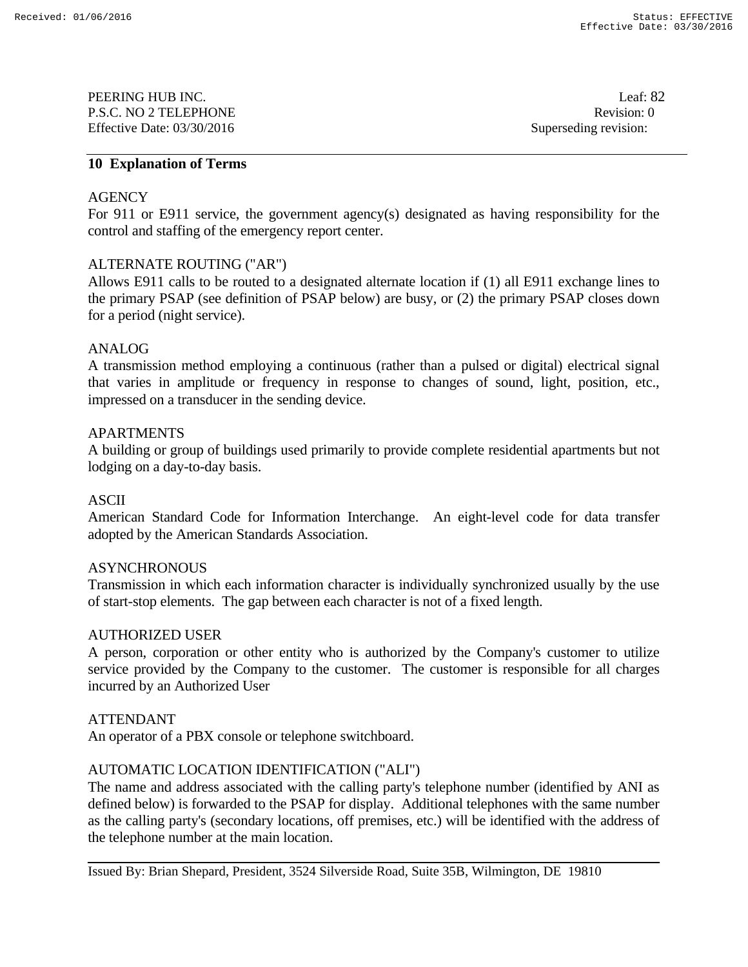PEERING HUB INC. Leaf: 82 P.S.C. NO 2 TELEPHONE Revision: 0 Effective Date: 03/30/2016 Superseding revision:

## **10 Explanation of Terms**

## **AGENCY**

For 911 or E911 service, the government agency(s) designated as having responsibility for the control and staffing of the emergency report center.

## ALTERNATE ROUTING ("AR")

Allows E911 calls to be routed to a designated alternate location if (1) all E911 exchange lines to the primary PSAP (see definition of PSAP below) are busy, or (2) the primary PSAP closes down for a period (night service).

## ANALOG

A transmission method employing a continuous (rather than a pulsed or digital) electrical signal that varies in amplitude or frequency in response to changes of sound, light, position, etc., impressed on a transducer in the sending device.

## APARTMENTS

A building or group of buildings used primarily to provide complete residential apartments but not lodging on a day-to-day basis.

# ASCII

American Standard Code for Information Interchange. An eight-level code for data transfer adopted by the American Standards Association.

### **ASYNCHRONOUS**

Transmission in which each information character is individually synchronized usually by the use of start-stop elements. The gap between each character is not of a fixed length.

### AUTHORIZED USER

A person, corporation or other entity who is authorized by the Company's customer to utilize service provided by the Company to the customer. The customer is responsible for all charges incurred by an Authorized User

### ATTENDANT

An operator of a PBX console or telephone switchboard.

# AUTOMATIC LOCATION IDENTIFICATION ("ALI")

The name and address associated with the calling party's telephone number (identified by ANI as defined below) is forwarded to the PSAP for display. Additional telephones with the same number as the calling party's (secondary locations, off premises, etc.) will be identified with the address of the telephone number at the main location.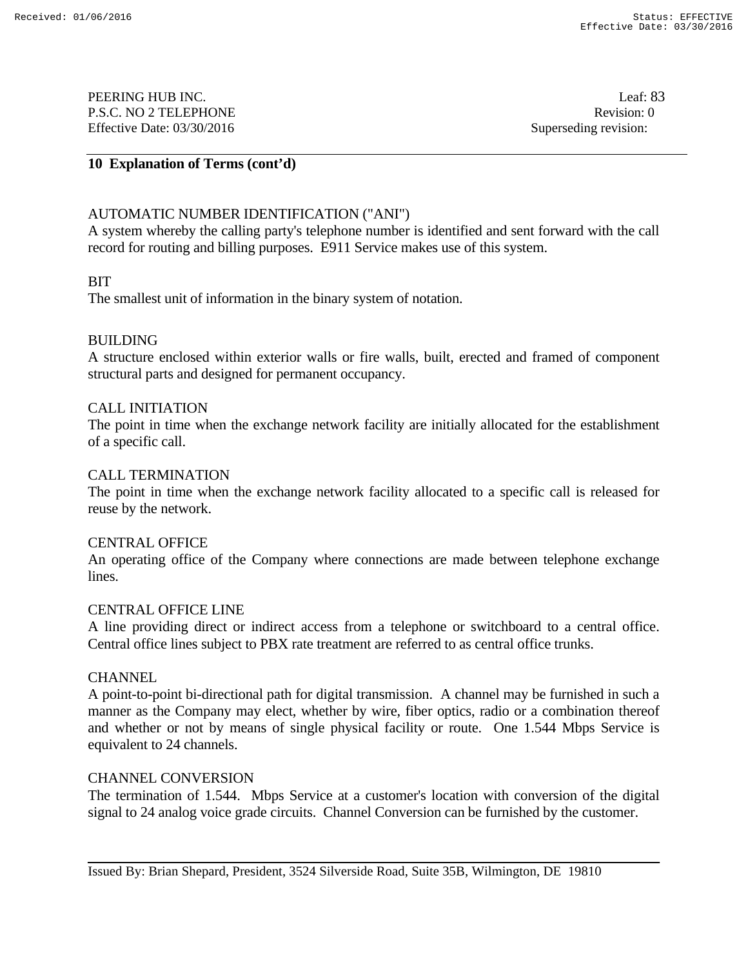PEERING HUB INC. Leaf: 83 P.S.C. NO 2 TELEPHONE Revision: 0 Effective Date: 03/30/2016 Superseding revision:

# **10 Explanation of Terms (cont'd)**

# AUTOMATIC NUMBER IDENTIFICATION ("ANI")

A system whereby the calling party's telephone number is identified and sent forward with the call record for routing and billing purposes. E911 Service makes use of this system.

### BIT

The smallest unit of information in the binary system of notation.

## BUILDING

A structure enclosed within exterior walls or fire walls, built, erected and framed of component structural parts and designed for permanent occupancy.

### CALL INITIATION

The point in time when the exchange network facility are initially allocated for the establishment of a specific call.

### CALL TERMINATION

The point in time when the exchange network facility allocated to a specific call is released for reuse by the network.

### CENTRAL OFFICE

An operating office of the Company where connections are made between telephone exchange lines.

### CENTRAL OFFICE LINE

A line providing direct or indirect access from a telephone or switchboard to a central office. Central office lines subject to PBX rate treatment are referred to as central office trunks.

### **CHANNEL**

A point-to-point bi-directional path for digital transmission. A channel may be furnished in such a manner as the Company may elect, whether by wire, fiber optics, radio or a combination thereof and whether or not by means of single physical facility or route. One 1.544 Mbps Service is equivalent to 24 channels.

### CHANNEL CONVERSION

The termination of 1.544. Mbps Service at a customer's location with conversion of the digital signal to 24 analog voice grade circuits. Channel Conversion can be furnished by the customer.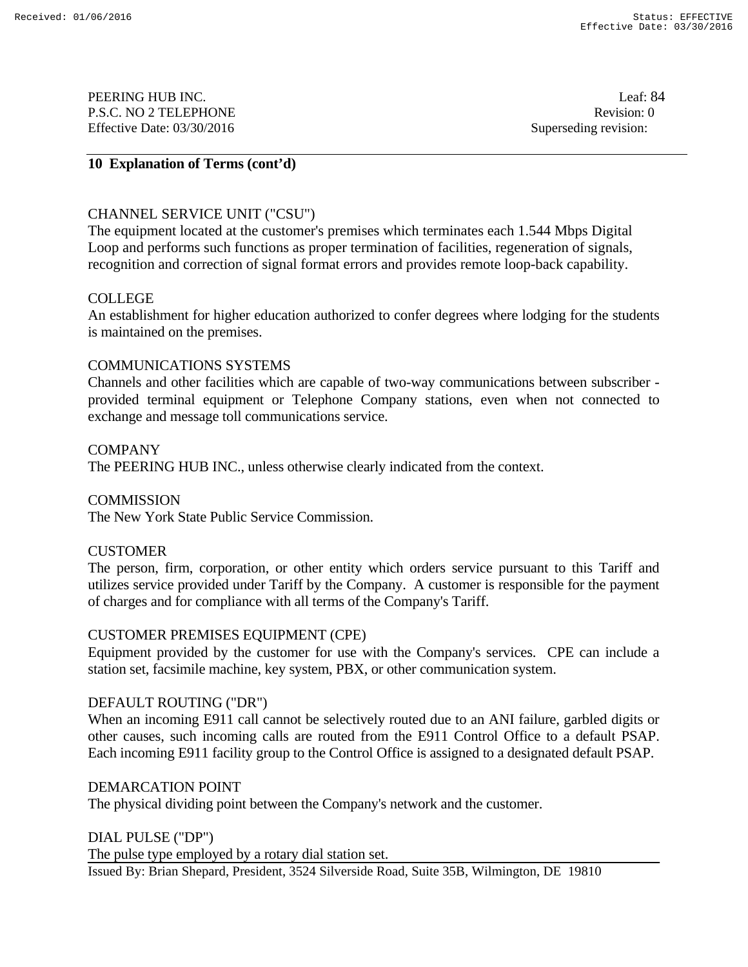PEERING HUB INC. Leaf: 84 P.S.C. NO 2 TELEPHONE Revision: 0 Effective Date: 03/30/2016 Superseding revision:

# **10 Explanation of Terms (cont'd)**

# CHANNEL SERVICE UNIT ("CSU")

The equipment located at the customer's premises which terminates each 1.544 Mbps Digital Loop and performs such functions as proper termination of facilities, regeneration of signals, recognition and correction of signal format errors and provides remote loop-back capability.

## COLLEGE

An establishment for higher education authorized to confer degrees where lodging for the students is maintained on the premises.

### COMMUNICATIONS SYSTEMS

Channels and other facilities which are capable of two-way communications between subscriber provided terminal equipment or Telephone Company stations, even when not connected to exchange and message toll communications service.

## **COMPANY**

The PEERING HUB INC., unless otherwise clearly indicated from the context.

# **COMMISSION**

The New York State Public Service Commission.

# **CUSTOMER**

The person, firm, corporation, or other entity which orders service pursuant to this Tariff and utilizes service provided under Tariff by the Company. A customer is responsible for the payment of charges and for compliance with all terms of the Company's Tariff.

### CUSTOMER PREMISES EQUIPMENT (CPE)

Equipment provided by the customer for use with the Company's services. CPE can include a station set, facsimile machine, key system, PBX, or other communication system.

### DEFAULT ROUTING ("DR")

When an incoming E911 call cannot be selectively routed due to an ANI failure, garbled digits or other causes, such incoming calls are routed from the E911 Control Office to a default PSAP. Each incoming E911 facility group to the Control Office is assigned to a designated default PSAP.

### DEMARCATION POINT

The physical dividing point between the Company's network and the customer.

### DIAL PULSE ("DP")

Issued By: Brian Shepard, President, 3524 Silverside Road, Suite 35B, Wilmington, DE 19810 The pulse type employed by a rotary dial station set.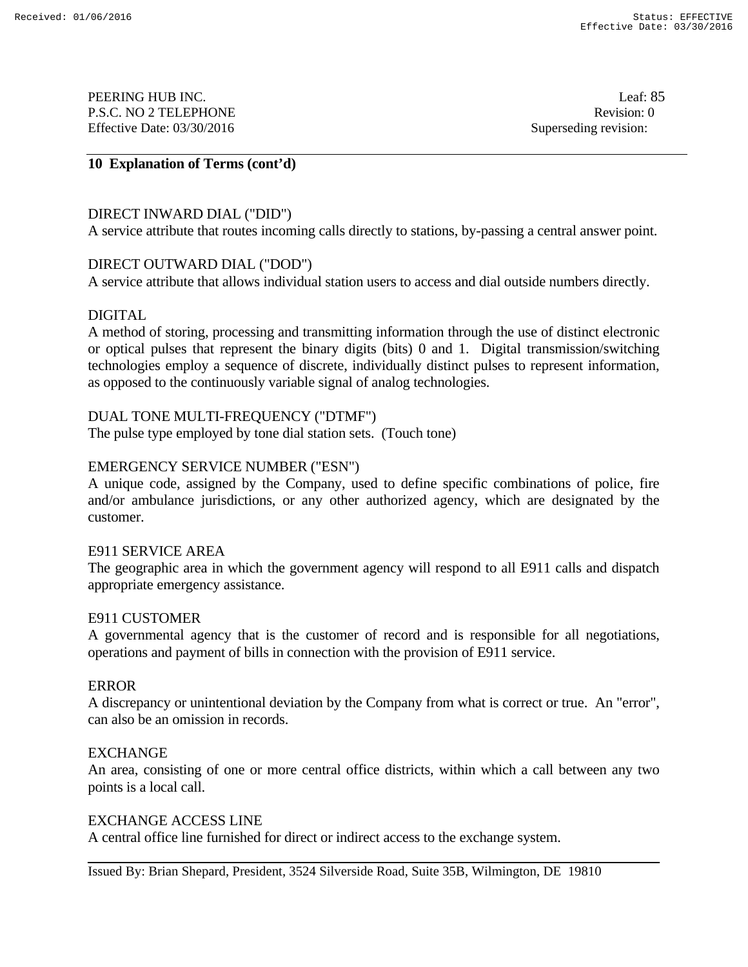PEERING HUB INC. Leaf: 85 P.S.C. NO 2 TELEPHONE Revision: 0 Effective Date: 03/30/2016 Superseding revision:

# **10 Explanation of Terms (cont'd)**

## DIRECT INWARD DIAL ("DID")

A service attribute that routes incoming calls directly to stations, by-passing a central answer point.

## DIRECT OUTWARD DIAL ("DOD")

A service attribute that allows individual station users to access and dial outside numbers directly.

## DIGITAL

A method of storing, processing and transmitting information through the use of distinct electronic or optical pulses that represent the binary digits (bits) 0 and 1. Digital transmission/switching technologies employ a sequence of discrete, individually distinct pulses to represent information, as opposed to the continuously variable signal of analog technologies.

# DUAL TONE MULTI-FREQUENCY ("DTMF")

The pulse type employed by tone dial station sets. (Touch tone)

## EMERGENCY SERVICE NUMBER ("ESN")

A unique code, assigned by the Company, used to define specific combinations of police, fire and/or ambulance jurisdictions, or any other authorized agency, which are designated by the customer.

## E911 SERVICE AREA

The geographic area in which the government agency will respond to all E911 calls and dispatch appropriate emergency assistance.

### E911 CUSTOMER

A governmental agency that is the customer of record and is responsible for all negotiations, operations and payment of bills in connection with the provision of E911 service.

### ERROR

A discrepancy or unintentional deviation by the Company from what is correct or true. An "error", can also be an omission in records.

### EXCHANGE

An area, consisting of one or more central office districts, within which a call between any two points is a local call.

### EXCHANGE ACCESS LINE

A central office line furnished for direct or indirect access to the exchange system.

Issued By: Brian Shepard, President, 3524 Silverside Road, Suite 35B, Wilmington, DE 19810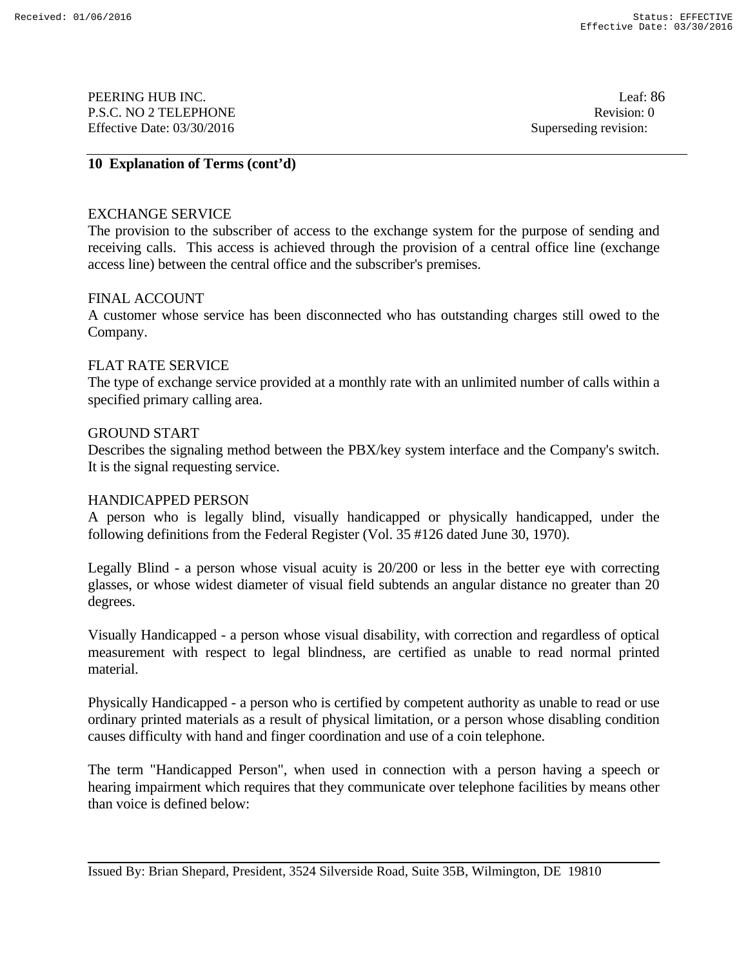PEERING HUB INC. Leaf: 86 P.S.C. NO 2 TELEPHONE Revision: 0 Effective Date: 03/30/2016 Superseding revision:

# **10 Explanation of Terms (cont'd)**

### EXCHANGE SERVICE

The provision to the subscriber of access to the exchange system for the purpose of sending and receiving calls. This access is achieved through the provision of a central office line (exchange access line) between the central office and the subscriber's premises.

### FINAL ACCOUNT

A customer whose service has been disconnected who has outstanding charges still owed to the Company.

## FLAT RATE SERVICE

The type of exchange service provided at a monthly rate with an unlimited number of calls within a specified primary calling area.

### GROUND START

Describes the signaling method between the PBX/key system interface and the Company's switch. It is the signal requesting service.

### HANDICAPPED PERSON

A person who is legally blind, visually handicapped or physically handicapped, under the following definitions from the Federal Register (Vol. 35 #126 dated June 30, 1970).

Legally Blind - a person whose visual acuity is 20/200 or less in the better eye with correcting glasses, or whose widest diameter of visual field subtends an angular distance no greater than 20 degrees.

Visually Handicapped - a person whose visual disability, with correction and regardless of optical measurement with respect to legal blindness, are certified as unable to read normal printed material.

Physically Handicapped - a person who is certified by competent authority as unable to read or use ordinary printed materials as a result of physical limitation, or a person whose disabling condition causes difficulty with hand and finger coordination and use of a coin telephone.

The term "Handicapped Person", when used in connection with a person having a speech or hearing impairment which requires that they communicate over telephone facilities by means other than voice is defined below:

Issued By: Brian Shepard, President, 3524 Silverside Road, Suite 35B, Wilmington, DE 19810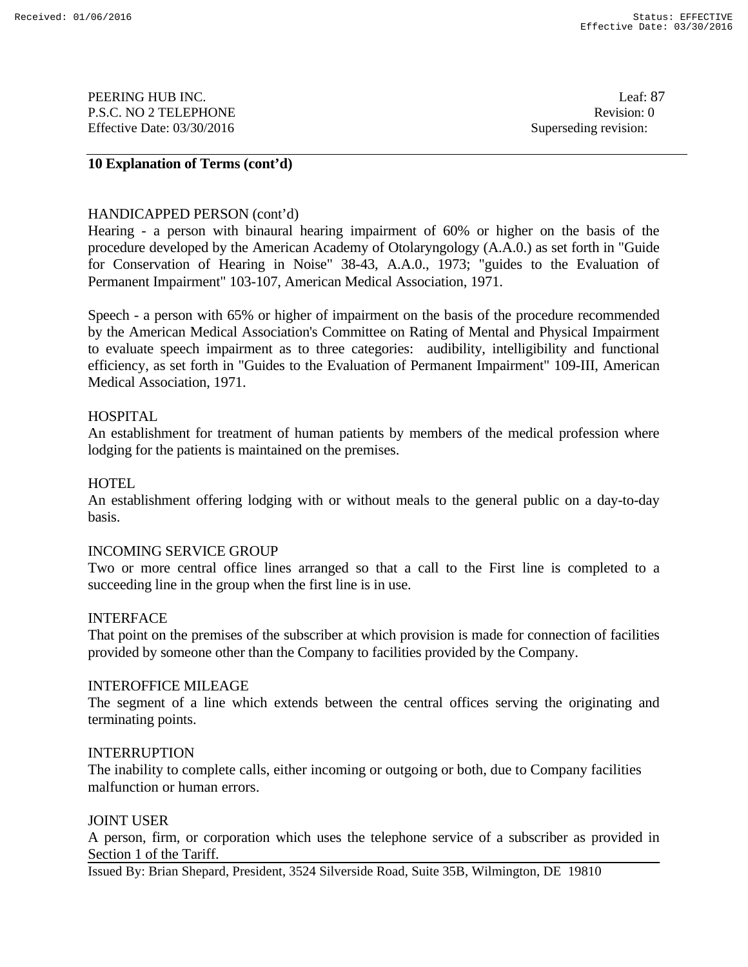PEERING HUB INC. Leaf: 87 P.S.C. NO 2 TELEPHONE Revision: 0 Effective Date: 03/30/2016 Superseding revision:

# **10 Explanation of Terms (cont'd)**

### HANDICAPPED PERSON (cont'd)

Hearing - a person with binaural hearing impairment of 60% or higher on the basis of the procedure developed by the American Academy of Otolaryngology (A.A.0.) as set forth in "Guide for Conservation of Hearing in Noise" 38-43, A.A.0., 1973; "guides to the Evaluation of Permanent Impairment" 103-107, American Medical Association, 1971.

Speech - a person with 65% or higher of impairment on the basis of the procedure recommended by the American Medical Association's Committee on Rating of Mental and Physical Impairment to evaluate speech impairment as to three categories: audibility, intelligibility and functional efficiency, as set forth in "Guides to the Evaluation of Permanent Impairment" 109-III, American Medical Association, 1971.

### HOSPITAL

An establishment for treatment of human patients by members of the medical profession where lodging for the patients is maintained on the premises.

#### **HOTEL**

An establishment offering lodging with or without meals to the general public on a day-to-day basis.

#### INCOMING SERVICE GROUP

Two or more central office lines arranged so that a call to the First line is completed to a succeeding line in the group when the first line is in use.

#### INTERFACE

That point on the premises of the subscriber at which provision is made for connection of facilities provided by someone other than the Company to facilities provided by the Company.

#### INTEROFFICE MILEAGE

The segment of a line which extends between the central offices serving the originating and terminating points.

#### INTERRUPTION

The inability to complete calls, either incoming or outgoing or both, due to Company facilities malfunction or human errors.

#### JOINT USER

A person, firm, or corporation which uses the telephone service of a subscriber as provided in Section 1 of the Tariff.

Issued By: Brian Shepard, President, 3524 Silverside Road, Suite 35B, Wilmington, DE 19810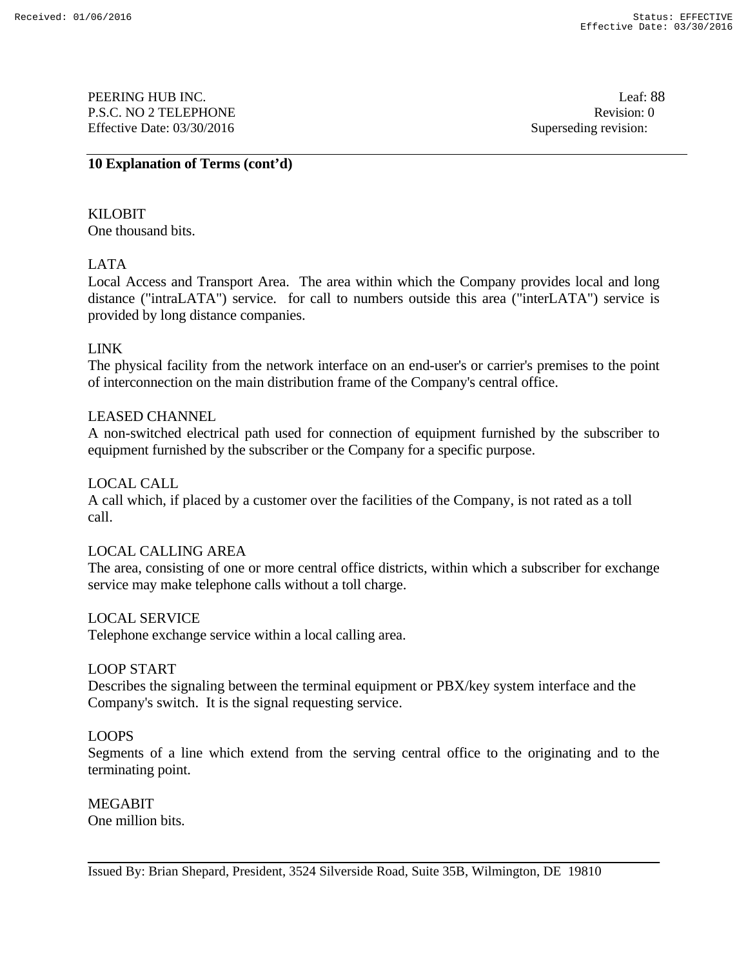PEERING HUB INC. Leaf: 88 P.S.C. NO 2 TELEPHONE Revision: 0 Effective Date: 03/30/2016 Superseding revision:

## **10 Explanation of Terms (cont'd)**

KILOBIT One thousand bits.

# LATA

Local Access and Transport Area. The area within which the Company provides local and long distance ("intraLATA") service. for call to numbers outside this area ("interLATA") service is provided by long distance companies.

# LINK

The physical facility from the network interface on an end-user's or carrier's premises to the point of interconnection on the main distribution frame of the Company's central office.

# LEASED CHANNEL

A non-switched electrical path used for connection of equipment furnished by the subscriber to equipment furnished by the subscriber or the Company for a specific purpose.

## LOCAL CALL

A call which, if placed by a customer over the facilities of the Company, is not rated as a toll call.

# LOCAL CALLING AREA

The area, consisting of one or more central office districts, within which a subscriber for exchange service may make telephone calls without a toll charge.

### LOCAL SERVICE

Telephone exchange service within a local calling area.

### LOOP START

Describes the signaling between the terminal equipment or PBX/key system interface and the Company's switch. It is the signal requesting service.

### LOOPS

Segments of a line which extend from the serving central office to the originating and to the terminating point.

MEGABIT

One million bits.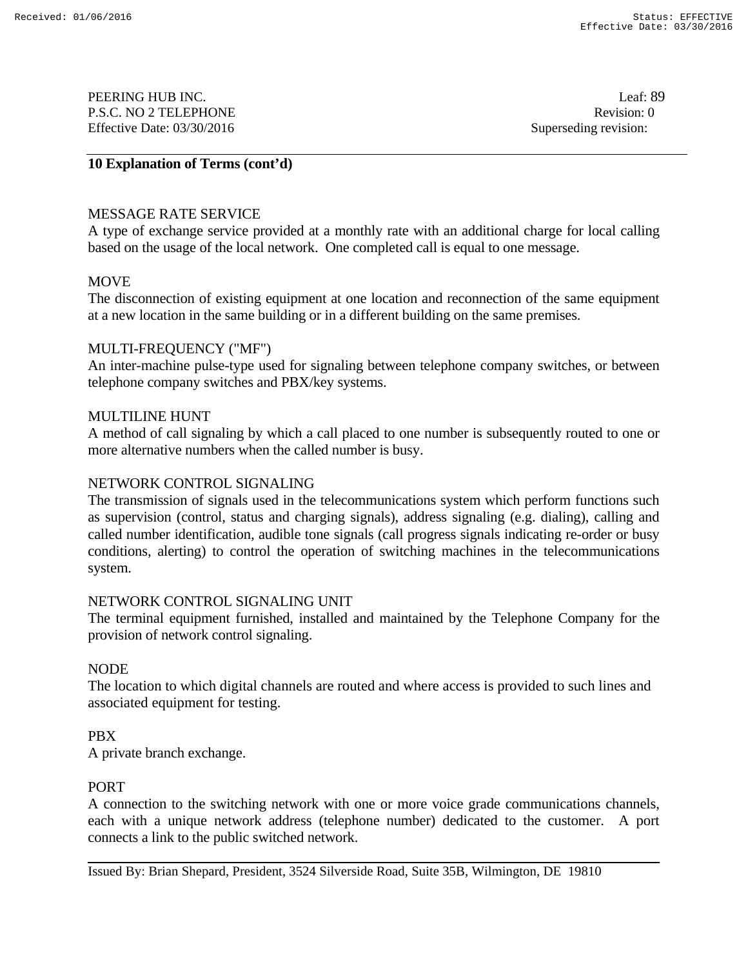PEERING HUB INC. Leaf: 89 P.S.C. NO 2 TELEPHONE Revision: 0 Effective Date: 03/30/2016 Superseding revision:

## **10 Explanation of Terms (cont'd)**

## MESSAGE RATE SERVICE

A type of exchange service provided at a monthly rate with an additional charge for local calling based on the usage of the local network. One completed call is equal to one message.

## **MOVE**

The disconnection of existing equipment at one location and reconnection of the same equipment at a new location in the same building or in a different building on the same premises.

### MULTI-FREQUENCY ("MF")

An inter-machine pulse-type used for signaling between telephone company switches, or between telephone company switches and PBX/key systems.

### MULTILINE HUNT

A method of call signaling by which a call placed to one number is subsequently routed to one or more alternative numbers when the called number is busy.

## NETWORK CONTROL SIGNALING

The transmission of signals used in the telecommunications system which perform functions such as supervision (control, status and charging signals), address signaling (e.g. dialing), calling and called number identification, audible tone signals (call progress signals indicating re-order or busy conditions, alerting) to control the operation of switching machines in the telecommunications system.

### NETWORK CONTROL SIGNALING UNIT

The terminal equipment furnished, installed and maintained by the Telephone Company for the provision of network control signaling.

### NODE

The location to which digital channels are routed and where access is provided to such lines and associated equipment for testing.

### PBX

A private branch exchange.

### PORT

A connection to the switching network with one or more voice grade communications channels, each with a unique network address (telephone number) dedicated to the customer. A port connects a link to the public switched network.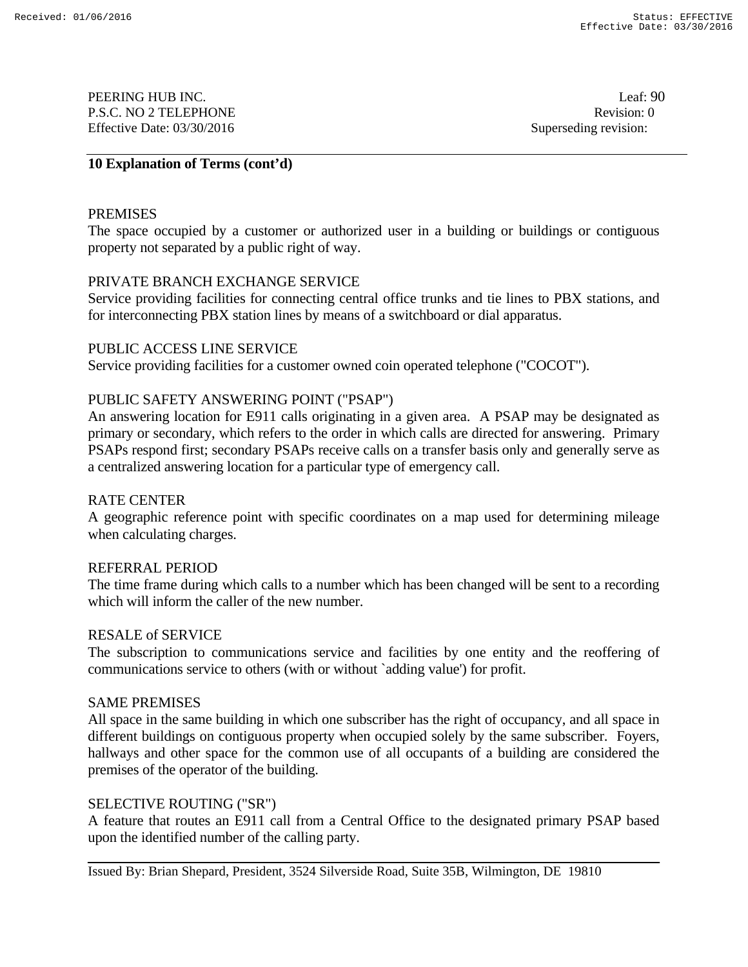PEERING HUB INC. Leaf: 90 P.S.C. NO 2 TELEPHONE Revision: 0 Effective Date: 03/30/2016 Superseding revision:

## **10 Explanation of Terms (cont'd)**

## PREMISES

The space occupied by a customer or authorized user in a building or buildings or contiguous property not separated by a public right of way.

## PRIVATE BRANCH EXCHANGE SERVICE

Service providing facilities for connecting central office trunks and tie lines to PBX stations, and for interconnecting PBX station lines by means of a switchboard or dial apparatus.

### PUBLIC ACCESS LINE SERVICE

Service providing facilities for a customer owned coin operated telephone ("COCOT").

# PUBLIC SAFETY ANSWERING POINT ("PSAP")

An answering location for E911 calls originating in a given area. A PSAP may be designated as primary or secondary, which refers to the order in which calls are directed for answering. Primary PSAPs respond first; secondary PSAPs receive calls on a transfer basis only and generally serve as a centralized answering location for a particular type of emergency call.

### RATE CENTER

A geographic reference point with specific coordinates on a map used for determining mileage when calculating charges.

### REFERRAL PERIOD

The time frame during which calls to a number which has been changed will be sent to a recording which will inform the caller of the new number.

### RESALE of SERVICE

The subscription to communications service and facilities by one entity and the reoffering of communications service to others (with or without `adding value') for profit.

### SAME PREMISES

All space in the same building in which one subscriber has the right of occupancy, and all space in different buildings on contiguous property when occupied solely by the same subscriber. Foyers, hallways and other space for the common use of all occupants of a building are considered the premises of the operator of the building.

### SELECTIVE ROUTING ("SR")

A feature that routes an E911 call from a Central Office to the designated primary PSAP based upon the identified number of the calling party.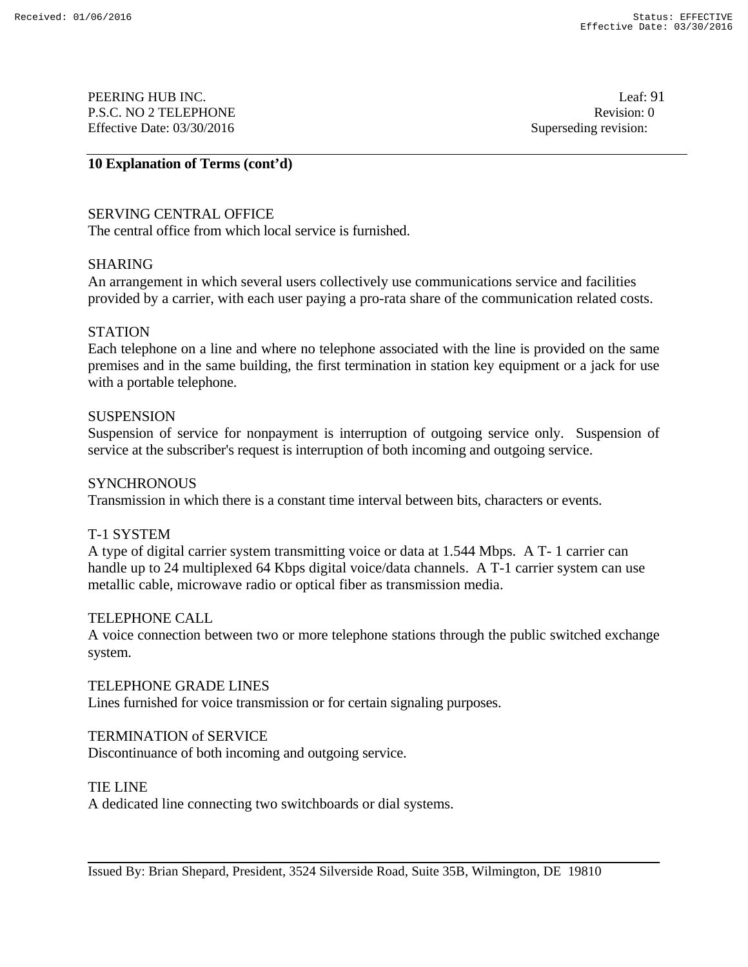PEERING HUB INC. Leaf: 91 P.S.C. NO 2 TELEPHONE Revision: 0 Effective Date: 03/30/2016 Superseding revision:

## **10 Explanation of Terms (cont'd)**

# SERVING CENTRAL OFFICE

The central office from which local service is furnished.

### SHARING

An arrangement in which several users collectively use communications service and facilities provided by a carrier, with each user paying a pro-rata share of the communication related costs.

### **STATION**

Each telephone on a line and where no telephone associated with the line is provided on the same premises and in the same building, the first termination in station key equipment or a jack for use with a portable telephone.

#### **SUSPENSION**

Suspension of service for nonpayment is interruption of outgoing service only. Suspension of service at the subscriber's request is interruption of both incoming and outgoing service.

### **SYNCHRONOUS**

Transmission in which there is a constant time interval between bits, characters or events.

### T-1 SYSTEM

A type of digital carrier system transmitting voice or data at 1.544 Mbps. A T- 1 carrier can handle up to 24 multiplexed 64 Kbps digital voice/data channels. A T-1 carrier system can use metallic cable, microwave radio or optical fiber as transmission media.

### TELEPHONE CALL

A voice connection between two or more telephone stations through the public switched exchange system.

### TELEPHONE GRADE LINES

Lines furnished for voice transmission or for certain signaling purposes.

### TERMINATION of SERVICE

Discontinuance of both incoming and outgoing service.

### TIE LINE

A dedicated line connecting two switchboards or dial systems.